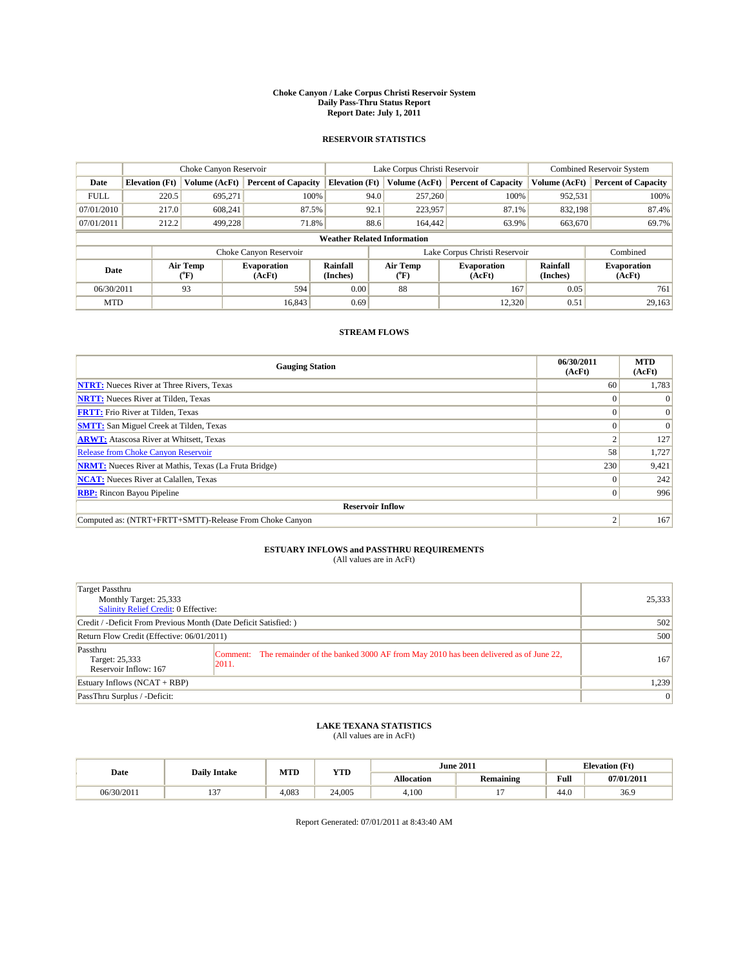#### **Choke Canyon / Lake Corpus Christi Reservoir System Daily Pass-Thru Status Report Report Date: July 1, 2011**

### **RESERVOIR STATISTICS**

|             | Choke Canyon Reservoir             |                                           |                              |                             | Lake Corpus Christi Reservoir           |                               |                      | <b>Combined Reservoir System</b> |  |
|-------------|------------------------------------|-------------------------------------------|------------------------------|-----------------------------|-----------------------------------------|-------------------------------|----------------------|----------------------------------|--|
| Date        | <b>Elevation</b> (Ft)              | Volume (AcFt)                             | <b>Percent of Capacity</b>   | <b>Elevation</b> (Ft)       | Volume (AcFt)                           | <b>Percent of Capacity</b>    | Volume (AcFt)        | <b>Percent of Capacity</b>       |  |
| <b>FULL</b> | 220.5                              | 695,271                                   | 100%                         | 94.0                        | 257,260                                 | 100%                          | 952,531              | 100%                             |  |
| 07/01/2010  | 217.0                              | 608.241                                   | 87.5%                        | 92.1                        | 223,957                                 | 87.1%                         | 832,198              | 87.4%                            |  |
| 07/01/2011  | 212.2                              | 499.228                                   | 71.8%                        | 88.6                        | 164,442                                 | 63.9%                         | 663,670              | 69.7%                            |  |
|             | <b>Weather Related Information</b> |                                           |                              |                             |                                         |                               |                      |                                  |  |
|             |                                    |                                           | Choke Canyon Reservoir       |                             |                                         | Lake Corpus Christi Reservoir |                      | Combined                         |  |
| Date        |                                    | Air Temp<br>$({}^{\mathrm{o}}\mathrm{F})$ | <b>Evaporation</b><br>(AcFt) | <b>Rainfall</b><br>(Inches) | Air Temp<br>$(^{\mathrm{o}}\mathrm{F})$ | <b>Evaporation</b><br>(AcFt)  | Rainfall<br>(Inches) | <b>Evaporation</b><br>(AcFt)     |  |
| 06/30/2011  |                                    | 93                                        | 594                          | 0.00                        | 88                                      | 167                           | 0.05                 | 761                              |  |
| <b>MTD</b>  |                                    |                                           | 16.843                       | 0.69                        |                                         | 12.320                        | 0.51                 | 29,163                           |  |

## **STREAM FLOWS**

| <b>Gauging Station</b>                                       | 06/30/2011<br>(AcFt) | <b>MTD</b><br>(AcFt) |  |  |  |  |  |
|--------------------------------------------------------------|----------------------|----------------------|--|--|--|--|--|
| <b>NTRT:</b> Nueces River at Three Rivers, Texas             | 60                   | 1,783                |  |  |  |  |  |
| <b>NRTT:</b> Nueces River at Tilden, Texas                   |                      |                      |  |  |  |  |  |
| <b>FRTT:</b> Frio River at Tilden, Texas                     |                      | $\Omega$             |  |  |  |  |  |
| <b>SMTT:</b> San Miguel Creek at Tilden, Texas               |                      | $\Omega$             |  |  |  |  |  |
| <b>ARWT:</b> Atascosa River at Whitsett, Texas               |                      | 127                  |  |  |  |  |  |
| Release from Choke Canyon Reservoir                          | 58                   | 1,727                |  |  |  |  |  |
| <b>NRMT:</b> Nueces River at Mathis, Texas (La Fruta Bridge) | 230                  | 9,421                |  |  |  |  |  |
| <b>NCAT:</b> Nueces River at Calallen, Texas                 |                      | 242                  |  |  |  |  |  |
| <b>RBP:</b> Rincon Bayou Pipeline                            | $\Omega$             | 996                  |  |  |  |  |  |
| <b>Reservoir Inflow</b>                                      |                      |                      |  |  |  |  |  |
| Computed as: (NTRT+FRTT+SMTT)-Release From Choke Canyon      |                      | 167                  |  |  |  |  |  |

## **ESTUARY INFLOWS and PASSTHRU REQUIREMENTS**<br>(All values are in AcFt)

| Target Passthru<br>Monthly Target: 25,333<br><b>Salinity Relief Credit: 0 Effective:</b> |                                                                                                       | 25,333          |
|------------------------------------------------------------------------------------------|-------------------------------------------------------------------------------------------------------|-----------------|
| Credit / -Deficit From Previous Month (Date Deficit Satisfied:)                          | 502                                                                                                   |                 |
| Return Flow Credit (Effective: 06/01/2011)                                               | 500                                                                                                   |                 |
| Passthru<br>Target: 25,333<br>Reservoir Inflow: 167                                      | Comment: The remainder of the banked 3000 AF from May 2010 has been delivered as of June 22,<br> 2011 | 167             |
| Estuary Inflows $(NCAT + RBP)$                                                           |                                                                                                       | 1,239           |
| PassThru Surplus / -Deficit:                                                             |                                                                                                       | $\vert 0 \vert$ |

## **LAKE TEXANA STATISTICS** (All values are in AcFt)

|            | <b>Daily Intake</b> | MTD   | <b>YTD</b> |                   | <b>June 2011</b> | <b>Elevation</b> (Ft) |            |
|------------|---------------------|-------|------------|-------------------|------------------|-----------------------|------------|
| Date       |                     |       |            | <b>Allocation</b> | Remaining        | Full                  | 07/01/2011 |
| 06/30/2011 | $\sim$<br>…         | 4.083 | 24,005     | 4.100             |                  | 44.0                  | 36.9       |

Report Generated: 07/01/2011 at 8:43:40 AM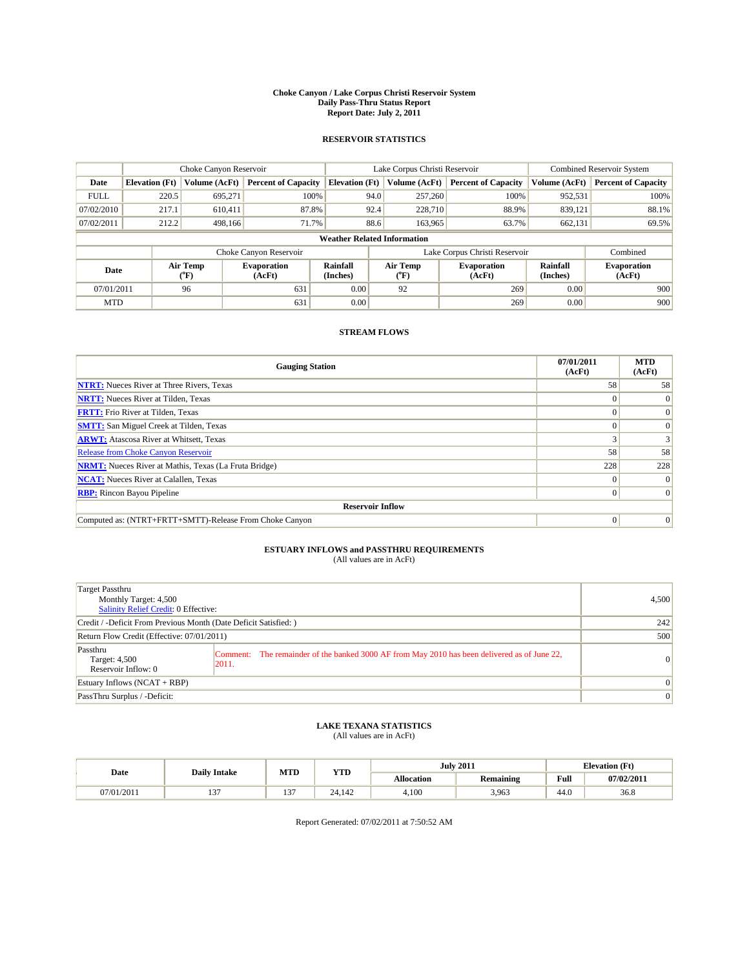#### **Choke Canyon / Lake Corpus Christi Reservoir System Daily Pass-Thru Status Report Report Date: July 2, 2011**

### **RESERVOIR STATISTICS**

|             | Choke Canyon Reservoir             |                  |                              |                             | Lake Corpus Christi Reservoir |                               |                      | Combined Reservoir System    |  |
|-------------|------------------------------------|------------------|------------------------------|-----------------------------|-------------------------------|-------------------------------|----------------------|------------------------------|--|
| Date        | <b>Elevation</b> (Ft)              | Volume (AcFt)    | <b>Percent of Capacity</b>   | <b>Elevation</b> (Ft)       | Volume (AcFt)                 | <b>Percent of Capacity</b>    | Volume (AcFt)        | <b>Percent of Capacity</b>   |  |
| <b>FULL</b> | 220.5                              | 695,271          | 100%                         | 94.0                        | 257,260                       | 100%                          | 952,531              | 100%                         |  |
| 07/02/2010  | 217.1                              | 610,411          | 87.8%                        | 92.4                        | 228,710                       | 88.9%                         | 839,121              | 88.1%                        |  |
| 07/02/2011  | 212.2                              | 498.166          | 71.7%                        | 88.6                        | 163,965                       | 63.7%                         | 662,131              | 69.5%                        |  |
|             | <b>Weather Related Information</b> |                  |                              |                             |                               |                               |                      |                              |  |
|             |                                    |                  | Choke Canyon Reservoir       |                             |                               | Lake Corpus Christi Reservoir |                      | Combined                     |  |
| Date        |                                    | Air Temp<br>(°F) | <b>Evaporation</b><br>(AcFt) | <b>Rainfall</b><br>(Inches) | Air Temp<br>(°F)              | <b>Evaporation</b><br>(AcFt)  | Rainfall<br>(Inches) | <b>Evaporation</b><br>(AcFt) |  |
| 07/01/2011  |                                    | 96               | 631                          | 0.00                        | 92                            | 269                           | 0.00                 | 900                          |  |
| <b>MTD</b>  |                                    |                  | 631                          | 0.00                        |                               | 269                           | 0.00                 | 900                          |  |

## **STREAM FLOWS**

| <b>Gauging Station</b>                                       | 07/01/2011<br>(AcFt) | <b>MTD</b><br>(AcFt) |
|--------------------------------------------------------------|----------------------|----------------------|
| <b>NTRT:</b> Nueces River at Three Rivers, Texas             | 58                   | 58                   |
| <b>NRTT:</b> Nueces River at Tilden, Texas                   |                      | $\Omega$             |
| <b>FRTT:</b> Frio River at Tilden, Texas                     |                      |                      |
| <b>SMTT:</b> San Miguel Creek at Tilden, Texas               |                      |                      |
| <b>ARWT:</b> Atascosa River at Whitsett, Texas               |                      |                      |
| Release from Choke Canyon Reservoir                          | 58                   | 58                   |
| <b>NRMT:</b> Nueces River at Mathis, Texas (La Fruta Bridge) | 228                  | 228                  |
| <b>NCAT:</b> Nueces River at Calallen, Texas                 | $\Omega$             |                      |
| <b>RBP:</b> Rincon Bayou Pipeline                            | $\Omega$             | $\Omega$             |
| <b>Reservoir Inflow</b>                                      |                      |                      |
| Computed as: (NTRT+FRTT+SMTT)-Release From Choke Canyon      | $\Omega$             | $\Omega$             |

# **ESTUARY INFLOWS and PASSTHRU REQUIREMENTS**<br>(All values are in AcFt)

| Target Passthru<br>Monthly Target: 4,500<br>Salinity Relief Credit: 0 Effective: |                                                                                                       | 4,500           |
|----------------------------------------------------------------------------------|-------------------------------------------------------------------------------------------------------|-----------------|
| Credit / -Deficit From Previous Month (Date Deficit Satisfied: )                 | 242                                                                                                   |                 |
| Return Flow Credit (Effective: 07/01/2011)                                       | 500                                                                                                   |                 |
| Passthru<br>Target: 4,500<br>Reservoir Inflow: 0                                 | Comment: The remainder of the banked 3000 AF from May 2010 has been delivered as of June 22,<br>2011. | $\vert 0 \vert$ |
| Estuary Inflows $(NCAT + RBP)$                                                   |                                                                                                       | $\Omega$        |
| PassThru Surplus / -Deficit:                                                     |                                                                                                       | $\mathbf{0}$    |

## **LAKE TEXANA STATISTICS** (All values are in AcFt)

|            | <b>Daily Intake</b> | MTD           | <b>YTD</b> |                   | <b>July 2011</b> | <b>Elevation</b> (Ft)                       |            |
|------------|---------------------|---------------|------------|-------------------|------------------|---------------------------------------------|------------|
| Date       |                     |               |            | <b>Allocation</b> | Remaining        | Full<br>the contract of the contract of the | 07/02/2011 |
| 07/01/2011 | $\sim$<br>…         | $\sim$<br>. . | 24.142     | 4,100             | 3,963            | 44.0                                        | 36.8       |

Report Generated: 07/02/2011 at 7:50:52 AM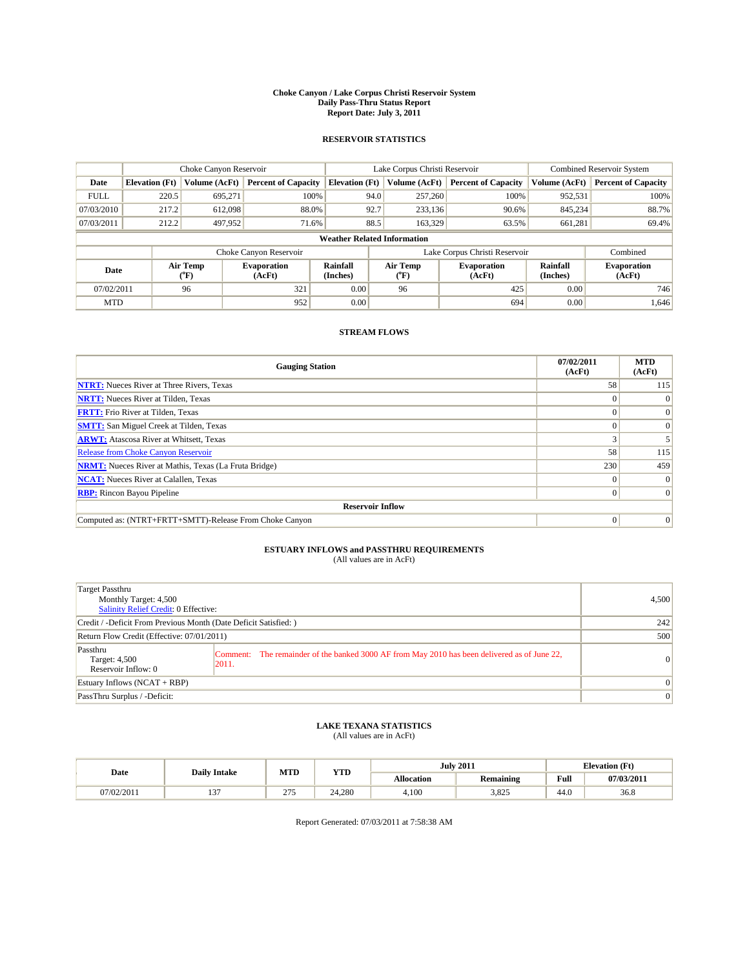#### **Choke Canyon / Lake Corpus Christi Reservoir System Daily Pass-Thru Status Report Report Date: July 3, 2011**

### **RESERVOIR STATISTICS**

|             | Choke Canyon Reservoir             |                  |                              |                             | Lake Corpus Christi Reservoir |                               |                      | <b>Combined Reservoir System</b> |  |
|-------------|------------------------------------|------------------|------------------------------|-----------------------------|-------------------------------|-------------------------------|----------------------|----------------------------------|--|
| Date        | <b>Elevation</b> (Ft)              | Volume (AcFt)    | <b>Percent of Capacity</b>   | <b>Elevation</b> (Ft)       | Volume (AcFt)                 | <b>Percent of Capacity</b>    | Volume (AcFt)        | <b>Percent of Capacity</b>       |  |
| <b>FULL</b> | 220.5                              | 695,271          | 100%                         | 94.0                        | 257,260                       | 100%                          | 952,531              | 100%                             |  |
| 07/03/2010  | 217.2                              | 612,098          | 88.0%                        | 92.7                        | 233,136                       | 90.6%                         | 845,234              | 88.7%                            |  |
| 07/03/2011  | 212.2                              | 497,952          | 71.6%                        | 88.5                        | 163,329                       | 63.5%                         | 661,281              | 69.4%                            |  |
|             | <b>Weather Related Information</b> |                  |                              |                             |                               |                               |                      |                                  |  |
|             |                                    |                  | Choke Canyon Reservoir       |                             |                               | Lake Corpus Christi Reservoir |                      | Combined                         |  |
| Date        |                                    | Air Temp<br>(°F) | <b>Evaporation</b><br>(AcFt) | <b>Rainfall</b><br>(Inches) | Air Temp<br>(°F)              | <b>Evaporation</b><br>(AcFt)  | Rainfall<br>(Inches) | <b>Evaporation</b><br>(AcFt)     |  |
| 07/02/2011  |                                    | 96               | 321                          | 0.00                        | 96                            | 425                           | 0.00                 | 746                              |  |
| <b>MTD</b>  |                                    |                  | 952                          | 0.00                        |                               | 694                           | 0.00                 | 1.646                            |  |

## **STREAM FLOWS**

| <b>Gauging Station</b>                                       | 07/02/2011<br>(AcFt) | <b>MTD</b><br>(AcFt) |  |  |  |  |  |
|--------------------------------------------------------------|----------------------|----------------------|--|--|--|--|--|
| <b>NTRT:</b> Nueces River at Three Rivers, Texas             | 58                   | 115                  |  |  |  |  |  |
| <b>NRTT:</b> Nueces River at Tilden, Texas                   |                      | $\theta$             |  |  |  |  |  |
| <b>FRTT:</b> Frio River at Tilden, Texas                     |                      | $\Omega$             |  |  |  |  |  |
| <b>SMTT:</b> San Miguel Creek at Tilden, Texas               |                      | $\Omega$             |  |  |  |  |  |
| <b>ARWT:</b> Atascosa River at Whitsett, Texas               |                      |                      |  |  |  |  |  |
| <b>Release from Choke Canyon Reservoir</b>                   | 58                   | 115                  |  |  |  |  |  |
| <b>NRMT:</b> Nueces River at Mathis, Texas (La Fruta Bridge) | 230                  | 459                  |  |  |  |  |  |
| <b>NCAT:</b> Nueces River at Calallen, Texas                 | $\Omega$             | $\Omega$             |  |  |  |  |  |
| <b>RBP:</b> Rincon Bayou Pipeline                            | $\overline{0}$       | $\Omega$             |  |  |  |  |  |
| <b>Reservoir Inflow</b>                                      |                      |                      |  |  |  |  |  |
| Computed as: (NTRT+FRTT+SMTT)-Release From Choke Canyon      | $\Omega$             | $\vert 0 \vert$      |  |  |  |  |  |

# **ESTUARY INFLOWS and PASSTHRU REQUIREMENTS**<br>(All values are in AcFt)

| Target Passthru<br>Monthly Target: 4,500<br>Salinity Relief Credit: 0 Effective: |                                                                                                       | 4,500           |
|----------------------------------------------------------------------------------|-------------------------------------------------------------------------------------------------------|-----------------|
| Credit / -Deficit From Previous Month (Date Deficit Satisfied: )                 | 242                                                                                                   |                 |
| Return Flow Credit (Effective: 07/01/2011)                                       | 500                                                                                                   |                 |
| Passthru<br>Target: 4,500<br>Reservoir Inflow: 0                                 | Comment: The remainder of the banked 3000 AF from May 2010 has been delivered as of June 22,<br>2011. | $\vert 0 \vert$ |
| Estuary Inflows $(NCAT + RBP)$                                                   |                                                                                                       | $\Omega$        |
| PassThru Surplus / -Deficit:                                                     |                                                                                                       | $\mathbf{0}$    |

## **LAKE TEXANA STATISTICS** (All values are in AcFt)

|            | <b>Daily Intake</b> | MTD            | <b>YTD</b> |            | <b>July 2011</b> |                                             | <b>Elevation</b> (Ft) |
|------------|---------------------|----------------|------------|------------|------------------|---------------------------------------------|-----------------------|
| Date       |                     |                |            | Allocation | Remaining        | Full<br>the contract of the contract of the | 07/03/2011            |
| 07/02/2011 | $\sim$<br>. .       | 27<br>$\sim$ 1 | 24.280     | 4.100      | 3,825            | 44.0                                        | 36.8                  |

Report Generated: 07/03/2011 at 7:58:38 AM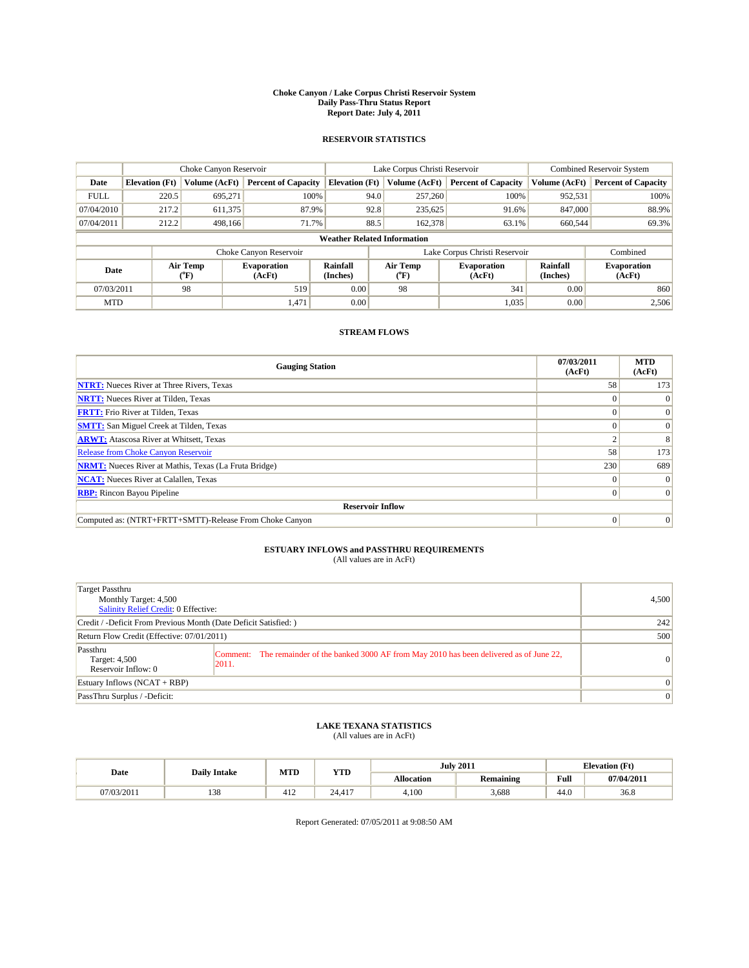#### **Choke Canyon / Lake Corpus Christi Reservoir System Daily Pass-Thru Status Report Report Date: July 4, 2011**

### **RESERVOIR STATISTICS**

|             | Choke Canyon Reservoir             |                  |                              |                       | Lake Corpus Christi Reservoir | <b>Combined Reservoir System</b> |                      |                              |  |  |
|-------------|------------------------------------|------------------|------------------------------|-----------------------|-------------------------------|----------------------------------|----------------------|------------------------------|--|--|
| Date        | <b>Elevation</b> (Ft)              | Volume (AcFt)    | <b>Percent of Capacity</b>   | <b>Elevation (Ft)</b> | Volume (AcFt)                 | <b>Percent of Capacity</b>       | Volume (AcFt)        | <b>Percent of Capacity</b>   |  |  |
| <b>FULL</b> | 220.5                              | 695,271          | 100%                         | 94.0                  | 257,260                       | 100%                             | 952,531              | 100%                         |  |  |
| 07/04/2010  | 217.2                              | 611,375          | 87.9%                        | 92.8                  | 235,625                       | 91.6%                            | 847,000              | 88.9%                        |  |  |
| 07/04/2011  | 212.2                              | 498,166          | 71.7%                        | 88.5                  | 162,378                       | 63.1%                            | 660,544              | 69.3%                        |  |  |
|             | <b>Weather Related Information</b> |                  |                              |                       |                               |                                  |                      |                              |  |  |
|             |                                    |                  | Choke Canyon Reservoir       |                       |                               | Lake Corpus Christi Reservoir    |                      | Combined                     |  |  |
| Date        |                                    | Air Temp<br>(°F) | <b>Evaporation</b><br>(AcFt) | Rainfall<br>(Inches)  | Air Temp<br>("F)              | <b>Evaporation</b><br>(AcFt)     | Rainfall<br>(Inches) | <b>Evaporation</b><br>(AcFt) |  |  |
| 07/03/2011  |                                    | 98               | 519                          | 0.00                  | 98                            | 341                              | 0.00                 | 860                          |  |  |
| <b>MTD</b>  |                                    |                  | 1,471                        | 0.00                  |                               | 1,035                            | 0.00                 | 2,506                        |  |  |

## **STREAM FLOWS**

| <b>Gauging Station</b>                                       | 07/03/2011<br>(AcFt) | <b>MTD</b><br>(AcFt) |
|--------------------------------------------------------------|----------------------|----------------------|
| <b>NTRT:</b> Nueces River at Three Rivers, Texas             | 58                   | 173                  |
| <b>NRTT:</b> Nueces River at Tilden, Texas                   |                      |                      |
| <b>FRTT:</b> Frio River at Tilden, Texas                     |                      |                      |
| <b>SMTT:</b> San Miguel Creek at Tilden, Texas               |                      | $\Omega$             |
| <b>ARWT:</b> Atascosa River at Whitsett, Texas               |                      | 8                    |
| Release from Choke Canyon Reservoir                          | 58                   | 173                  |
| <b>NRMT:</b> Nueces River at Mathis, Texas (La Fruta Bridge) | 230                  | 689                  |
| <b>NCAT:</b> Nueces River at Calallen, Texas                 | 0                    |                      |
| <b>RBP:</b> Rincon Bayou Pipeline                            | $\Omega$             | $\Omega$             |
| <b>Reservoir Inflow</b>                                      |                      |                      |
| Computed as: (NTRT+FRTT+SMTT)-Release From Choke Canyon      | $\Omega$             | $\Omega$             |

## **ESTUARY INFLOWS and PASSTHRU REQUIREMENTS**<br>(All values are in AcFt)

| Target Passthru<br>Monthly Target: 4,500<br>Salinity Relief Credit: 0 Effective: |                                                                                                        | 4,500           |
|----------------------------------------------------------------------------------|--------------------------------------------------------------------------------------------------------|-----------------|
| Credit / -Deficit From Previous Month (Date Deficit Satisfied: )                 |                                                                                                        | 242             |
| Return Flow Credit (Effective: 07/01/2011)                                       |                                                                                                        | 500             |
| Passthru<br>Target: 4,500<br>Reservoir Inflow: 0                                 | Comment: The remainder of the banked 3000 AF from May 2010 has been delivered as of June 22,<br> 2011. | $\overline{0}$  |
| Estuary Inflows $(NCAT + RBP)$                                                   |                                                                                                        | $\Omega$        |
| PassThru Surplus / -Deficit:                                                     |                                                                                                        | $\vert 0 \vert$ |

## **LAKE TEXANA STATISTICS** (All values are in AcFt)

|            | <b>Daily Intake</b> | MTD | <b>YTD</b>                       | <b>July 2011</b>  |           |      | <b>Elevation</b> (Ft) |
|------------|---------------------|-----|----------------------------------|-------------------|-----------|------|-----------------------|
| Date       |                     |     |                                  | <b>Allocation</b> | Remaining | Full | 07/04/2011            |
| 07/03/2011 | 120<br>120          | 412 | 417<br>$\sim$ $\lambda$<br>24.41 | 4,100             | 3.688     | 44.0 | 36.8                  |

Report Generated: 07/05/2011 at 9:08:50 AM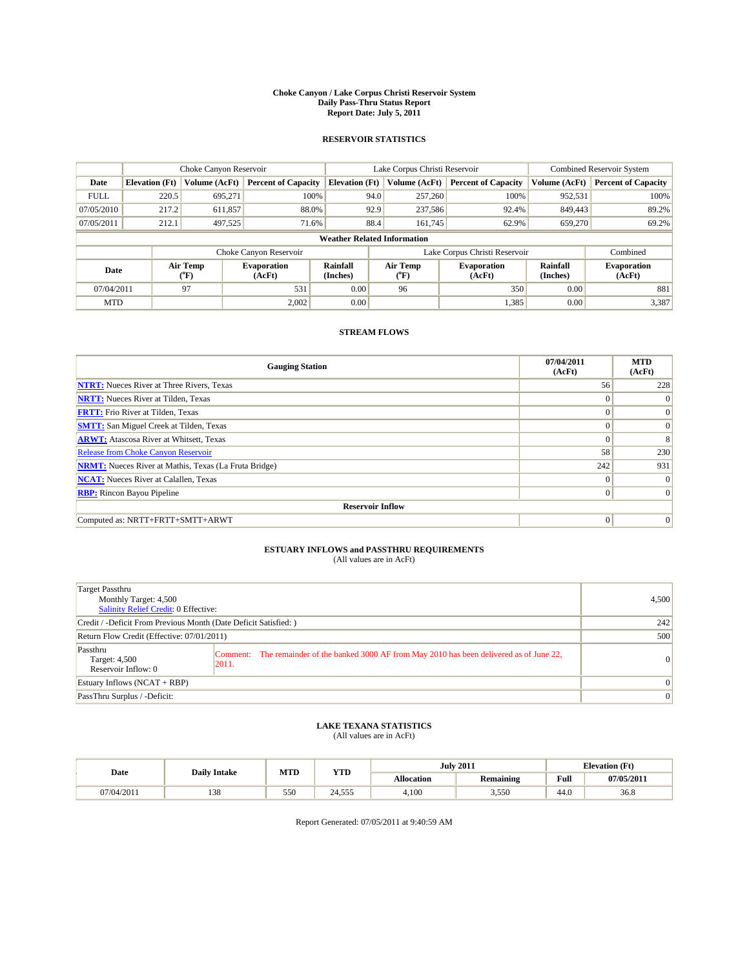#### **Choke Canyon / Lake Corpus Christi Reservoir System Daily Pass-Thru Status Report Report Date: July 5, 2011**

### **RESERVOIR STATISTICS**

|             | Choke Canyon Reservoir             |                             |                              |                       | Lake Corpus Christi Reservoir | <b>Combined Reservoir System</b> |                      |                              |  |  |
|-------------|------------------------------------|-----------------------------|------------------------------|-----------------------|-------------------------------|----------------------------------|----------------------|------------------------------|--|--|
| Date        | <b>Elevation</b> (Ft)              | Volume (AcFt)               | <b>Percent of Capacity</b>   | <b>Elevation (Ft)</b> | Volume (AcFt)                 | <b>Percent of Capacity</b>       | Volume (AcFt)        | <b>Percent of Capacity</b>   |  |  |
| <b>FULL</b> | 220.5                              | 695,271                     | 100%                         |                       | 257,260<br>94.0               | 100%                             | 952,531              | 100%                         |  |  |
| 07/05/2010  | 217.2                              | 611,857                     | 88.0%                        |                       | 92.9<br>237,586               | 92.4%                            | 849,443              | 89.2%                        |  |  |
| 07/05/2011  | 212.1                              | 497,525                     | 71.6%                        |                       | 88.4<br>161.745               | 62.9%                            | 659,270              | 69.2%                        |  |  |
|             | <b>Weather Related Information</b> |                             |                              |                       |                               |                                  |                      |                              |  |  |
|             |                                    |                             | Choke Canyon Reservoir       |                       | Lake Corpus Christi Reservoir |                                  |                      | Combined                     |  |  |
| Date        |                                    | Air Temp<br>${}^{\circ}$ F) | <b>Evaporation</b><br>(AcFt) | Rainfall<br>(Inches)  | Air Temp<br>("F)              | <b>Evaporation</b><br>(AcFt)     | Rainfall<br>(Inches) | <b>Evaporation</b><br>(AcFt) |  |  |
| 07/04/2011  |                                    | 97                          | 531                          | 0.00                  | 96                            | 350                              | 0.00                 | 881                          |  |  |
| <b>MTD</b>  |                                    |                             | 2,002                        | 0.00                  |                               | 1,385                            | 0.00                 | 3,387                        |  |  |

## **STREAM FLOWS**

| <b>Gauging Station</b>                                       | 07/04/2011<br>(AcFt) | <b>MTD</b><br>(AcFt) |
|--------------------------------------------------------------|----------------------|----------------------|
| <b>NTRT:</b> Nueces River at Three Rivers, Texas             | 56                   | 228                  |
| <b>NRTT:</b> Nueces River at Tilden, Texas                   | $\Omega$             | $\theta$             |
| <b>FRTT:</b> Frio River at Tilden, Texas                     | $\Omega$             | $\Omega$             |
| <b>SMTT:</b> San Miguel Creek at Tilden, Texas               | $\Omega$             | $\vert 0 \vert$      |
| <b>ARWT:</b> Atascosa River at Whitsett, Texas               | $\Omega$             | 8                    |
| Release from Choke Canyon Reservoir                          | 58                   | 230                  |
| <b>NRMT:</b> Nueces River at Mathis, Texas (La Fruta Bridge) | 242                  | 931                  |
| <b>NCAT:</b> Nueces River at Calallen, Texas                 | $\Omega$             | $\Omega$             |
| <b>RBP:</b> Rincon Bayou Pipeline                            | $\overline{0}$       | $\Omega$             |
| <b>Reservoir Inflow</b>                                      |                      |                      |
| Computed as: NRTT+FRTT+SMTT+ARWT                             | $\mathbf{0}$         | $\vert 0 \vert$      |

## **ESTUARY INFLOWS and PASSTHRU REQUIREMENTS**<br>(All values are in AcFt)

| Target Passthru<br>Monthly Target: 4,500<br><b>Salinity Relief Credit: 0 Effective:</b> |                                                                                                       | 4,500     |
|-----------------------------------------------------------------------------------------|-------------------------------------------------------------------------------------------------------|-----------|
| Credit / -Deficit From Previous Month (Date Deficit Satisfied: )                        |                                                                                                       | 242       |
| Return Flow Credit (Effective: 07/01/2011)                                              |                                                                                                       | 500       |
| Passthru<br>Target: 4,500<br>Reservoir Inflow: 0                                        | Comment: The remainder of the banked 3000 AF from May 2010 has been delivered as of June 22,<br>2011. | $\Omega$  |
| Estuary Inflows $(NCAT + RBP)$                                                          |                                                                                                       | $\Omega$  |
| PassThru Surplus / -Deficit:                                                            |                                                                                                       | $\vert$ 0 |

## **LAKE TEXANA STATISTICS** (All values are in AcFt)

|            | <b>Daily Intake</b> | MTD | <b>YTD</b> |            | <b>July 2011</b> |                                                    | <b>Elevation</b> (Ft) |
|------------|---------------------|-----|------------|------------|------------------|----------------------------------------------------|-----------------------|
| Date       |                     |     |            | Allocation | Remaining        | <b>Full</b><br>the contract of the contract of the | 07/05/2011            |
| 07/04/2011 | 120<br>120          | 550 | 24.555     | 4.100      | 55.5<br>J.JJU    | 44.0                                               | 36.8                  |

Report Generated: 07/05/2011 at 9:40:59 AM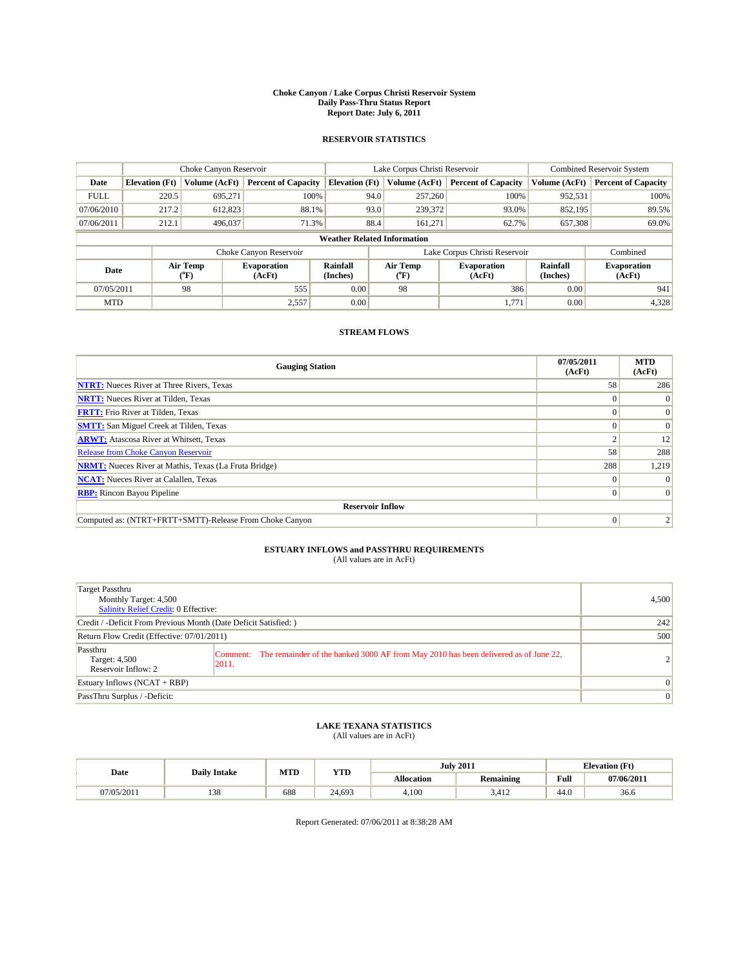#### **Choke Canyon / Lake Corpus Christi Reservoir System Daily Pass-Thru Status Report Report Date: July 6, 2011**

### **RESERVOIR STATISTICS**

|             | Choke Canyon Reservoir             |                                           |                              |                       | Lake Corpus Christi Reservoir | <b>Combined Reservoir System</b> |                      |                              |  |  |
|-------------|------------------------------------|-------------------------------------------|------------------------------|-----------------------|-------------------------------|----------------------------------|----------------------|------------------------------|--|--|
| Date        | <b>Elevation</b> (Ft)              | Volume (AcFt)                             | <b>Percent of Capacity</b>   | <b>Elevation</b> (Ft) | Volume (AcFt)                 | <b>Percent of Capacity</b>       | Volume (AcFt)        | <b>Percent of Capacity</b>   |  |  |
| <b>FULL</b> | 220.5                              | 695.271                                   | 100%                         | 94.0                  | 257,260                       | 100%                             | 952,531              | 100%                         |  |  |
| 07/06/2010  | 217.2                              | 612,823                                   | 88.1%                        | 93.0                  | 239,372                       | 93.0%                            | 852,195              | 89.5%                        |  |  |
| 07/06/2011  | 212.1                              | 496,037                                   | 71.3%                        | 88.4                  | 161,271                       | 62.7%                            | 657,308              | 69.0%                        |  |  |
|             | <b>Weather Related Information</b> |                                           |                              |                       |                               |                                  |                      |                              |  |  |
|             |                                    |                                           | Choke Canyon Reservoir       |                       |                               | Lake Corpus Christi Reservoir    |                      | Combined                     |  |  |
| Date        |                                    | Air Temp<br>$({}^{\mathrm{o}}\mathrm{F})$ | <b>Evaporation</b><br>(AcFt) | Rainfall<br>(Inches)  | Air Temp<br>(°F)              | <b>Evaporation</b><br>(AcFt)     | Rainfall<br>(Inches) | <b>Evaporation</b><br>(AcFt) |  |  |
| 07/05/2011  |                                    | 98                                        | 555                          | 0.00                  | 98                            | 386                              | 0.00                 | 941                          |  |  |
| <b>MTD</b>  |                                    |                                           | 2,557                        | 0.00                  |                               | 1.771                            | 0.00                 | 4,328                        |  |  |

### **STREAM FLOWS**

| <b>Gauging Station</b>                                       | 07/05/2011<br>(AcFt) | <b>MTD</b><br>(AcFt) |
|--------------------------------------------------------------|----------------------|----------------------|
| <b>NTRT:</b> Nueces River at Three Rivers, Texas             | 58                   | 286                  |
| <b>NRTT:</b> Nueces River at Tilden, Texas                   |                      |                      |
| <b>FRTT:</b> Frio River at Tilden, Texas                     |                      | $\Omega$             |
| <b>SMTT:</b> San Miguel Creek at Tilden, Texas               |                      | $\Omega$             |
| <b>ARWT:</b> Atascosa River at Whitsett, Texas               |                      | 12                   |
| <b>Release from Choke Canyon Reservoir</b>                   | 58                   | 288                  |
| <b>NRMT:</b> Nueces River at Mathis, Texas (La Fruta Bridge) | 288                  | 1,219                |
| <b>NCAT:</b> Nueces River at Calallen, Texas                 | $\Omega$             |                      |
| <b>RBP:</b> Rincon Bayou Pipeline                            | $\overline{0}$       | $\Omega$             |
| <b>Reservoir Inflow</b>                                      |                      |                      |
| Computed as: (NTRT+FRTT+SMTT)-Release From Choke Canyon      | $\Omega$             |                      |

# **ESTUARY INFLOWS and PASSTHRU REQUIREMENTS**<br>(All values are in AcFt)

| Target Passthru<br>Monthly Target: 4,500<br>Salinity Relief Credit: 0 Effective: |                                                                                                        | 4,500          |
|----------------------------------------------------------------------------------|--------------------------------------------------------------------------------------------------------|----------------|
| Credit / -Deficit From Previous Month (Date Deficit Satisfied: )                 |                                                                                                        | 242            |
| Return Flow Credit (Effective: 07/01/2011)                                       | 500                                                                                                    |                |
| Passthru<br>Target: 4,500<br>Reservoir Inflow: 2                                 | Comment: The remainder of the banked 3000 AF from May 2010 has been delivered as of June 22,<br> 2011. | $\overline{2}$ |
| Estuary Inflows $(NCAT + RBP)$                                                   |                                                                                                        | $\Omega$       |
| PassThru Surplus / -Deficit:                                                     |                                                                                                        | $\mathbf{0}$   |

## **LAKE TEXANA STATISTICS** (All values are in AcFt)

|            | <b>Daily Intake</b> | MTD | <b>YTD</b> | <b>July 2011</b> |               | <b>Elevation</b> (Ft)                              |            |
|------------|---------------------|-----|------------|------------------|---------------|----------------------------------------------------|------------|
| Date       |                     |     |            | Allocation       | Remaining     | <b>Full</b><br>the contract of the contract of the | 07/06/2011 |
| 07/05/2011 | 120<br>120          | 688 | 24.693     | 4.100            | 3.41 <i>2</i> | 44.0                                               | 36.6       |

Report Generated: 07/06/2011 at 8:38:28 AM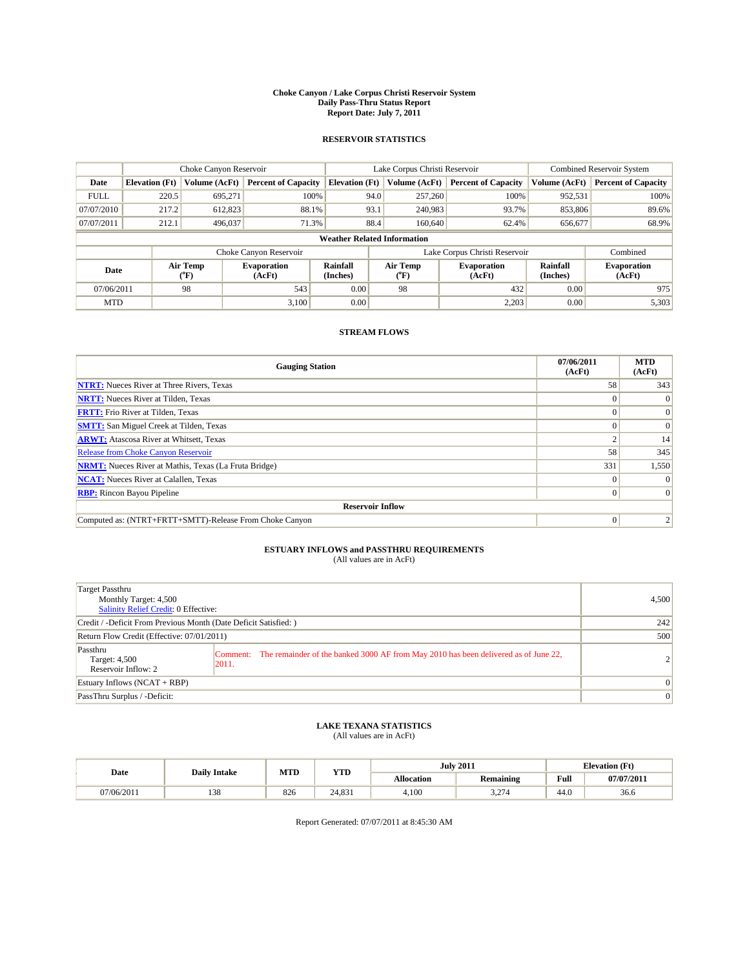#### **Choke Canyon / Lake Corpus Christi Reservoir System Daily Pass-Thru Status Report Report Date: July 7, 2011**

### **RESERVOIR STATISTICS**

|             | Choke Canyon Reservoir             |                                           |                              |                             | Lake Corpus Christi Reservoir | <b>Combined Reservoir System</b> |                             |                              |  |  |
|-------------|------------------------------------|-------------------------------------------|------------------------------|-----------------------------|-------------------------------|----------------------------------|-----------------------------|------------------------------|--|--|
| Date        | <b>Elevation</b> (Ft)              | Volume (AcFt)                             | <b>Percent of Capacity</b>   | <b>Elevation</b> (Ft)       | Volume (AcFt)                 | <b>Percent of Capacity</b>       | Volume (AcFt)               | <b>Percent of Capacity</b>   |  |  |
| <b>FULL</b> | 220.5                              | 695,271                                   | 100%                         | 94.0                        | 257,260                       | 100%                             | 952,531                     | 100%                         |  |  |
| 07/07/2010  | 217.2                              | 612,823                                   | 88.1%                        | 93.1                        | 240,983                       | 93.7%                            | 853,806                     | 89.6%                        |  |  |
| 07/07/2011  | 212.1                              | 496,037                                   | 71.3%                        | 88.4                        | 160,640                       | 62.4%                            | 656,677                     | 68.9%                        |  |  |
|             | <b>Weather Related Information</b> |                                           |                              |                             |                               |                                  |                             |                              |  |  |
|             |                                    |                                           | Choke Canyon Reservoir       |                             |                               | Lake Corpus Christi Reservoir    |                             | Combined                     |  |  |
| Date        |                                    | Air Temp<br>$({}^{\mathrm{o}}\mathrm{F})$ | <b>Evaporation</b><br>(AcFt) | <b>Rainfall</b><br>(Inches) | Air Temp<br>(°F)              | <b>Evaporation</b><br>(AcFt)     | <b>Rainfall</b><br>(Inches) | <b>Evaporation</b><br>(AcFt) |  |  |
| 07/06/2011  |                                    | 98                                        | 543                          | 0.00                        | 98                            | 432                              | 0.00                        | 975                          |  |  |
| <b>MTD</b>  |                                    |                                           | 3.100                        | 0.00                        |                               | 2,203                            | 0.00                        | 5,303                        |  |  |

## **STREAM FLOWS**

| <b>Gauging Station</b>                                       | 07/06/2011<br>(AcFt) | <b>MTD</b><br>(AcFt) |
|--------------------------------------------------------------|----------------------|----------------------|
| <b>NTRT:</b> Nueces River at Three Rivers, Texas             | 58                   | 343                  |
| <b>NRTT:</b> Nueces River at Tilden, Texas                   |                      |                      |
| <b>FRTT:</b> Frio River at Tilden, Texas                     |                      | $\Omega$             |
| <b>SMTT:</b> San Miguel Creek at Tilden, Texas               |                      | $\Omega$             |
| <b>ARWT:</b> Atascosa River at Whitsett, Texas               |                      | 14                   |
| Release from Choke Canyon Reservoir                          | 58                   | 345                  |
| <b>NRMT:</b> Nueces River at Mathis, Texas (La Fruta Bridge) | 331                  | 1,550                |
| <b>NCAT:</b> Nueces River at Calallen, Texas                 | $\Omega$             |                      |
| <b>RBP:</b> Rincon Bayou Pipeline                            | $\Omega$             | $\Omega$             |
| <b>Reservoir Inflow</b>                                      |                      |                      |
| Computed as: (NTRT+FRTT+SMTT)-Release From Choke Canyon      | $\Omega$             |                      |

## **ESTUARY INFLOWS and PASSTHRU REQUIREMENTS**<br>(All values are in AcFt)

| <b>Target Passthru</b><br>Monthly Target: 4,500<br>Salinity Relief Credit: 0 Effective: |                                                                                                       | 4,500          |
|-----------------------------------------------------------------------------------------|-------------------------------------------------------------------------------------------------------|----------------|
| Credit / -Deficit From Previous Month (Date Deficit Satisfied: )                        |                                                                                                       | 242            |
| Return Flow Credit (Effective: 07/01/2011)                                              |                                                                                                       | 500            |
| Passthru<br>Target: 4,500<br>Reservoir Inflow: 2                                        | Comment: The remainder of the banked 3000 AF from May 2010 has been delivered as of June 22,<br>2011. | $\overline{2}$ |
| Estuary Inflows $(NCAT + RBP)$                                                          |                                                                                                       | $\Omega$       |
| PassThru Surplus / -Deficit:                                                            |                                                                                                       | $\vert$ 0      |

## **LAKE TEXANA STATISTICS** (All values are in AcFt)

|            | <b>Daily Intake</b> | MTD | <b>YTD</b> |                   | <b>July 2011</b>       | <b>Elevation</b> (Ft) |                          |
|------------|---------------------|-----|------------|-------------------|------------------------|-----------------------|--------------------------|
| Date       |                     |     |            | <b>Allocation</b> | Remaining              | Full                  | $07/07/201$ <sup>+</sup> |
| 07/06/2011 | 120<br>120          | 826 | 24.831     | 4,100             | $\sim$<br>. . <u>.</u> | 44.0                  | 36.6                     |

Report Generated: 07/07/2011 at 8:45:30 AM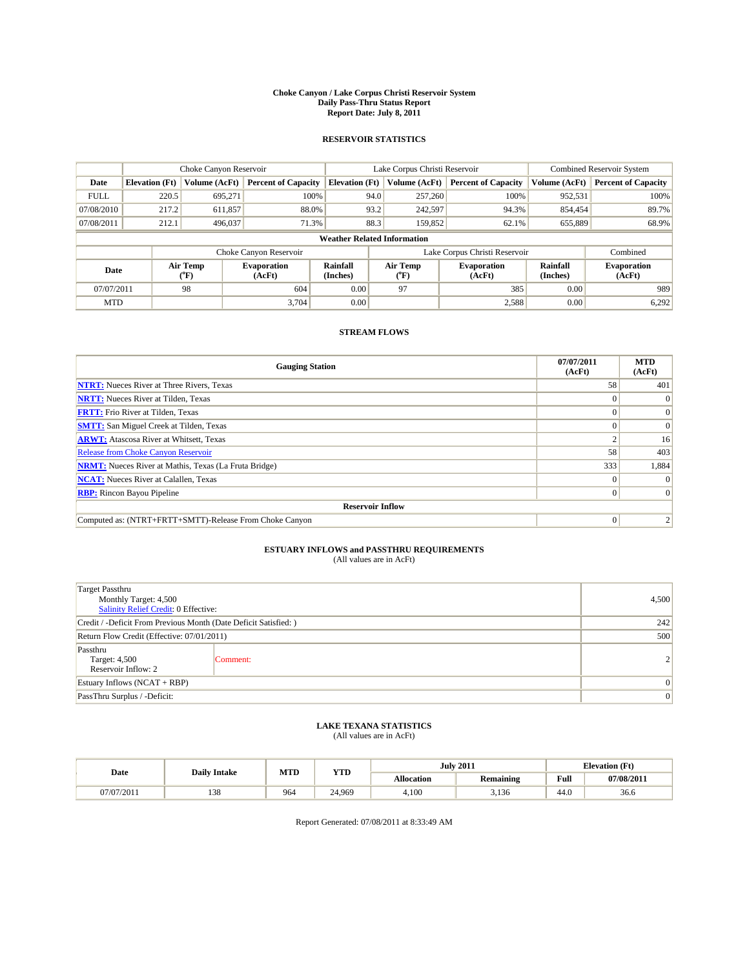#### **Choke Canyon / Lake Corpus Christi Reservoir System Daily Pass-Thru Status Report Report Date: July 8, 2011**

### **RESERVOIR STATISTICS**

|             | Choke Canyon Reservoir             |                                           |                              |                             | Lake Corpus Christi Reservoir | <b>Combined Reservoir System</b> |                             |                              |  |  |
|-------------|------------------------------------|-------------------------------------------|------------------------------|-----------------------------|-------------------------------|----------------------------------|-----------------------------|------------------------------|--|--|
| Date        | <b>Elevation</b> (Ft)              | Volume (AcFt)                             | <b>Percent of Capacity</b>   | <b>Elevation</b> (Ft)       | Volume (AcFt)                 | <b>Percent of Capacity</b>       | Volume (AcFt)               | <b>Percent of Capacity</b>   |  |  |
| <b>FULL</b> | 220.5                              | 695,271                                   | 100%                         |                             | 94.0<br>257,260               | 100%                             | 952,531                     | 100%                         |  |  |
| 07/08/2010  | 217.2                              | 611,857                                   | 88.0%                        |                             | 93.2<br>242,597               | 94.3%                            | 854,454                     | 89.7%                        |  |  |
| 07/08/2011  | 212.1                              | 496,037                                   | 71.3%                        |                             | 88.3<br>159,852               | 62.1%                            | 655,889                     | 68.9%                        |  |  |
|             | <b>Weather Related Information</b> |                                           |                              |                             |                               |                                  |                             |                              |  |  |
|             |                                    |                                           | Choke Canyon Reservoir       |                             |                               | Lake Corpus Christi Reservoir    |                             | Combined                     |  |  |
| Date        |                                    | Air Temp<br>$({}^{\mathrm{o}}\mathrm{F})$ | <b>Evaporation</b><br>(AcFt) | <b>Rainfall</b><br>(Inches) | Air Temp<br>(°F)              | <b>Evaporation</b><br>(AcFt)     | <b>Rainfall</b><br>(Inches) | <b>Evaporation</b><br>(AcFt) |  |  |
| 07/07/2011  |                                    | 98                                        | 604                          | 0.00                        | 97                            | 385                              | 0.00                        | 989                          |  |  |
| <b>MTD</b>  |                                    |                                           | 3.704                        | 0.00                        |                               | 2,588                            | 0.00                        | 6,292                        |  |  |

## **STREAM FLOWS**

| <b>Gauging Station</b>                                       | 07/07/2011<br>(AcFt) | <b>MTD</b><br>(AcFt) |
|--------------------------------------------------------------|----------------------|----------------------|
| <b>NTRT:</b> Nueces River at Three Rivers, Texas             | 58                   | 401                  |
| <b>NRTT:</b> Nueces River at Tilden, Texas                   |                      |                      |
| <b>FRTT:</b> Frio River at Tilden, Texas                     |                      | $\Omega$             |
| <b>SMTT:</b> San Miguel Creek at Tilden, Texas               |                      | $\Omega$             |
| <b>ARWT:</b> Atascosa River at Whitsett, Texas               |                      | 16                   |
| <b>Release from Choke Canyon Reservoir</b>                   | 58                   | 403                  |
| <b>NRMT:</b> Nueces River at Mathis, Texas (La Fruta Bridge) | 333                  | 1,884                |
| <b>NCAT:</b> Nueces River at Calallen, Texas                 | $\Omega$             | $\Omega$             |
| <b>RBP:</b> Rincon Bayou Pipeline                            | $\Omega$             | $\Omega$             |
| <b>Reservoir Inflow</b>                                      |                      |                      |
| Computed as: (NTRT+FRTT+SMTT)-Release From Choke Canyon      | $\Omega$             |                      |

# **ESTUARY INFLOWS and PASSTHRU REQUIREMENTS**<br>(All values are in AcFt)

| <b>Target Passthru</b><br>Monthly Target: 4,500<br>Salinity Relief Credit: 0 Effective: | 4,500          |  |
|-----------------------------------------------------------------------------------------|----------------|--|
| Credit / -Deficit From Previous Month (Date Deficit Satisfied: )                        | 242            |  |
| Return Flow Credit (Effective: 07/01/2011)                                              | 500            |  |
| Passthru<br>Target: 4,500<br>Reservoir Inflow: 2                                        | Comment:       |  |
| Estuary Inflows $(NCAT + RBP)$                                                          | 0              |  |
| PassThru Surplus / -Deficit:                                                            | $\overline{0}$ |  |

## **LAKE TEXANA STATISTICS** (All values are in AcFt)

| Date       | <b>Daily Intake</b> | MTD | <b>YTD</b> |                   | <b>July 2011</b> | <b>Elevation</b> (Ft) |            |
|------------|---------------------|-----|------------|-------------------|------------------|-----------------------|------------|
|            |                     |     |            | <b>Allocation</b> | <b>Remaining</b> | Full                  | 07/08/2011 |
| 07/07/2011 | 120<br>138          | 964 | 24.969     | 4.100             | 3,136            | 44.0                  | 36.6       |

Report Generated: 07/08/2011 at 8:33:49 AM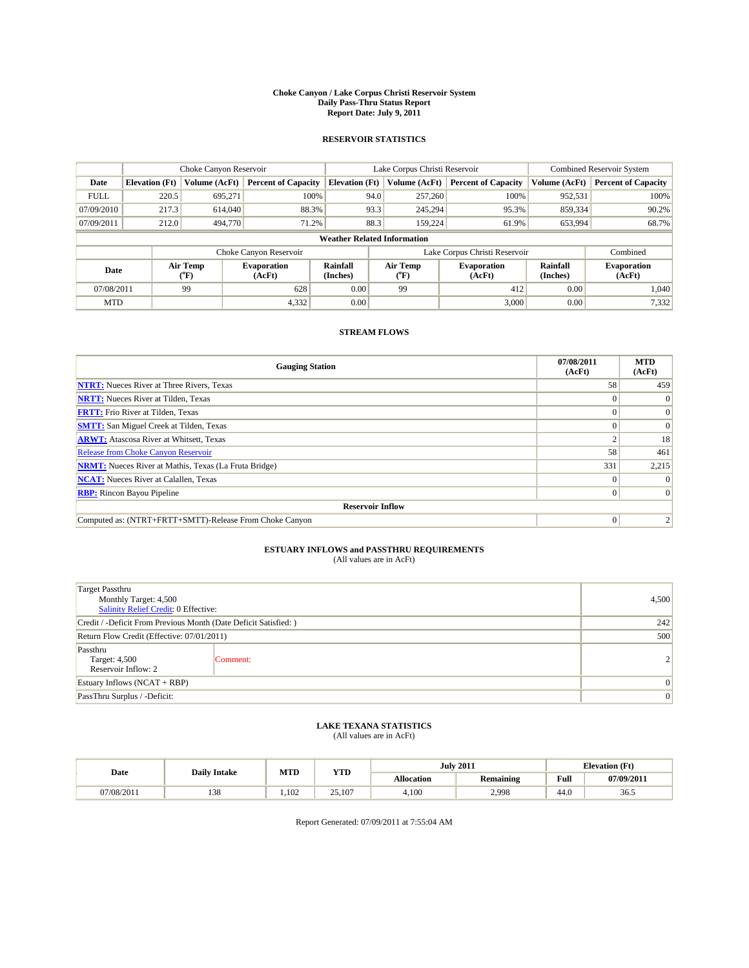#### **Choke Canyon / Lake Corpus Christi Reservoir System Daily Pass-Thru Status Report Report Date: July 9, 2011**

### **RESERVOIR STATISTICS**

|             | Choke Canyon Reservoir             |                             |                              |                             | Lake Corpus Christi Reservoir |                  |                               |                             | <b>Combined Reservoir System</b> |  |
|-------------|------------------------------------|-----------------------------|------------------------------|-----------------------------|-------------------------------|------------------|-------------------------------|-----------------------------|----------------------------------|--|
| Date        | <b>Elevation</b> (Ft)              | Volume (AcFt)               | <b>Percent of Capacity</b>   | <b>Elevation (Ft)</b>       |                               | Volume (AcFt)    | <b>Percent of Capacity</b>    | Volume (AcFt)               | <b>Percent of Capacity</b>       |  |
| <b>FULL</b> | 220.5                              | 695,271                     | 100%                         |                             | 94.0                          | 257,260          | 100%                          | 952,531                     | 100%                             |  |
| 07/09/2010  | 217.3                              | 614,040                     | 88.3%                        |                             | 93.3                          | 245.294          | 95.3%                         | 859,334                     | 90.2%                            |  |
| 07/09/2011  | 212.0                              | 494,770                     | 71.2%                        |                             | 88.3                          | 159.224          | 61.9%                         | 653,994                     | 68.7%                            |  |
|             | <b>Weather Related Information</b> |                             |                              |                             |                               |                  |                               |                             |                                  |  |
|             |                                    |                             | Choke Canyon Reservoir       |                             |                               |                  | Lake Corpus Christi Reservoir |                             | Combined                         |  |
| Date        |                                    | Air Temp<br>${}^{\circ}$ F) | <b>Evaporation</b><br>(AcFt) | <b>Rainfall</b><br>(Inches) |                               | Air Temp<br>(°F) | <b>Evaporation</b><br>(AcFt)  | <b>Rainfall</b><br>(Inches) | <b>Evaporation</b><br>(AcFt)     |  |
| 07/08/2011  |                                    | 99                          | 628                          | 0.00                        |                               | 99               | 412                           | 0.00                        | 1.040                            |  |
| <b>MTD</b>  |                                    |                             | 4,332                        | 0.00                        |                               |                  | 3,000                         | 0.00                        | 7,332                            |  |

## **STREAM FLOWS**

| <b>Gauging Station</b>                                       | 07/08/2011<br>(AcFt) | <b>MTD</b><br>(AcFt) |
|--------------------------------------------------------------|----------------------|----------------------|
| <b>NTRT:</b> Nueces River at Three Rivers, Texas             | 58                   | 459                  |
| <b>NRTT:</b> Nueces River at Tilden, Texas                   |                      | $\theta$             |
| <b>FRTT:</b> Frio River at Tilden, Texas                     |                      | $\Omega$             |
| <b>SMTT:</b> San Miguel Creek at Tilden, Texas               |                      | $\Omega$             |
| <b>ARWT:</b> Atascosa River at Whitsett, Texas               |                      | 18                   |
| <b>Release from Choke Canyon Reservoir</b>                   | 58                   | 461                  |
| <b>NRMT:</b> Nueces River at Mathis, Texas (La Fruta Bridge) | 331                  | 2,215                |
| <b>NCAT:</b> Nueces River at Calallen, Texas                 | $\Omega$             |                      |
| <b>RBP:</b> Rincon Bayou Pipeline                            | $\overline{0}$       | $\Omega$             |
| <b>Reservoir Inflow</b>                                      |                      |                      |
| Computed as: (NTRT+FRTT+SMTT)-Release From Choke Canyon      | $\Omega$             |                      |

# **ESTUARY INFLOWS and PASSTHRU REQUIREMENTS**<br>(All values are in AcFt)

| <b>Target Passthru</b><br>Monthly Target: 4,500<br>Salinity Relief Credit: 0 Effective: | 4,500           |  |
|-----------------------------------------------------------------------------------------|-----------------|--|
| Credit / -Deficit From Previous Month (Date Deficit Satisfied: )                        | 242             |  |
| Return Flow Credit (Effective: 07/01/2011)                                              | 500             |  |
| Passthru<br>Target: 4,500<br>Reservoir Inflow: 2                                        | Comment:        |  |
| Estuary Inflows $(NCAT + RBP)$                                                          | $\overline{0}$  |  |
| PassThru Surplus / -Deficit:                                                            | $\vert 0 \vert$ |  |

## **LAKE TEXANA STATISTICS** (All values are in AcFt)

|            | <b>Daily Intake</b> | MTD  | <b>YTD</b> |            | <b>July 2011</b> |                                             | <b>Elevation</b> (Ft) |
|------------|---------------------|------|------------|------------|------------------|---------------------------------------------|-----------------------|
| Date       |                     |      |            | Allocation | Remaining        | Full<br>the contract of the contract of the | 07/09/201*            |
| 07/08/2011 | 138                 | .102 | 25,107     | 4.100      | 2.998            | 44.0                                        | 36.5                  |

Report Generated: 07/09/2011 at 7:55:04 AM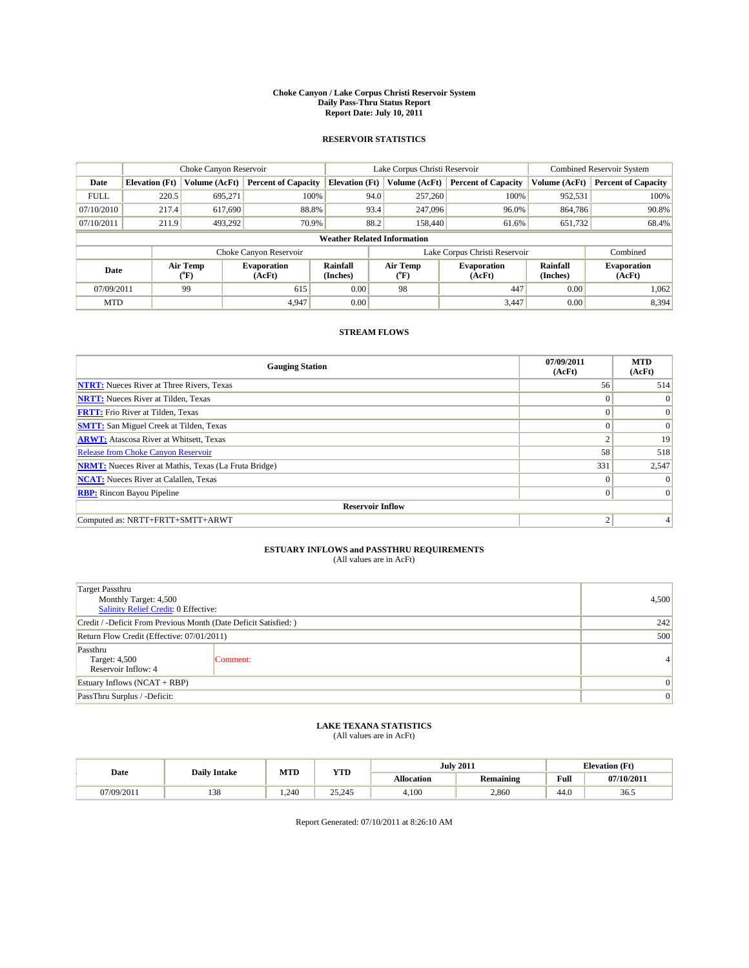#### **Choke Canyon / Lake Corpus Christi Reservoir System Daily Pass-Thru Status Report Report Date: July 10, 2011**

### **RESERVOIR STATISTICS**

|             |                                                                                                                                             | Choke Canyon Reservoir |                            |                                    | Lake Corpus Christi Reservoir |               |                               |               | <b>Combined Reservoir System</b> |  |
|-------------|---------------------------------------------------------------------------------------------------------------------------------------------|------------------------|----------------------------|------------------------------------|-------------------------------|---------------|-------------------------------|---------------|----------------------------------|--|
| Date        | <b>Elevation</b> (Ft)                                                                                                                       | Volume (AcFt)          | <b>Percent of Capacity</b> | <b>Elevation</b> (Ft)              |                               | Volume (AcFt) | <b>Percent of Capacity</b>    | Volume (AcFt) | <b>Percent of Capacity</b>       |  |
| <b>FULL</b> | 220.5                                                                                                                                       | 695,271                | 100%                       |                                    | 94.0                          | 257,260       | 100%                          | 952,531       | 100%                             |  |
| 07/10/2010  | 217.4                                                                                                                                       | 617.690                | 88.8%                      |                                    | 93.4                          | 247,096       | 96.0%                         | 864,786       | 90.8%                            |  |
| 07/10/2011  | 211.9                                                                                                                                       | 493,292                | 70.9%                      |                                    | 88.2                          | 158,440       | 61.6%                         | 651,732       | 68.4%                            |  |
|             |                                                                                                                                             |                        |                            | <b>Weather Related Information</b> |                               |               |                               |               |                                  |  |
|             |                                                                                                                                             |                        | Choke Canyon Reservoir     |                                    |                               |               | Lake Corpus Christi Reservoir |               | Combined                         |  |
|             | Air Temp<br>Air Temp<br><b>Rainfall</b><br><b>Evaporation</b><br><b>Evaporation</b><br>Date<br>(Inches)<br>(AcFt)<br>(AcFt)<br>(°F)<br>(°F) |                        | Rainfall<br>(Inches)       | <b>Evaporation</b><br>(AcFt)       |                               |               |                               |               |                                  |  |
| 07/09/2011  |                                                                                                                                             | 99                     | 615                        | 0.00                               |                               | 98            | 447                           | 0.00          | 1.062                            |  |
| <b>MTD</b>  |                                                                                                                                             |                        | 4.947                      | 0.00                               |                               |               | 3.447                         | 0.00          | 8,394                            |  |

## **STREAM FLOWS**

| <b>Gauging Station</b>                                       | 07/09/2011<br>(AcFt) | <b>MTD</b><br>(AcFt) |  |  |  |  |
|--------------------------------------------------------------|----------------------|----------------------|--|--|--|--|
| <b>NTRT:</b> Nueces River at Three Rivers, Texas             | 56                   | 514                  |  |  |  |  |
| <b>NRTT:</b> Nueces River at Tilden, Texas                   | $\Omega$             | $\Omega$             |  |  |  |  |
| <b>FRTT:</b> Frio River at Tilden, Texas                     | $\Omega$             | $\vert 0 \vert$      |  |  |  |  |
| <b>SMTT:</b> San Miguel Creek at Tilden, Texas               | $\Omega$             | $\Omega$             |  |  |  |  |
| <b>ARWT:</b> Atascosa River at Whitsett, Texas               | $\Delta$             | 19                   |  |  |  |  |
| Release from Choke Canyon Reservoir                          | 58                   | 518                  |  |  |  |  |
| <b>NRMT:</b> Nueces River at Mathis, Texas (La Fruta Bridge) | 331                  | 2,547                |  |  |  |  |
| <b>NCAT:</b> Nueces River at Calallen, Texas                 | $\Omega$             |                      |  |  |  |  |
| <b>RBP:</b> Rincon Bayou Pipeline                            | $\vert 0 \vert$      | $\Omega$             |  |  |  |  |
| <b>Reservoir Inflow</b>                                      |                      |                      |  |  |  |  |
| Computed as: NRTT+FRTT+SMTT+ARWT                             | 2                    |                      |  |  |  |  |

# **ESTUARY INFLOWS and PASSTHRU REQUIREMENTS**<br>(All values are in AcFt)

| <b>Target Passthru</b><br>Monthly Target: 4,500<br>Salinity Relief Credit: 0 Effective: |          | 4,500          |  |
|-----------------------------------------------------------------------------------------|----------|----------------|--|
| Credit / -Deficit From Previous Month (Date Deficit Satisfied: )                        | 242      |                |  |
| Return Flow Credit (Effective: 07/01/2011)                                              |          |                |  |
| Passthru<br>Target: 4,500<br>Reservoir Inflow: 4                                        | Comment: | 4              |  |
| Estuary Inflows $(NCAT + RBP)$                                                          |          |                |  |
| PassThru Surplus / -Deficit:                                                            |          | $\overline{0}$ |  |

## **LAKE TEXANA STATISTICS** (All values are in AcFt)

|            | <b>Daily Intake</b> | MTD  | <b>YTD</b> |                   | <b>July 2011</b> | <b>Elevation</b> (Ft)                       |                          |
|------------|---------------------|------|------------|-------------------|------------------|---------------------------------------------|--------------------------|
| Date       |                     |      |            | <b>Allocation</b> | <b>Remaining</b> | Full<br>the contract of the contract of the | $07/10/201$ <sup>+</sup> |
| 07/09/2011 | 138                 | .240 | 25,245     | 4.100             | 2,860            | 44.0                                        | 36.5                     |

Report Generated: 07/10/2011 at 8:26:10 AM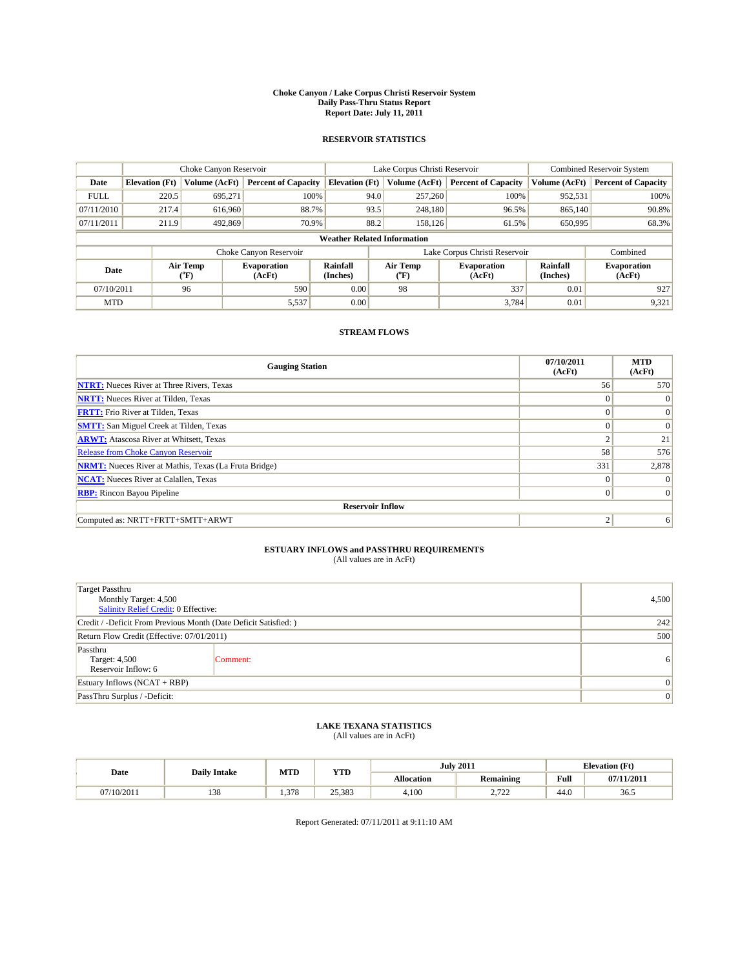#### **Choke Canyon / Lake Corpus Christi Reservoir System Daily Pass-Thru Status Report Report Date: July 11, 2011**

### **RESERVOIR STATISTICS**

|             |                       | Choke Canyon Reservoir |                              |                                    | Lake Corpus Christi Reservoir                    | <b>Combined Reservoir System</b> |                             |                              |
|-------------|-----------------------|------------------------|------------------------------|------------------------------------|--------------------------------------------------|----------------------------------|-----------------------------|------------------------------|
| Date        | <b>Elevation</b> (Ft) | Volume (AcFt)          | <b>Percent of Capacity</b>   | <b>Elevation</b> (Ft)              | Volume (AcFt)                                    | <b>Percent of Capacity</b>       | Volume (AcFt)               | <b>Percent of Capacity</b>   |
| <b>FULL</b> | 220.5                 | 695,271                | 100%                         | 94.0                               | 257,260                                          | 100%                             | 952,531                     | 100%                         |
| 07/11/2010  | 217.4                 | 616,960                | 88.7%                        | 93.5                               | 248,180                                          | 96.5%                            | 865,140                     | 90.8%                        |
| 07/11/2011  | 211.9                 | 492,869                | 70.9%                        | 88.2                               | 158,126                                          | 61.5%                            | 650,995                     | 68.3%                        |
|             |                       |                        |                              | <b>Weather Related Information</b> |                                                  |                                  |                             |                              |
|             |                       |                        | Choke Canyon Reservoir       |                                    |                                                  | Lake Corpus Christi Reservoir    |                             | Combined                     |
| Date        |                       | Air Temp<br>(°F)       | <b>Evaporation</b><br>(AcFt) | <b>Rainfall</b><br>(Inches)        | Air Temp<br><b>Evaporation</b><br>(AcFt)<br>(°F) |                                  | <b>Rainfall</b><br>(Inches) | <b>Evaporation</b><br>(AcFt) |
| 07/10/2011  |                       | 96                     | 590                          | 0.00                               | 98                                               | 337                              | 0.01                        | 927                          |
| <b>MTD</b>  |                       |                        | 5,537                        | 0.00                               |                                                  | 3.784                            | 0.01                        | 9,321                        |

## **STREAM FLOWS**

| <b>Gauging Station</b>                                       | 07/10/2011<br>(AcFt) | <b>MTD</b><br>(AcFt) |  |  |  |  |
|--------------------------------------------------------------|----------------------|----------------------|--|--|--|--|
| <b>NTRT:</b> Nueces River at Three Rivers, Texas             | 56                   | 570                  |  |  |  |  |
| <b>NRTT:</b> Nueces River at Tilden, Texas                   | $\Omega$             | $\Omega$             |  |  |  |  |
| <b>FRTT:</b> Frio River at Tilden, Texas                     | $\Omega$             | $\vert 0 \vert$      |  |  |  |  |
| <b>SMTT:</b> San Miguel Creek at Tilden, Texas               | $\Omega$             | $\Omega$             |  |  |  |  |
| <b>ARWT:</b> Atascosa River at Whitsett, Texas               | $\Delta$             | 21                   |  |  |  |  |
| <b>Release from Choke Canyon Reservoir</b>                   | 58                   | 576                  |  |  |  |  |
| <b>NRMT:</b> Nueces River at Mathis, Texas (La Fruta Bridge) | 331                  | 2,878                |  |  |  |  |
| <b>NCAT:</b> Nueces River at Calallen, Texas                 | $\Omega$             |                      |  |  |  |  |
| <b>RBP:</b> Rincon Bayou Pipeline                            | $\overline{0}$       | $\Omega$             |  |  |  |  |
| <b>Reservoir Inflow</b>                                      |                      |                      |  |  |  |  |
| Computed as: NRTT+FRTT+SMTT+ARWT                             | 2                    | 6                    |  |  |  |  |

# **ESTUARY INFLOWS and PASSTHRU REQUIREMENTS**<br>(All values are in AcFt)

| <b>Target Passthru</b><br>Monthly Target: 4,500<br>Salinity Relief Credit: 0 Effective: |          | 4,500          |  |
|-----------------------------------------------------------------------------------------|----------|----------------|--|
| Credit / -Deficit From Previous Month (Date Deficit Satisfied: )                        | 242      |                |  |
| Return Flow Credit (Effective: 07/01/2011)                                              | 500      |                |  |
| Passthru<br>Target: 4,500<br>Reservoir Inflow: 6                                        | Comment: | 6              |  |
| Estuary Inflows $(NCAT + RBP)$                                                          |          |                |  |
| PassThru Surplus / -Deficit:                                                            |          | $\overline{0}$ |  |

## **LAKE TEXANA STATISTICS** (All values are in AcFt)

|            | <b>Daily Intake</b> | MTD  | <b>YTD</b> |                   | <b>July 2011</b>       | <b>Elevation</b> (Ft)                       |            |
|------------|---------------------|------|------------|-------------------|------------------------|---------------------------------------------|------------|
| Date       |                     |      |            | <b>Allocation</b> | <b>Remaining</b>       | Full<br>the contract of the contract of the | 07/11/2011 |
| 07/10/2011 | 138                 | .378 | 25.383     | 4.100             | .700<br><u>_. . _.</u> | 44.0                                        | 36.5       |

Report Generated: 07/11/2011 at 9:11:10 AM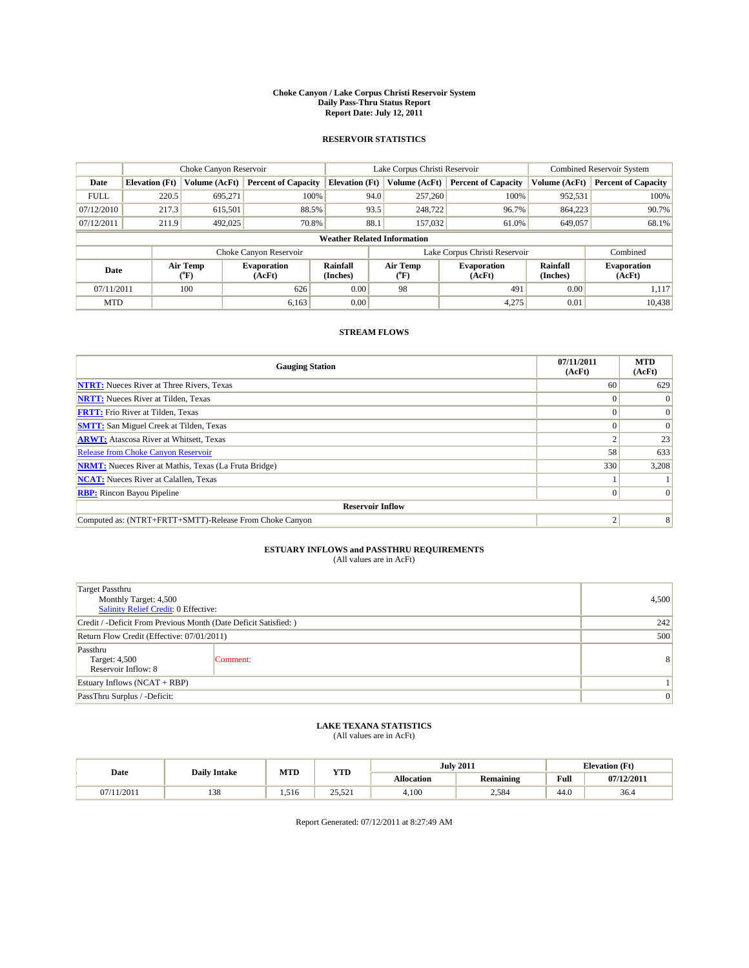#### **Choke Canyon / Lake Corpus Christi Reservoir System Daily Pass-Thru Status Report Report Date: July 12, 2011**

### **RESERVOIR STATISTICS**

|             |                       | Choke Canyon Reservoir                    |                              |                                                                                 | Lake Corpus Christi Reservoir | <b>Combined Reservoir System</b> |                              |                            |
|-------------|-----------------------|-------------------------------------------|------------------------------|---------------------------------------------------------------------------------|-------------------------------|----------------------------------|------------------------------|----------------------------|
| Date        | <b>Elevation</b> (Ft) | Volume (AcFt)                             | <b>Percent of Capacity</b>   | <b>Elevation</b> (Ft)                                                           | Volume (AcFt)                 | <b>Percent of Capacity</b>       | Volume (AcFt)                | <b>Percent of Capacity</b> |
| <b>FULL</b> | 220.5                 | 695,271                                   | 100%                         | 94.0                                                                            | 257,260                       | 100%                             | 952,531                      | 100%                       |
| 07/12/2010  | 217.3                 | 615,501                                   | 88.5%                        | 93.5                                                                            | 248,722                       | 96.7%                            | 864,223                      | 90.7%                      |
| 07/12/2011  | 211.9                 | 492,025                                   | 70.8%                        | 88.1                                                                            | 157,032                       | 61.0%                            | 649,057                      | 68.1%                      |
|             |                       |                                           |                              | <b>Weather Related Information</b>                                              |                               |                                  |                              |                            |
|             |                       |                                           | Choke Canyon Reservoir       |                                                                                 |                               | Lake Corpus Christi Reservoir    |                              | Combined                   |
| Date        |                       | Air Temp<br>$({}^{\mathrm{o}}\mathrm{F})$ | <b>Evaporation</b><br>(AcFt) | <b>Rainfall</b><br>Air Temp<br><b>Evaporation</b><br>(Inches)<br>(AcFt)<br>("F) |                               | <b>Rainfall</b><br>(Inches)      | <b>Evaporation</b><br>(AcFt) |                            |
| 07/11/2011  |                       | 100                                       | 626                          | 0.00                                                                            | 98                            | 491                              | 0.00                         | 1,117                      |
| <b>MTD</b>  |                       |                                           | 6,163                        | 0.00                                                                            |                               | 4,275                            | 0.01                         | 10,438                     |

## **STREAM FLOWS**

| <b>Gauging Station</b>                                       | 07/11/2011<br>(AcFt) | <b>MTD</b><br>(AcFt) |  |  |  |  |
|--------------------------------------------------------------|----------------------|----------------------|--|--|--|--|
| <b>NTRT:</b> Nueces River at Three Rivers, Texas             | 60                   | 629                  |  |  |  |  |
| <b>NRTT:</b> Nueces River at Tilden, Texas                   |                      |                      |  |  |  |  |
| <b>FRTT:</b> Frio River at Tilden, Texas                     |                      | $\Omega$             |  |  |  |  |
| <b>SMTT:</b> San Miguel Creek at Tilden, Texas               |                      | $\Omega$             |  |  |  |  |
| <b>ARWT:</b> Atascosa River at Whitsett, Texas               |                      | 23                   |  |  |  |  |
| Release from Choke Canyon Reservoir                          | 58                   | 633                  |  |  |  |  |
| <b>NRMT:</b> Nueces River at Mathis, Texas (La Fruta Bridge) | 330                  | 3,208                |  |  |  |  |
| <b>NCAT:</b> Nueces River at Calallen, Texas                 |                      |                      |  |  |  |  |
| <b>RBP:</b> Rincon Bayou Pipeline                            | $\Omega$             |                      |  |  |  |  |
| <b>Reservoir Inflow</b>                                      |                      |                      |  |  |  |  |
| Computed as: (NTRT+FRTT+SMTT)-Release From Choke Canyon      |                      | 8                    |  |  |  |  |

## **ESTUARY INFLOWS and PASSTHRU REQUIREMENTS**

| (All values are in AcFt) |  |
|--------------------------|--|
|--------------------------|--|

| <b>Target Passthru</b><br>Monthly Target: 4,500<br>Salinity Relief Credit: 0 Effective: | 4,500    |              |
|-----------------------------------------------------------------------------------------|----------|--------------|
| Credit / -Deficit From Previous Month (Date Deficit Satisfied: )                        | 242      |              |
| Return Flow Credit (Effective: 07/01/2011)                                              | 500      |              |
| Passthru<br>Target: 4,500<br>Reservoir Inflow: 8                                        | Comment: | 8            |
| Estuary Inflows (NCAT + RBP)                                                            |          |              |
| PassThru Surplus / -Deficit:                                                            |          | $\mathbf{0}$ |

## **LAKE TEXANA STATISTICS** (All values are in AcFt)

| Date      | <b>Daily Intake</b> | MTD   | <b>YTD</b>                          |                   | <b>July 2011</b> |      | <b>Elevation</b> (Ft) |
|-----------|---------------------|-------|-------------------------------------|-------------------|------------------|------|-----------------------|
|           |                     |       |                                     | <b>Allocation</b> | <b>Remaining</b> | Full | 07/12/2011            |
| (11/2011) | 138                 | 1.516 | 501<br>$\cap \subset$<br>المكان ولك | 4.100             | 2,584            | 44.0 | 36.4                  |

Report Generated: 07/12/2011 at 8:27:49 AM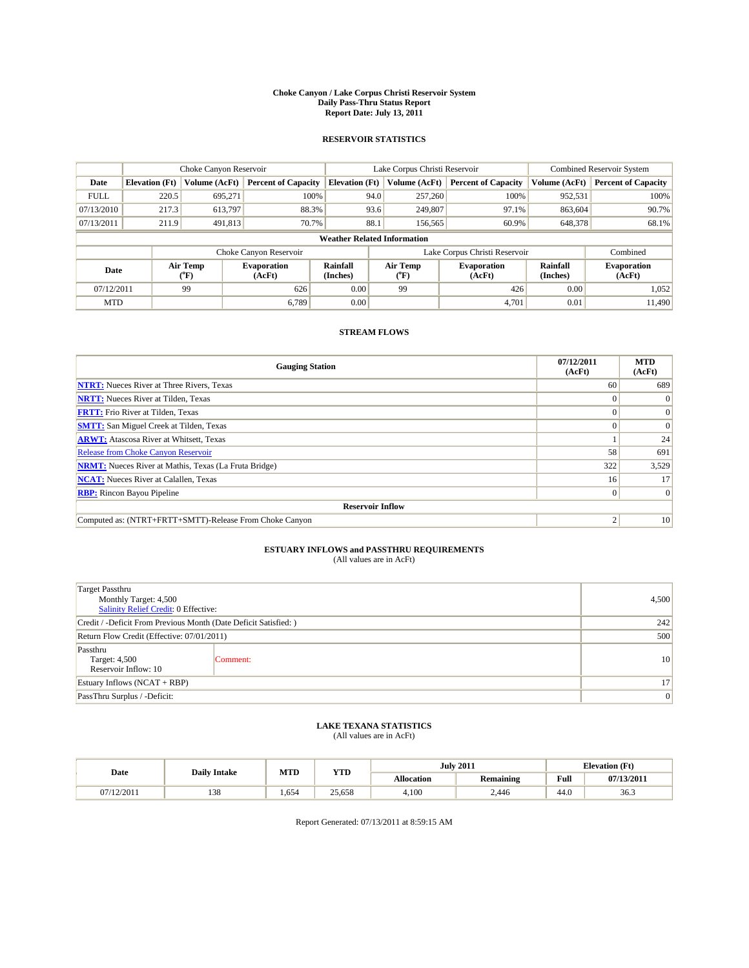#### **Choke Canyon / Lake Corpus Christi Reservoir System Daily Pass-Thru Status Report Report Date: July 13, 2011**

### **RESERVOIR STATISTICS**

|             |                                    | Choke Canyon Reservoir                    |                              |                             | Lake Corpus Christi Reservoir | <b>Combined Reservoir System</b> |                      |                              |
|-------------|------------------------------------|-------------------------------------------|------------------------------|-----------------------------|-------------------------------|----------------------------------|----------------------|------------------------------|
| Date        | <b>Elevation</b> (Ft)              | Volume (AcFt)                             | <b>Percent of Capacity</b>   | <b>Elevation</b> (Ft)       | Volume (AcFt)                 | <b>Percent of Capacity</b>       | Volume (AcFt)        | <b>Percent of Capacity</b>   |
| <b>FULL</b> | 220.5                              | 695,271                                   | 100%                         | 94.0                        | 257,260                       | 100%                             | 952,531              | 100%                         |
| 07/13/2010  | 217.3                              | 613,797                                   | 88.3%                        |                             | 93.6<br>249,807               | 97.1%                            | 863,604              | 90.7%                        |
| 07/13/2011  | 211.9                              | 491,813                                   | 70.7%                        | 88.1                        | 156,565                       | 60.9%                            | 648,378              | 68.1%                        |
|             | <b>Weather Related Information</b> |                                           |                              |                             |                               |                                  |                      |                              |
|             |                                    |                                           | Choke Canyon Reservoir       |                             | Lake Corpus Christi Reservoir |                                  |                      | Combined                     |
| Date        |                                    | Air Temp<br>$({}^{\mathrm{o}}\mathrm{F})$ | <b>Evaporation</b><br>(AcFt) | <b>Rainfall</b><br>(Inches) | Air Temp<br>("F)              | <b>Evaporation</b><br>(AcFt)     | Rainfall<br>(Inches) | <b>Evaporation</b><br>(AcFt) |
| 07/12/2011  |                                    | 99                                        | 626                          | 0.00                        | 99                            | 426                              | 0.00                 | 1.052                        |
| <b>MTD</b>  |                                    |                                           | 6.789                        | 0.00                        |                               | 4.701                            | 0.01                 | 11.490                       |

### **STREAM FLOWS**

| <b>Gauging Station</b>                                       | 07/12/2011<br>(AcFt) | <b>MTD</b><br>(AcFt) |  |  |  |  |
|--------------------------------------------------------------|----------------------|----------------------|--|--|--|--|
| <b>NTRT:</b> Nueces River at Three Rivers, Texas             | 60                   | 689                  |  |  |  |  |
| <b>NRTT:</b> Nueces River at Tilden, Texas                   |                      | $\theta$             |  |  |  |  |
| <b>FRTT:</b> Frio River at Tilden, Texas                     |                      | $\Omega$             |  |  |  |  |
| <b>SMTT:</b> San Miguel Creek at Tilden, Texas               |                      | $\Omega$             |  |  |  |  |
| <b>ARWT:</b> Atascosa River at Whitsett, Texas               |                      | 24                   |  |  |  |  |
| Release from Choke Canyon Reservoir                          | 58                   | 691                  |  |  |  |  |
| <b>NRMT:</b> Nueces River at Mathis, Texas (La Fruta Bridge) | 322                  | 3,529                |  |  |  |  |
| <b>NCAT:</b> Nueces River at Calallen, Texas                 | 16 <sup>1</sup>      | 17                   |  |  |  |  |
| <b>RBP:</b> Rincon Bayou Pipeline                            | $\Omega$             | $\Omega$             |  |  |  |  |
| <b>Reservoir Inflow</b>                                      |                      |                      |  |  |  |  |
| Computed as: (NTRT+FRTT+SMTT)-Release From Choke Canyon      | c                    | 10                   |  |  |  |  |

# **ESTUARY INFLOWS and PASSTHRU REQUIREMENTS**<br>(All values are in AcFt)

| <b>Target Passthru</b><br>Monthly Target: 4,500<br>Salinity Relief Credit: 0 Effective: | 4,500           |                 |
|-----------------------------------------------------------------------------------------|-----------------|-----------------|
| Credit / -Deficit From Previous Month (Date Deficit Satisfied: )                        | 242             |                 |
| Return Flow Credit (Effective: 07/01/2011)                                              | 500             |                 |
| Passthru<br>Target: 4,500<br>Reservoir Inflow: 10                                       | Comment:        | 10 <sup>1</sup> |
| Estuary Inflows (NCAT + RBP)                                                            | 17 <sup>1</sup> |                 |
| PassThru Surplus / -Deficit:                                                            | 0               |                 |

## **LAKE TEXANA STATISTICS** (All values are in AcFt)

|            | <b>Daily Intake</b> | MTD     | <b>YTD</b> |                   | <b>July 2011</b> | <b>Elevation</b> (Ft) |            |
|------------|---------------------|---------|------------|-------------------|------------------|-----------------------|------------|
| Date       |                     |         |            | <b>Allocation</b> | Remaining        | Full                  | 07/13/2011 |
| 07/12/2011 | 129<br>120          | . . 654 | 25.658     | 4,100             | 2.446            | 44.0                  | 36.3       |

Report Generated: 07/13/2011 at 8:59:15 AM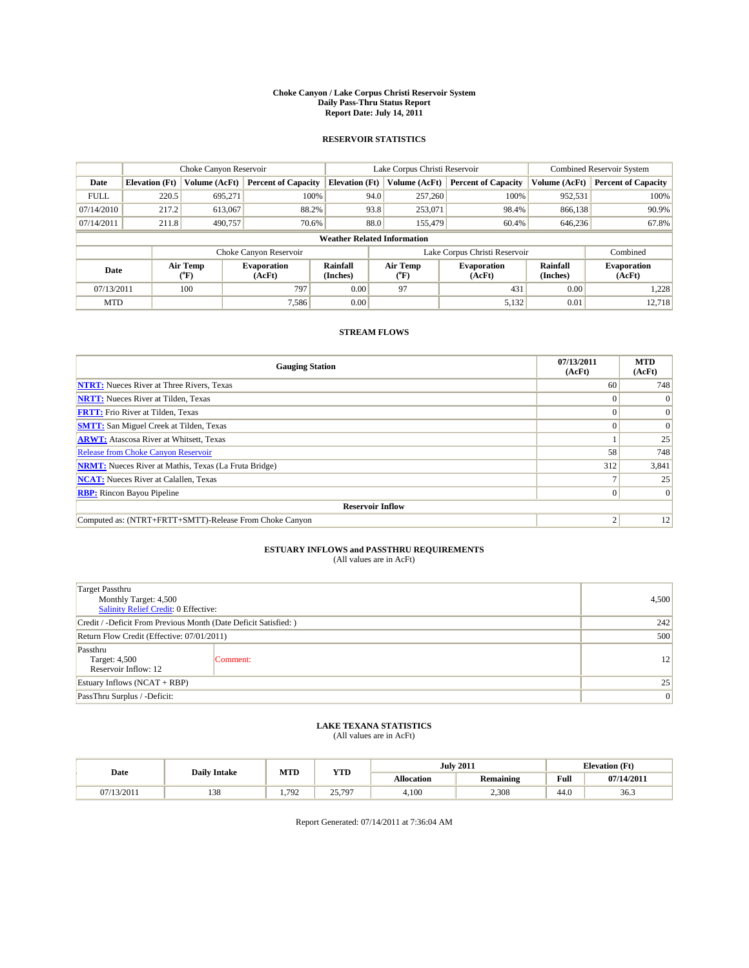#### **Choke Canyon / Lake Corpus Christi Reservoir System Daily Pass-Thru Status Report Report Date: July 14, 2011**

### **RESERVOIR STATISTICS**

|             |                                    | Choke Canyon Reservoir                    |                              |                             | Lake Corpus Christi Reservoir | <b>Combined Reservoir System</b> |                             |                              |
|-------------|------------------------------------|-------------------------------------------|------------------------------|-----------------------------|-------------------------------|----------------------------------|-----------------------------|------------------------------|
| Date        | <b>Elevation</b> (Ft)              | Volume (AcFt)                             | <b>Percent of Capacity</b>   | <b>Elevation</b> (Ft)       | Volume (AcFt)                 | <b>Percent of Capacity</b>       | Volume (AcFt)               | <b>Percent of Capacity</b>   |
| <b>FULL</b> | 220.5                              | 695,271                                   | 100%                         | 94.0                        | 257,260                       | 100%                             | 952,531                     | 100%                         |
| 07/14/2010  | 217.2                              | 613,067                                   | 88.2%                        | 93.8                        | 253,071                       | 98.4%                            | 866,138                     | 90.9%                        |
| 07/14/2011  | 211.8                              | 490.757                                   | 70.6%                        | 88.0                        | 155,479                       | 60.4%                            | 646,236                     | 67.8%                        |
|             | <b>Weather Related Information</b> |                                           |                              |                             |                               |                                  |                             |                              |
|             |                                    |                                           | Choke Canyon Reservoir       |                             | Lake Corpus Christi Reservoir |                                  |                             | Combined                     |
| Date        |                                    | Air Temp<br>$({}^{\mathrm{o}}\mathrm{F})$ | <b>Evaporation</b><br>(AcFt) | <b>Rainfall</b><br>(Inches) | Air Temp<br>("F)              | <b>Evaporation</b><br>(AcFt)     | <b>Rainfall</b><br>(Inches) | <b>Evaporation</b><br>(AcFt) |
| 07/13/2011  |                                    | 100                                       | 797                          | 0.00                        | 97                            | 431                              | 0.00                        | 1.228                        |
| <b>MTD</b>  |                                    |                                           | 7.586                        | 0.00                        |                               | 5,132                            | 0.01                        | 12.718                       |

## **STREAM FLOWS**

| <b>Gauging Station</b>                                       | 07/13/2011<br>(AcFt) | <b>MTD</b><br>(AcFt) |  |  |  |  |
|--------------------------------------------------------------|----------------------|----------------------|--|--|--|--|
| <b>NTRT:</b> Nueces River at Three Rivers, Texas             | 60                   | 748                  |  |  |  |  |
| <b>NRTT:</b> Nueces River at Tilden, Texas                   |                      | $\Omega$             |  |  |  |  |
| <b>FRTT:</b> Frio River at Tilden, Texas                     |                      | $\Omega$             |  |  |  |  |
| <b>SMTT:</b> San Miguel Creek at Tilden, Texas               |                      | $\Omega$             |  |  |  |  |
| <b>ARWT:</b> Atascosa River at Whitsett, Texas               |                      | 25                   |  |  |  |  |
| Release from Choke Canyon Reservoir                          | 58                   | 748                  |  |  |  |  |
| <b>NRMT:</b> Nueces River at Mathis, Texas (La Fruta Bridge) | 312                  | 3,841                |  |  |  |  |
| <b>NCAT:</b> Nueces River at Calallen, Texas                 |                      | 25                   |  |  |  |  |
| <b>RBP:</b> Rincon Bayou Pipeline                            | $\Omega$             | $\Omega$             |  |  |  |  |
| <b>Reservoir Inflow</b>                                      |                      |                      |  |  |  |  |
| Computed as: (NTRT+FRTT+SMTT)-Release From Choke Canyon      | ◠                    | 12                   |  |  |  |  |

# **ESTUARY INFLOWS and PASSTHRU REQUIREMENTS**<br>(All values are in AcFt)

| <b>Target Passthru</b><br>Monthly Target: 4,500<br>Salinity Relief Credit: 0 Effective: | 4,500    |    |
|-----------------------------------------------------------------------------------------|----------|----|
| Credit / -Deficit From Previous Month (Date Deficit Satisfied: )                        | 242      |    |
| Return Flow Credit (Effective: 07/01/2011)                                              | 500      |    |
| Passthru<br>Target: 4,500<br>Reservoir Inflow: 12                                       | Comment: | 12 |
| Estuary Inflows $(NCAT + RBP)$                                                          | 25       |    |
| PassThru Surplus / -Deficit:                                                            | 0        |    |

## **LAKE TEXANA STATISTICS** (All values are in AcFt)

|            | <b>Daily Intake</b> | MTD  | <b>YTD</b>    |                   | <b>July 2011</b> | <b>Elevation</b> (Ft)                       |            |
|------------|---------------------|------|---------------|-------------------|------------------|---------------------------------------------|------------|
| Date       |                     |      |               | <b>Allocation</b> | <b>Remaining</b> | Full<br>the contract of the contract of the | 07/14/2011 |
| 07/13/2011 | 138                 | .792 | 25.797<br>. ب | 4.100             | 2,308            | 44.0                                        | 36.3       |

Report Generated: 07/14/2011 at 7:36:04 AM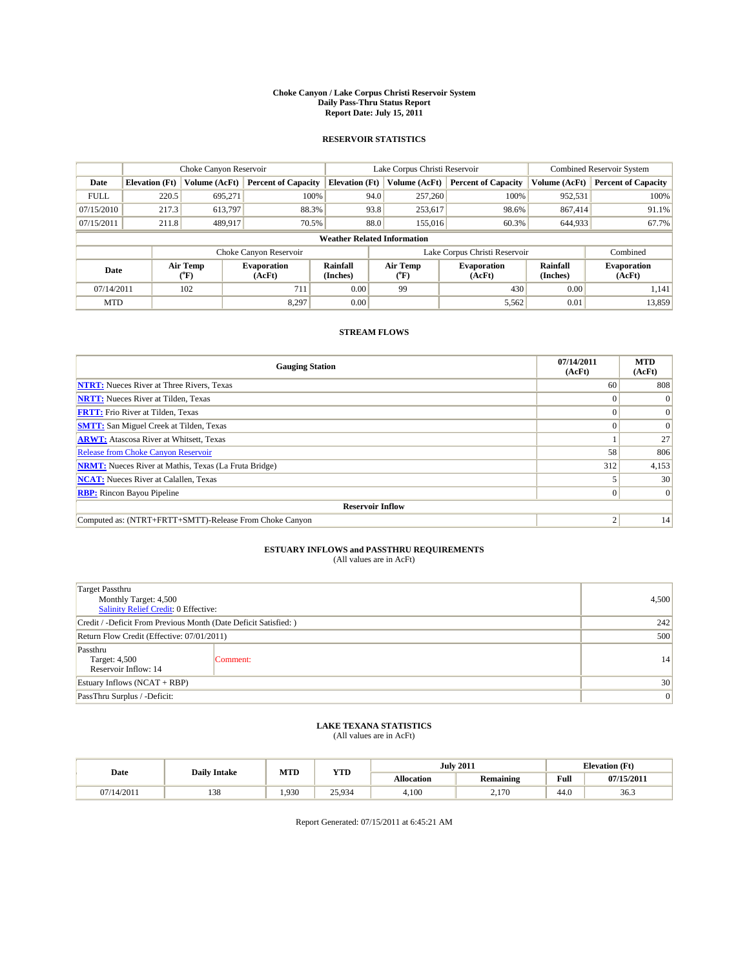#### **Choke Canyon / Lake Corpus Christi Reservoir System Daily Pass-Thru Status Report Report Date: July 15, 2011**

### **RESERVOIR STATISTICS**

|             |                                    | Choke Canyon Reservoir                    |                              |                             | Lake Corpus Christi Reservoir | <b>Combined Reservoir System</b> |                             |                              |
|-------------|------------------------------------|-------------------------------------------|------------------------------|-----------------------------|-------------------------------|----------------------------------|-----------------------------|------------------------------|
| Date        | <b>Elevation</b> (Ft)              | Volume (AcFt)                             | <b>Percent of Capacity</b>   | <b>Elevation</b> (Ft)       | Volume (AcFt)                 | <b>Percent of Capacity</b>       | Volume (AcFt)               | <b>Percent of Capacity</b>   |
| <b>FULL</b> | 220.5                              | 695,271                                   | 100%                         | 94.0                        | 257,260                       | 100%                             | 952,531                     | 100%                         |
| 07/15/2010  | 217.3                              | 613,797                                   | 88.3%                        | 93.8                        | 253,617                       | 98.6%                            | 867,414                     | 91.1%                        |
| 07/15/2011  | 211.8                              | 489,917                                   | 70.5%                        | 88.0                        | 155,016                       | 60.3%                            | 644,933                     | 67.7%                        |
|             | <b>Weather Related Information</b> |                                           |                              |                             |                               |                                  |                             |                              |
|             |                                    |                                           | Choke Canyon Reservoir       |                             | Lake Corpus Christi Reservoir |                                  |                             | Combined                     |
| Date        |                                    | Air Temp<br>$({}^{\mathrm{o}}\mathrm{F})$ | <b>Evaporation</b><br>(AcFt) | <b>Rainfall</b><br>(Inches) | Air Temp<br>("F)              | <b>Evaporation</b><br>(AcFt)     | <b>Rainfall</b><br>(Inches) | <b>Evaporation</b><br>(AcFt) |
| 07/14/2011  |                                    | 102                                       | 711                          | 0.00                        | 99                            | 430                              | 0.00                        | 1.141                        |
| <b>MTD</b>  |                                    |                                           | 8.297                        | 0.00                        |                               | 5,562                            | 0.01                        | 13,859                       |

### **STREAM FLOWS**

| <b>Gauging Station</b>                                       | 07/14/2011<br>(AcFt) | <b>MTD</b><br>(AcFt) |  |  |  |  |
|--------------------------------------------------------------|----------------------|----------------------|--|--|--|--|
| <b>NTRT:</b> Nueces River at Three Rivers, Texas             | 60                   | 808                  |  |  |  |  |
| <b>NRTT:</b> Nueces River at Tilden, Texas                   | $\theta$             |                      |  |  |  |  |
| <b>FRTT:</b> Frio River at Tilden, Texas                     |                      | $\Omega$             |  |  |  |  |
| <b>SMTT:</b> San Miguel Creek at Tilden, Texas               |                      | $\Omega$             |  |  |  |  |
| <b>ARWT:</b> Atascosa River at Whitsett, Texas               |                      | 27                   |  |  |  |  |
| <b>Release from Choke Canyon Reservoir</b>                   | 58                   | 806                  |  |  |  |  |
| <b>NRMT:</b> Nueces River at Mathis, Texas (La Fruta Bridge) | 312                  | 4,153                |  |  |  |  |
| <b>NCAT:</b> Nueces River at Calallen, Texas                 |                      | 30                   |  |  |  |  |
| <b>RBP:</b> Rincon Bayou Pipeline                            | $\Omega$             | $\Omega$             |  |  |  |  |
| <b>Reservoir Inflow</b>                                      |                      |                      |  |  |  |  |
| Computed as: (NTRT+FRTT+SMTT)-Release From Choke Canyon      | ◠                    | 14                   |  |  |  |  |

## **ESTUARY INFLOWS and PASSTHRU REQUIREMENTS**

|  | (All values are in AcFt) |
|--|--------------------------|
|--|--------------------------|

| <b>Target Passthru</b><br>Monthly Target: 4,500<br><b>Salinity Relief Credit: 0 Effective:</b> | 4,500    |    |  |  |
|------------------------------------------------------------------------------------------------|----------|----|--|--|
| Credit / -Deficit From Previous Month (Date Deficit Satisfied: )                               |          |    |  |  |
| Return Flow Credit (Effective: 07/01/2011)                                                     | 500      |    |  |  |
| Passthru<br>Target: 4,500<br>Reservoir Inflow: 14                                              | Comment: | 14 |  |  |
| Estuary Inflows (NCAT + RBP)                                                                   | 30       |    |  |  |
| PassThru Surplus / -Deficit:                                                                   |          | 0  |  |  |

## **LAKE TEXANA STATISTICS** (All values are in AcFt)

|            | <b>Daily Intake</b> | MTD  | <b>YTD</b> |                   | <b>July 2011</b> | <b>Elevation</b> (Ft) |            |
|------------|---------------------|------|------------|-------------------|------------------|-----------------------|------------|
| Date       |                     |      |            | <b>Allocation</b> | Remaining        | Full                  | 07/15/2011 |
| 07/14/2011 | 120<br>120          | .930 | 25,934     | 4,100             | 170<br>2.170     | 44.0                  | 36.3       |

Report Generated: 07/15/2011 at 6:45:21 AM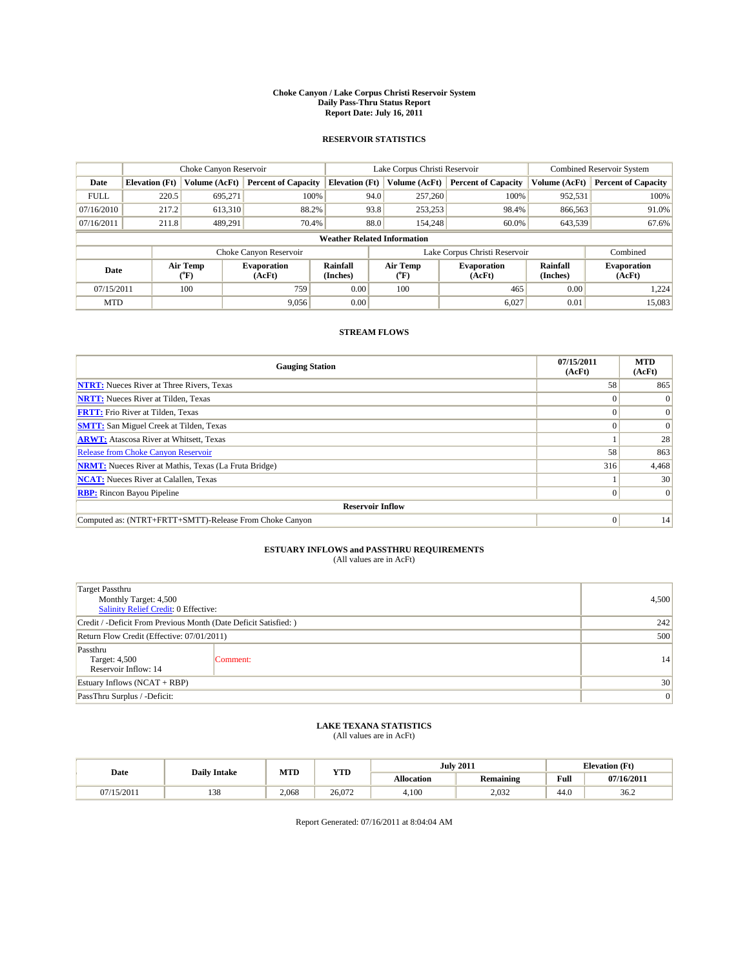#### **Choke Canyon / Lake Corpus Christi Reservoir System Daily Pass-Thru Status Report Report Date: July 16, 2011**

### **RESERVOIR STATISTICS**

|             | Choke Canyon Reservoir |                                                                                                                                                       |                            |                                    | Lake Corpus Christi Reservoir |         |                            |               | Combined Reservoir System  |  |
|-------------|------------------------|-------------------------------------------------------------------------------------------------------------------------------------------------------|----------------------------|------------------------------------|-------------------------------|---------|----------------------------|---------------|----------------------------|--|
| Date        | <b>Elevation</b> (Ft)  | Volume (AcFt)                                                                                                                                         | <b>Percent of Capacity</b> | <b>Elevation</b> (Ft)              | Volume (AcFt)                 |         | <b>Percent of Capacity</b> | Volume (AcFt) | <b>Percent of Capacity</b> |  |
| <b>FULL</b> | 220.5                  | 695.271                                                                                                                                               | 100%                       |                                    | 94.0                          | 257,260 | 100%                       | 952,531       | 100%                       |  |
| 07/16/2010  | 217.2                  | 613,310                                                                                                                                               | 88.2%                      |                                    | 93.8                          | 253,253 | 98.4%                      | 866,563       | 91.0%                      |  |
| 07/16/2011  | 211.8                  | 489,291                                                                                                                                               | 70.4%                      |                                    | 88.0                          | 154,248 | 60.0%                      | 643,539       | 67.6%                      |  |
|             |                        |                                                                                                                                                       |                            | <b>Weather Related Information</b> |                               |         |                            |               |                            |  |
|             |                        |                                                                                                                                                       | Choke Canyon Reservoir     |                                    | Lake Corpus Christi Reservoir |         |                            |               | Combined                   |  |
| Date        |                        | Air Temp<br>Rainfall<br>Air Temp<br><b>Evaporation</b><br><b>Evaporation</b><br>(AcFt)<br>(Inches)<br>$({}^{\mathrm{o}}\mathrm{F})$<br>(AcFt)<br>("F) |                            | <b>Rainfall</b><br>(Inches)        | <b>Evaporation</b><br>(AcFt)  |         |                            |               |                            |  |
| 07/15/2011  |                        | 100                                                                                                                                                   | 759                        | 0.00                               | 100                           |         | 465                        | 0.00          | 1.224                      |  |
| <b>MTD</b>  |                        |                                                                                                                                                       | 9.056                      | 0.00                               |                               |         | 6.027                      | 0.01          | 15,083                     |  |

### **STREAM FLOWS**

| <b>Gauging Station</b>                                       | 07/15/2011<br>(AcFt) | <b>MTD</b><br>(AcFt) |
|--------------------------------------------------------------|----------------------|----------------------|
| <b>NTRT:</b> Nueces River at Three Rivers, Texas             | 58                   | 865                  |
| <b>NRTT:</b> Nueces River at Tilden, Texas                   |                      |                      |
| <b>FRTT:</b> Frio River at Tilden, Texas                     |                      | $\Omega$             |
| <b>SMTT:</b> San Miguel Creek at Tilden, Texas               |                      | $\Omega$             |
| <b>ARWT:</b> Atascosa River at Whitsett, Texas               |                      | 28                   |
| <b>Release from Choke Canyon Reservoir</b>                   | 58                   | 863                  |
| <b>NRMT:</b> Nueces River at Mathis, Texas (La Fruta Bridge) | 316                  | 4,468                |
| <b>NCAT:</b> Nueces River at Calallen, Texas                 |                      | 30                   |
| <b>RBP:</b> Rincon Bayou Pipeline                            | $\overline{0}$       | $\Omega$             |
| <b>Reservoir Inflow</b>                                      |                      |                      |
| Computed as: (NTRT+FRTT+SMTT)-Release From Choke Canyon      | $\Omega$             | 14                   |

## **ESTUARY INFLOWS and PASSTHRU REQUIREMENTS**

| (All values are in AcFt) |  |
|--------------------------|--|
|--------------------------|--|

| Target Passthru<br>Monthly Target: 4,500<br><b>Salinity Relief Credit: 0 Effective:</b> |          |                 |  |  |  |
|-----------------------------------------------------------------------------------------|----------|-----------------|--|--|--|
| Credit / -Deficit From Previous Month (Date Deficit Satisfied: )                        |          |                 |  |  |  |
| Return Flow Credit (Effective: 07/01/2011)                                              | 500      |                 |  |  |  |
| Passthru<br>Target: 4,500<br>Reservoir Inflow: 14                                       | Comment: | 14              |  |  |  |
| Estuary Inflows $(NCAT + RBP)$                                                          | 30       |                 |  |  |  |
| PassThru Surplus / -Deficit:                                                            |          | $\vert 0 \vert$ |  |  |  |

## **LAKE TEXANA STATISTICS** (All values are in AcFt)

|            |                     | MTD   | <b>YTD</b> |                   | <b>July 2011</b> | <b>Elevation</b> (Ft) |            |
|------------|---------------------|-------|------------|-------------------|------------------|-----------------------|------------|
| Date       | <b>Daily Intake</b> |       |            | <b>Allocation</b> | Remaining        | Full                  | 07/16/2011 |
| 07/15/2011 | 129<br>120          | 2.068 | 26.072     | 4,100             | 2.032            | 44.0                  | 36.2       |

Report Generated: 07/16/2011 at 8:04:04 AM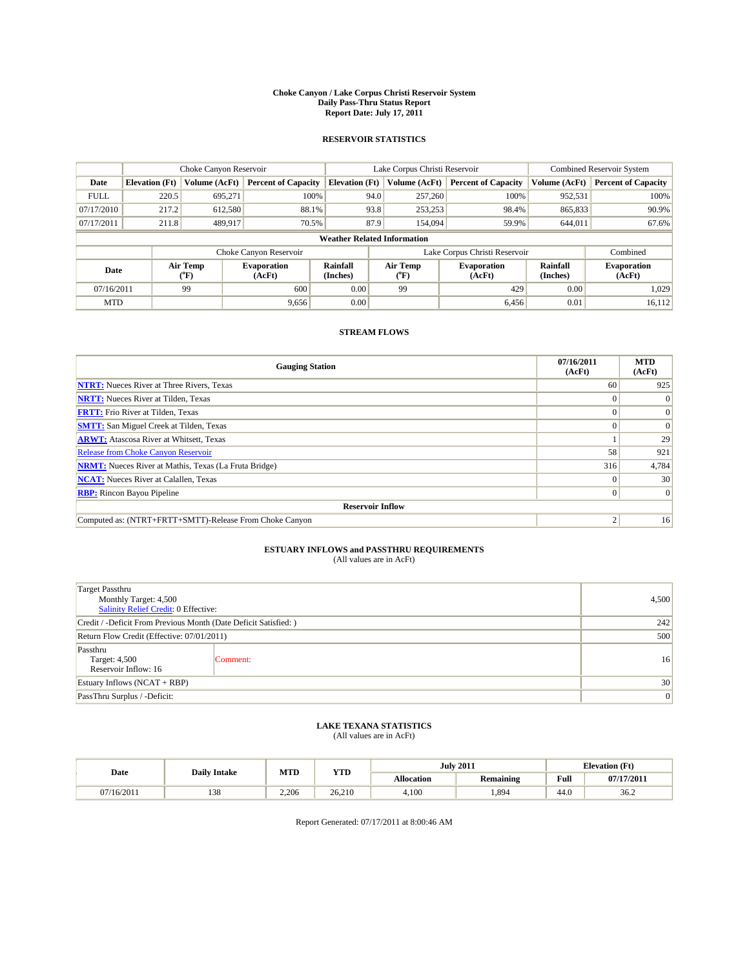#### **Choke Canyon / Lake Corpus Christi Reservoir System Daily Pass-Thru Status Report Report Date: July 17, 2011**

### **RESERVOIR STATISTICS**

|             |                       | Choke Canyon Reservoir                    |                              | Lake Corpus Christi Reservoir |                                    |  |                              | <b>Combined Reservoir System</b> |                              |
|-------------|-----------------------|-------------------------------------------|------------------------------|-------------------------------|------------------------------------|--|------------------------------|----------------------------------|------------------------------|
| Date        | <b>Elevation</b> (Ft) | Volume (AcFt)                             | <b>Percent of Capacity</b>   | <b>Elevation</b> (Ft)         | Volume (AcFt)                      |  | <b>Percent of Capacity</b>   | Volume (AcFt)                    | <b>Percent of Capacity</b>   |
| <b>FULL</b> | 220.5                 | 695,271                                   | 100%                         |                               | 94.0<br>257,260                    |  | 100%                         | 952,531                          | 100%                         |
| 07/17/2010  | 217.2                 | 612,580                                   | 88.1%                        |                               | 93.8<br>253,253                    |  | 98.4%                        | 865,833                          | 90.9%                        |
| 07/17/2011  | 211.8                 | 489,917                                   | 70.5%                        |                               | 87.9<br>154,094                    |  | 59.9%                        | 644,011                          | 67.6%                        |
|             |                       |                                           |                              |                               | <b>Weather Related Information</b> |  |                              |                                  |                              |
|             |                       |                                           | Choke Canyon Reservoir       |                               | Lake Corpus Christi Reservoir      |  |                              |                                  | Combined                     |
| Date        |                       | Air Temp<br>$({}^{\mathrm{o}}\mathrm{F})$ | <b>Evaporation</b><br>(AcFt) | <b>Rainfall</b><br>(Inches)   | Air Temp<br>("F)                   |  | <b>Evaporation</b><br>(AcFt) | Rainfall<br>(Inches)             | <b>Evaporation</b><br>(AcFt) |
| 07/16/2011  |                       | 99                                        | 600                          | 0.00                          | 99                                 |  | 429                          | 0.00                             | 1.029                        |
| <b>MTD</b>  |                       |                                           | 9,656                        | 0.00                          |                                    |  | 6,456                        | 0.01                             | 16,112                       |

## **STREAM FLOWS**

| <b>Gauging Station</b>                                       | 07/16/2011<br>(AcFt) | <b>MTD</b><br>(AcFt) |
|--------------------------------------------------------------|----------------------|----------------------|
| <b>NTRT:</b> Nueces River at Three Rivers, Texas             | 60                   | 925                  |
| <b>NRTT:</b> Nueces River at Tilden, Texas                   |                      | $\Omega$             |
| <b>FRTT:</b> Frio River at Tilden, Texas                     |                      | $\Omega$             |
| <b>SMTT:</b> San Miguel Creek at Tilden, Texas               |                      | $\Omega$             |
| <b>ARWT:</b> Atascosa River at Whitsett, Texas               |                      | 29                   |
| Release from Choke Canyon Reservoir                          | 58                   | 921                  |
| <b>NRMT:</b> Nueces River at Mathis, Texas (La Fruta Bridge) | 316                  | 4,784                |
| <b>NCAT:</b> Nueces River at Calallen, Texas                 | $\Omega$             | 30 <sub>1</sub>      |
| <b>RBP:</b> Rincon Bayou Pipeline                            | $\Omega$             | $\Omega$             |
| <b>Reservoir Inflow</b>                                      |                      |                      |
| Computed as: (NTRT+FRTT+SMTT)-Release From Choke Canyon      | ◠                    | 16                   |

# **ESTUARY INFLOWS and PASSTHRU REQUIREMENTS**<br>(All values are in AcFt)

| <b>Target Passthru</b><br>Monthly Target: 4,500<br>Salinity Relief Credit: 0 Effective: |          |    |  |  |
|-----------------------------------------------------------------------------------------|----------|----|--|--|
| Credit / -Deficit From Previous Month (Date Deficit Satisfied: )                        |          |    |  |  |
| Return Flow Credit (Effective: 07/01/2011)                                              | 500      |    |  |  |
| Passthru<br>Target: 4,500<br>Reservoir Inflow: 16                                       | Comment: | 16 |  |  |
| Estuary Inflows $(NCAT + RBP)$                                                          |          |    |  |  |
| PassThru Surplus / -Deficit:                                                            |          | 0  |  |  |

## **LAKE TEXANA STATISTICS** (All values are in AcFt)

|            | <b>Daily Intake</b> | MTD   | <b>YTD</b> |                   | <b>July 2011</b> | <b>Elevation</b> (Ft) |            |
|------------|---------------------|-------|------------|-------------------|------------------|-----------------------|------------|
| Date       |                     |       |            | <b>Allocation</b> | Remaining        | Full                  | 07/17/2011 |
| 07/16/2011 | 129<br>120          | 2.206 | 26.210     | 4,100             | .894             | 44.0                  | 36.2       |

Report Generated: 07/17/2011 at 8:00:46 AM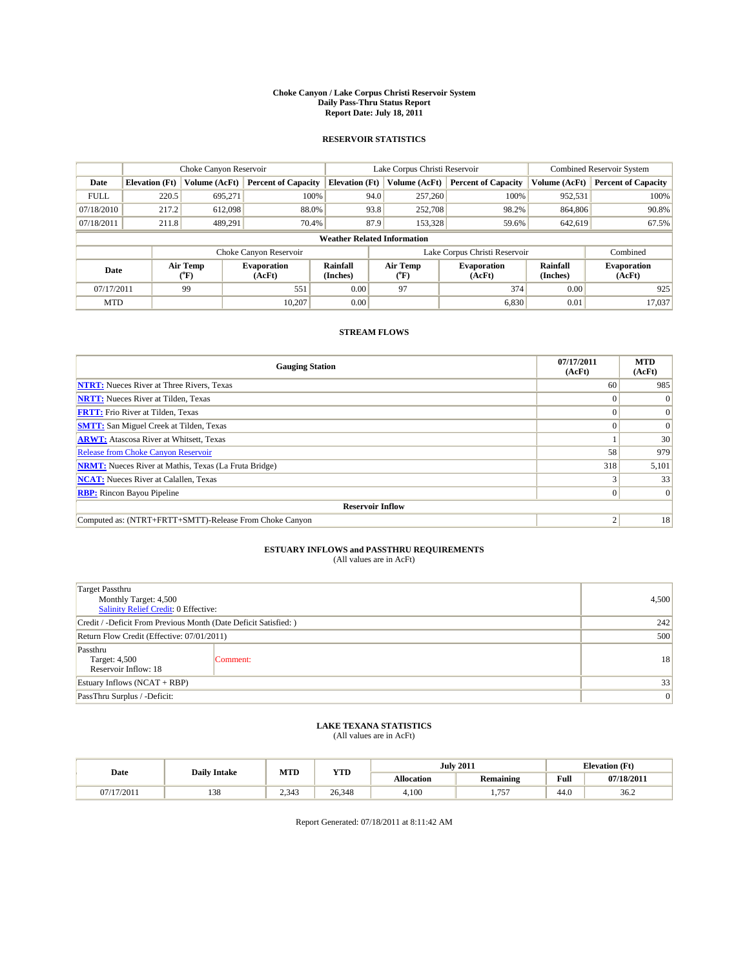#### **Choke Canyon / Lake Corpus Christi Reservoir System Daily Pass-Thru Status Report Report Date: July 18, 2011**

### **RESERVOIR STATISTICS**

|             |                       | Choke Canyon Reservoir                    |                              |                                                                                 | Lake Corpus Christi Reservoir | <b>Combined Reservoir System</b> |                              |                            |
|-------------|-----------------------|-------------------------------------------|------------------------------|---------------------------------------------------------------------------------|-------------------------------|----------------------------------|------------------------------|----------------------------|
| Date        | <b>Elevation</b> (Ft) | Volume (AcFt)                             | <b>Percent of Capacity</b>   | <b>Elevation</b> (Ft)                                                           | Volume (AcFt)                 | <b>Percent of Capacity</b>       | Volume (AcFt)                | <b>Percent of Capacity</b> |
| <b>FULL</b> | 220.5                 | 695,271                                   | 100%                         | 94.0                                                                            | 257,260                       | 100%                             | 952,531                      | 100%                       |
| 07/18/2010  | 217.2                 | 612,098                                   | 88.0%                        | 93.8                                                                            | 252,708                       | 98.2%                            | 864,806                      | 90.8%                      |
| 07/18/2011  | 211.8                 | 489.291                                   | 70.4%                        | 87.9                                                                            | 153,328                       | 59.6%                            | 642,619                      | 67.5%                      |
|             |                       |                                           |                              | <b>Weather Related Information</b>                                              |                               |                                  |                              |                            |
|             |                       |                                           | Choke Canyon Reservoir       |                                                                                 | Lake Corpus Christi Reservoir |                                  |                              | Combined                   |
| Date        |                       | Air Temp<br>$({}^{\mathrm{o}}\mathrm{F})$ | <b>Evaporation</b><br>(AcFt) | <b>Rainfall</b><br>Air Temp<br><b>Evaporation</b><br>(Inches)<br>(AcFt)<br>("F) |                               | Rainfall<br>(Inches)             | <b>Evaporation</b><br>(AcFt) |                            |
| 07/17/2011  |                       | 99                                        | 551                          | 0.00                                                                            | 97                            | 374                              | 0.00                         | 925                        |
| <b>MTD</b>  |                       |                                           | 10.207                       | 0.00                                                                            |                               | 6,830                            | 0.01                         | 17.037                     |

## **STREAM FLOWS**

| <b>Gauging Station</b>                                       | 07/17/2011<br>(AcFt) | <b>MTD</b><br>(AcFt) |
|--------------------------------------------------------------|----------------------|----------------------|
| <b>NTRT:</b> Nueces River at Three Rivers, Texas             | 60                   | 985                  |
| <b>NRTT:</b> Nueces River at Tilden, Texas                   |                      | $\theta$             |
| <b>FRTT:</b> Frio River at Tilden, Texas                     |                      | $\Omega$             |
| <b>SMTT:</b> San Miguel Creek at Tilden, Texas               |                      | $\Omega$             |
| <b>ARWT:</b> Atascosa River at Whitsett, Texas               |                      | 30                   |
| Release from Choke Canyon Reservoir                          | 58                   | 979                  |
| <b>NRMT:</b> Nueces River at Mathis, Texas (La Fruta Bridge) | 318                  | 5,101                |
| <b>NCAT:</b> Nueces River at Calallen, Texas                 |                      | 33                   |
| <b>RBP:</b> Rincon Bayou Pipeline                            | $\Omega$             | $\Omega$             |
| <b>Reservoir Inflow</b>                                      |                      |                      |
| Computed as: (NTRT+FRTT+SMTT)-Release From Choke Canyon      | c                    | 18                   |

# **ESTUARY INFLOWS and PASSTHRU REQUIREMENTS**<br>(All values are in AcFt)

| <b>Target Passthru</b><br>Monthly Target: 4,500<br>Salinity Relief Credit: 0 Effective: |          |    |  |  |  |
|-----------------------------------------------------------------------------------------|----------|----|--|--|--|
| Credit / -Deficit From Previous Month (Date Deficit Satisfied: )                        | 242      |    |  |  |  |
| Return Flow Credit (Effective: 07/01/2011)                                              | 500      |    |  |  |  |
| Passthru<br>Target: 4,500<br>Reservoir Inflow: 18                                       | Comment: | 18 |  |  |  |
| Estuary Inflows $(NCAT + RBP)$                                                          | 33       |    |  |  |  |
| PassThru Surplus / -Deficit:                                                            |          | 0  |  |  |  |

## **LAKE TEXANA STATISTICS** (All values are in AcFt)

|          | MTD<br><b>YTD</b><br><b>Daily Intake</b> |              |        |                   | <b>July 2011</b> | <b>Elevation</b> (Ft)                 |            |
|----------|------------------------------------------|--------------|--------|-------------------|------------------|---------------------------------------|------------|
| Date     |                                          |              |        | <b>Allocation</b> | Remaining        | Full                                  | 07/18/2011 |
| /17/2011 | 120<br>120                               | 242<br>2.343 | 26,348 | 4,100             | 757<br>.         | $\overline{A}$ $\overline{C}$<br>44.0 | 36.2       |

Report Generated: 07/18/2011 at 8:11:42 AM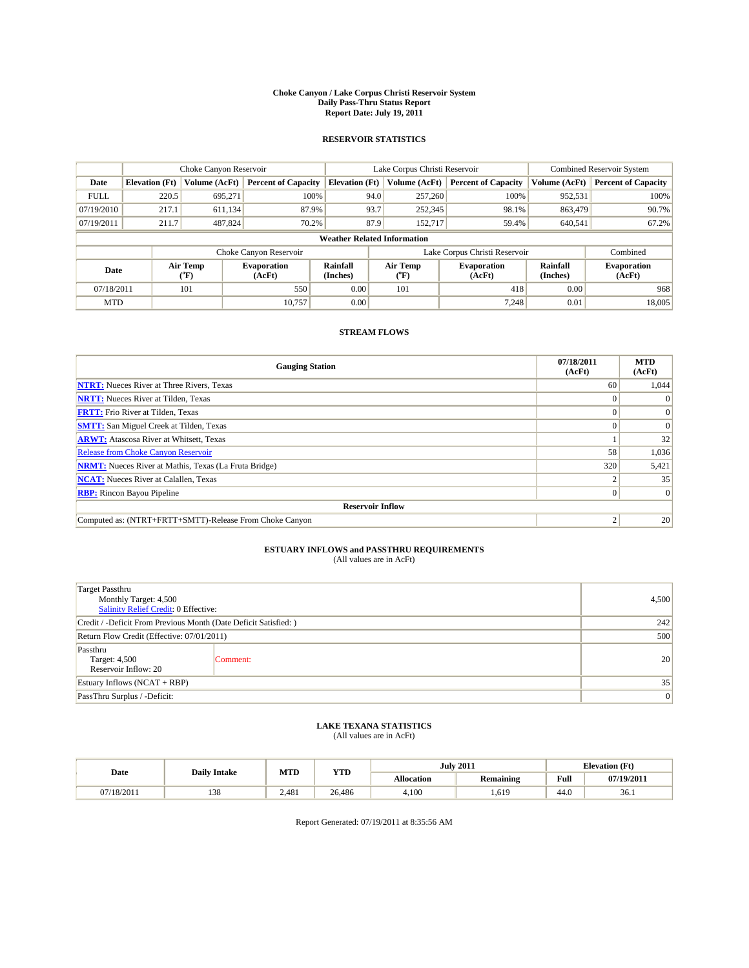#### **Choke Canyon / Lake Corpus Christi Reservoir System Daily Pass-Thru Status Report Report Date: July 19, 2011**

### **RESERVOIR STATISTICS**

|             | Choke Canyon Reservoir |                             |                              |                                    | Lake Corpus Christi Reservoir |                  |                               |                      | <b>Combined Reservoir System</b> |  |  |
|-------------|------------------------|-----------------------------|------------------------------|------------------------------------|-------------------------------|------------------|-------------------------------|----------------------|----------------------------------|--|--|
| Date        | <b>Elevation</b> (Ft)  | Volume (AcFt)               | <b>Percent of Capacity</b>   | <b>Elevation</b> (Ft)              |                               | Volume (AcFt)    | <b>Percent of Capacity</b>    | Volume (AcFt)        | <b>Percent of Capacity</b>       |  |  |
| <b>FULL</b> | 220.5                  | 695,271                     | 100%                         |                                    | 94.0                          | 257,260          | 100%                          | 952,531              | 100%                             |  |  |
| 07/19/2010  | 217.1                  | 611,134                     | 87.9%                        |                                    | 93.7                          | 252,345          | 98.1%                         | 863,479              | 90.7%                            |  |  |
| 07/19/2011  | 211.7                  | 487.824                     | 70.2%                        |                                    | 87.9                          | 152,717          | 59.4%                         | 640,541              | 67.2%                            |  |  |
|             |                        |                             |                              | <b>Weather Related Information</b> |                               |                  |                               |                      |                                  |  |  |
|             |                        |                             | Choke Canyon Reservoir       |                                    |                               |                  | Lake Corpus Christi Reservoir |                      | Combined                         |  |  |
| Date        |                        | Air Temp<br>${}^{\circ}$ F) | <b>Evaporation</b><br>(AcFt) | Rainfall<br>(Inches)               |                               | Air Temp<br>("F) | <b>Evaporation</b><br>(AcFt)  | Rainfall<br>(Inches) | <b>Evaporation</b><br>(AcFt)     |  |  |
| 07/18/2011  |                        | 101                         | 550                          | 0.00                               |                               | 101              | 418                           | 0.00                 | 968                              |  |  |
| <b>MTD</b>  |                        |                             | 10.757                       | 0.00                               |                               |                  | 7.248                         | 0.01                 | 18,005                           |  |  |

## **STREAM FLOWS**

| <b>Gauging Station</b>                                       | 07/18/2011<br>(AcFt) | <b>MTD</b><br>(AcFt) |
|--------------------------------------------------------------|----------------------|----------------------|
| <b>NTRT:</b> Nueces River at Three Rivers, Texas             | 60                   | 1,044                |
| <b>NRTT:</b> Nueces River at Tilden, Texas                   |                      |                      |
| <b>FRTT:</b> Frio River at Tilden, Texas                     |                      |                      |
| <b>SMTT:</b> San Miguel Creek at Tilden, Texas               |                      | $\Omega$             |
| <b>ARWT:</b> Atascosa River at Whitsett, Texas               |                      | 32                   |
| <b>Release from Choke Canyon Reservoir</b>                   | 58                   | 1,036                |
| <b>NRMT:</b> Nueces River at Mathis, Texas (La Fruta Bridge) | 320                  | 5,421                |
| <b>NCAT:</b> Nueces River at Calallen, Texas                 |                      | 35                   |
| <b>RBP:</b> Rincon Bayou Pipeline                            | $\overline{0}$       | $\Omega$             |
| <b>Reservoir Inflow</b>                                      |                      |                      |
| Computed as: (NTRT+FRTT+SMTT)-Release From Choke Canyon      | $\bigcap$            | 20                   |

# **ESTUARY INFLOWS and PASSTHRU REQUIREMENTS**<br>(All values are in AcFt)

| <b>Target Passthru</b><br>Monthly Target: 4,500<br>Salinity Relief Credit: 0 Effective: |          |    |  |  |
|-----------------------------------------------------------------------------------------|----------|----|--|--|
| Credit / -Deficit From Previous Month (Date Deficit Satisfied: )                        | 242      |    |  |  |
| Return Flow Credit (Effective: 07/01/2011)                                              | 500      |    |  |  |
| Passthru<br>Target: 4,500<br>Reservoir Inflow: 20                                       | Comment: | 20 |  |  |
| Estuary Inflows $(NCAT + RBP)$                                                          | 35       |    |  |  |
| PassThru Surplus / -Deficit:                                                            |          | 0  |  |  |

## **LAKE TEXANA STATISTICS** (All values are in AcFt)

|            |     | MTD<br><b>YTD</b><br><b>Daily Intake</b> |        | <b>July 2011</b>  | <b>Elevation</b> (Ft) |                                             |            |
|------------|-----|------------------------------------------|--------|-------------------|-----------------------|---------------------------------------------|------------|
| Date       |     |                                          |        | <b>Allocation</b> | <b>Remaining</b>      | Full<br>the contract of the contract of the | 07/19/2011 |
| 07/18/2011 | 138 | 2.481                                    | 26,486 | 4.100             | .,619                 | 44.0                                        | 36.1       |

Report Generated: 07/19/2011 at 8:35:56 AM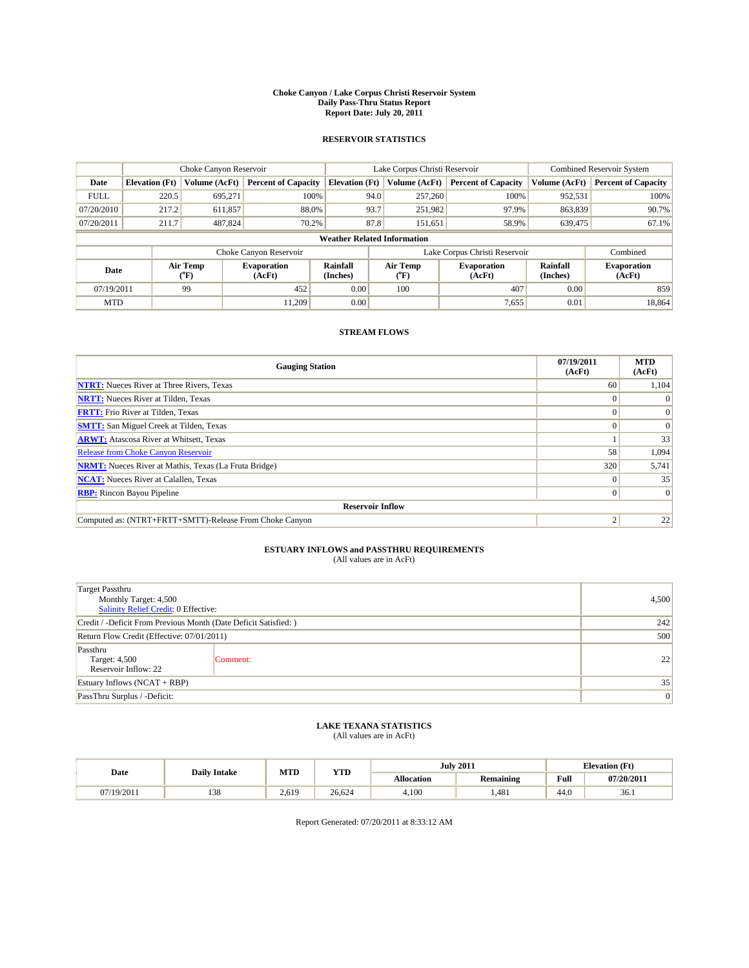#### **Choke Canyon / Lake Corpus Christi Reservoir System Daily Pass-Thru Status Report Report Date: July 20, 2011**

### **RESERVOIR STATISTICS**

|             | Choke Canyon Reservoir |                             |                              |                                    | Lake Corpus Christi Reservoir |                          |                               |                      | <b>Combined Reservoir System</b> |  |
|-------------|------------------------|-----------------------------|------------------------------|------------------------------------|-------------------------------|--------------------------|-------------------------------|----------------------|----------------------------------|--|
| Date        | <b>Elevation</b> (Ft)  | Volume (AcFt)               | <b>Percent of Capacity</b>   | <b>Elevation</b> (Ft)              |                               | Volume (AcFt)            | <b>Percent of Capacity</b>    | Volume (AcFt)        | <b>Percent of Capacity</b>       |  |
| <b>FULL</b> | 220.5                  | 695,271                     | 100%                         |                                    | 94.0                          | 257,260                  | 100%                          | 952,531              | 100%                             |  |
| 07/20/2010  | 217.2                  | 611,857                     | 88.0%                        |                                    | 93.7                          | 251,982                  | 97.9%                         | 863,839              | 90.7%                            |  |
| 07/20/2011  | 211.7                  | 487.824                     | 70.2%                        |                                    | 87.8                          | 151,651                  | 58.9%                         | 639,475              | 67.1%                            |  |
|             |                        |                             |                              | <b>Weather Related Information</b> |                               |                          |                               |                      |                                  |  |
|             |                        |                             | Choke Canyon Reservoir       |                                    |                               |                          | Lake Corpus Christi Reservoir |                      | Combined                         |  |
| Date        |                        | Air Temp<br>${}^{\circ}$ F) | <b>Evaporation</b><br>(AcFt) | Rainfall<br>(Inches)               |                               | Air Temp<br>$\rm ^{o}F)$ | <b>Evaporation</b><br>(AcFt)  | Rainfall<br>(Inches) | <b>Evaporation</b><br>(AcFt)     |  |
| 07/19/2011  |                        | 99                          | 452                          | 0.00                               |                               | 100                      | 407                           | 0.00                 | 859                              |  |
| <b>MTD</b>  |                        |                             | 11.209                       | 0.00                               |                               |                          | 7,655                         | 0.01                 | 18,864                           |  |

## **STREAM FLOWS**

| <b>Gauging Station</b>                                       | 07/19/2011<br>(AcFt) | <b>MTD</b><br>(AcFt) |
|--------------------------------------------------------------|----------------------|----------------------|
| <b>NTRT:</b> Nueces River at Three Rivers, Texas             | 60                   | 1,104                |
| <b>NRTT:</b> Nueces River at Tilden, Texas                   |                      |                      |
| <b>FRTT:</b> Frio River at Tilden, Texas                     |                      |                      |
| <b>SMTT:</b> San Miguel Creek at Tilden, Texas               |                      | $\Omega$             |
| <b>ARWT:</b> Atascosa River at Whitsett, Texas               |                      | 33                   |
| <b>Release from Choke Canyon Reservoir</b>                   | 58                   | 1,094                |
| <b>NRMT:</b> Nueces River at Mathis, Texas (La Fruta Bridge) | 320                  | 5,741                |
| <b>NCAT:</b> Nueces River at Calallen, Texas                 | $\Omega$             | 35                   |
| <b>RBP:</b> Rincon Bayou Pipeline                            | $\overline{0}$       | $\Omega$             |
| <b>Reservoir Inflow</b>                                      |                      |                      |
| Computed as: (NTRT+FRTT+SMTT)-Release From Choke Canyon      | $\bigcap$            | 22                   |

# **ESTUARY INFLOWS and PASSTHRU REQUIREMENTS**<br>(All values are in AcFt)

| <b>Target Passthru</b><br>Monthly Target: 4,500<br>Salinity Relief Credit: 0 Effective: |          |    |  |  |
|-----------------------------------------------------------------------------------------|----------|----|--|--|
| Credit / -Deficit From Previous Month (Date Deficit Satisfied: )                        | 242      |    |  |  |
| Return Flow Credit (Effective: 07/01/2011)                                              | 500      |    |  |  |
| Passthru<br>Target: 4,500<br>Reservoir Inflow: 22                                       | Comment: | 22 |  |  |
| Estuary Inflows $(NCAT + RBP)$                                                          | 35       |    |  |  |
| PassThru Surplus / -Deficit:                                                            |          | 0  |  |  |

## **LAKE TEXANA STATISTICS** (All values are in AcFt)

|            | <b>Daily Intake</b> | MTD<br><b>YTD</b> |        |                   | <b>July 2011</b> | <b>Elevation</b> (Ft) |            |
|------------|---------------------|-------------------|--------|-------------------|------------------|-----------------------|------------|
| Date       |                     |                   |        | <b>Allocation</b> | Remaining        | Full                  | 07/20/2011 |
| 07/19/2011 | 129<br>120          | 2.619             | 26.624 | 4,100             | .481             | 44.0                  | 36.1       |

Report Generated: 07/20/2011 at 8:33:12 AM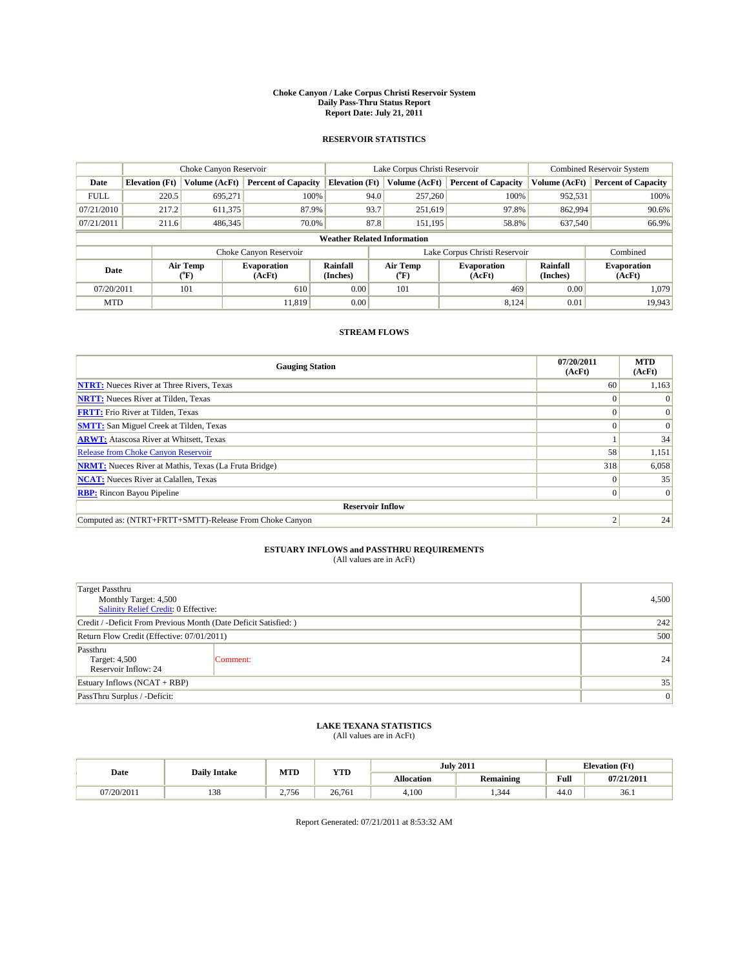#### **Choke Canyon / Lake Corpus Christi Reservoir System Daily Pass-Thru Status Report Report Date: July 21, 2011**

### **RESERVOIR STATISTICS**

|             | Choke Canyon Reservoir |                  |                              |                                    | Lake Corpus Christi Reservoir | <b>Combined Reservoir System</b> |                      |                              |
|-------------|------------------------|------------------|------------------------------|------------------------------------|-------------------------------|----------------------------------|----------------------|------------------------------|
| Date        | <b>Elevation</b> (Ft)  | Volume (AcFt)    | <b>Percent of Capacity</b>   | <b>Elevation</b> (Ft)              | Volume (AcFt)                 | <b>Percent of Capacity</b>       | Volume (AcFt)        | <b>Percent of Capacity</b>   |
| <b>FULL</b> | 220.5                  | 695,271          | 100%                         | 94.0                               | 257,260                       | 100%                             | 952,531              | 100%                         |
| 07/21/2010  | 217.2                  | 611,375          | 87.9%                        | 93.7                               | 251,619                       | 97.8%                            | 862,994              | 90.6%                        |
| 07/21/2011  | 211.6                  | 486,345          | 70.0%                        | 87.8                               | 151,195                       | 58.8%                            | 637,540              | 66.9%                        |
|             |                        |                  |                              | <b>Weather Related Information</b> |                               |                                  |                      |                              |
|             |                        |                  | Choke Canyon Reservoir       |                                    |                               | Lake Corpus Christi Reservoir    |                      | Combined                     |
| Date        |                        | Air Temp<br>(°F) | <b>Evaporation</b><br>(AcFt) | Rainfall<br>(Inches)               | Air Temp<br>("F)              | <b>Evaporation</b><br>(AcFt)     | Rainfall<br>(Inches) | <b>Evaporation</b><br>(AcFt) |
| 07/20/2011  |                        | 101              | 610                          | 0.00                               | 101                           | 469                              | 0.00                 | 1.079                        |
| <b>MTD</b>  |                        |                  | 11.819                       | 0.00                               |                               | 8.124                            | 0.01                 | 19,943                       |

## **STREAM FLOWS**

| <b>Gauging Station</b>                                       | 07/20/2011<br>(AcFt) | <b>MTD</b><br>(AcFt) |
|--------------------------------------------------------------|----------------------|----------------------|
| <b>NTRT:</b> Nueces River at Three Rivers, Texas             | 60                   | 1,163                |
| <b>NRTT:</b> Nueces River at Tilden, Texas                   |                      |                      |
| <b>FRTT:</b> Frio River at Tilden, Texas                     |                      |                      |
| <b>SMTT:</b> San Miguel Creek at Tilden, Texas               |                      | $\Omega$             |
| <b>ARWT:</b> Atascosa River at Whitsett, Texas               |                      | 34                   |
| <b>Release from Choke Canyon Reservoir</b>                   | 58                   | 1,151                |
| <b>NRMT:</b> Nueces River at Mathis, Texas (La Fruta Bridge) | 318                  | 6,058                |
| <b>NCAT:</b> Nueces River at Calallen, Texas                 | $\Omega$             | 35                   |
| <b>RBP:</b> Rincon Bayou Pipeline                            | $\overline{0}$       | $\Omega$             |
| <b>Reservoir Inflow</b>                                      |                      |                      |
| Computed as: (NTRT+FRTT+SMTT)-Release From Choke Canyon      | $\bigcap$            | 24                   |

# **ESTUARY INFLOWS and PASSTHRU REQUIREMENTS**<br>(All values are in AcFt)

| <b>Target Passthru</b><br>Monthly Target: 4,500<br>Salinity Relief Credit: 0 Effective: |          |    |  |  |
|-----------------------------------------------------------------------------------------|----------|----|--|--|
| Credit / -Deficit From Previous Month (Date Deficit Satisfied: )                        | 242      |    |  |  |
| Return Flow Credit (Effective: 07/01/2011)                                              | 500      |    |  |  |
| Passthru<br>Target: 4,500<br>Reservoir Inflow: 24                                       | Comment: | 24 |  |  |
| Estuary Inflows $(NCAT + RBP)$                                                          | 35       |    |  |  |
| PassThru Surplus / -Deficit:                                                            |          | 0  |  |  |

## **LAKE TEXANA STATISTICS** (All values are in AcFt)

|            | <b>Daily Intake</b> | MTD   | <b>YTD</b> |                   | <b>July 2011</b> |                                             | <b>Elevation</b> (Ft) |
|------------|---------------------|-------|------------|-------------------|------------------|---------------------------------------------|-----------------------|
| Date       |                     |       |            | <b>Allocation</b> | <b>Remaining</b> | Full<br>the contract of the contract of the | 07/21/2011            |
| 07/20/2011 | 138                 | 2.756 | 26.761     | 4.100             | .344             | 44.0                                        | 36.1                  |

Report Generated: 07/21/2011 at 8:53:32 AM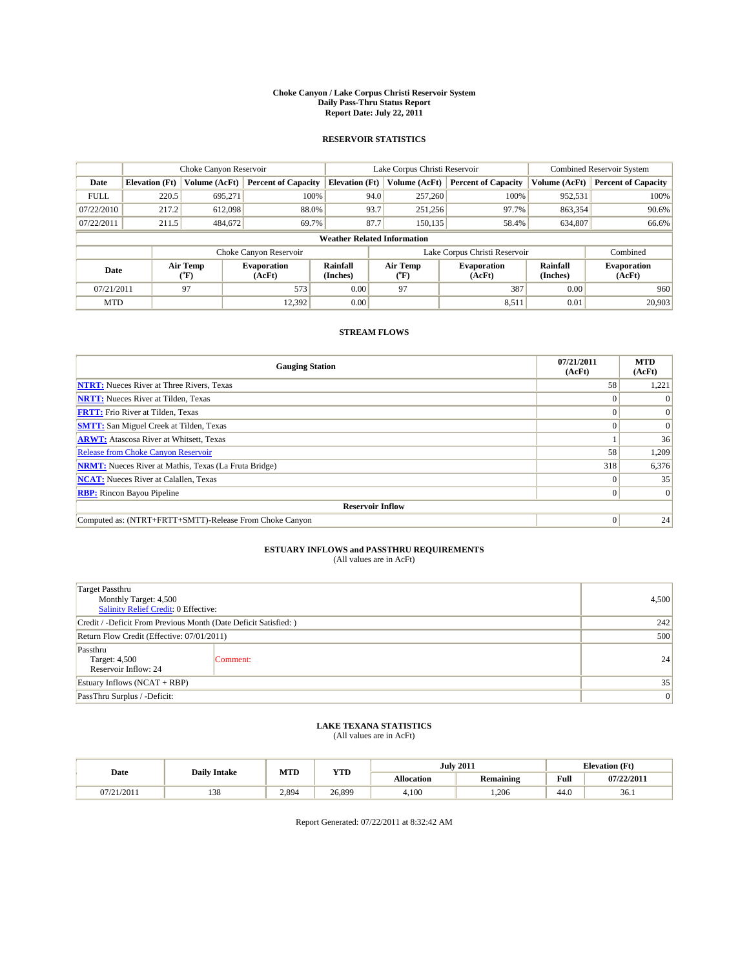#### **Choke Canyon / Lake Corpus Christi Reservoir System Daily Pass-Thru Status Report Report Date: July 22, 2011**

### **RESERVOIR STATISTICS**

|             | Choke Canyon Reservoir |                  |                              |                                    | Lake Corpus Christi Reservoir | <b>Combined Reservoir System</b> |                      |                              |
|-------------|------------------------|------------------|------------------------------|------------------------------------|-------------------------------|----------------------------------|----------------------|------------------------------|
| Date        | <b>Elevation</b> (Ft)  | Volume (AcFt)    | <b>Percent of Capacity</b>   | <b>Elevation</b> (Ft)              | Volume (AcFt)                 | <b>Percent of Capacity</b>       | Volume (AcFt)        | <b>Percent of Capacity</b>   |
| <b>FULL</b> | 220.5                  | 695.271          | 100%                         | 94.0                               | 257,260                       | 100%                             | 952,531              | 100%                         |
| 07/22/2010  | 217.2                  | 612,098          | 88.0%                        | 93.7                               | 251,256                       | 97.7%                            | 863,354              | 90.6%                        |
| 07/22/2011  | 211.5                  | 484,672          | 69.7%                        | 87.7                               | 150,135                       | 58.4%                            | 634,807              | 66.6%                        |
|             |                        |                  |                              | <b>Weather Related Information</b> |                               |                                  |                      |                              |
|             |                        |                  | Choke Canyon Reservoir       |                                    |                               | Lake Corpus Christi Reservoir    |                      | Combined                     |
| Date        |                        | Air Temp<br>(°F) | <b>Evaporation</b><br>(AcFt) | Rainfall<br>(Inches)               | Air Temp<br>("F)              | <b>Evaporation</b><br>(AcFt)     | Rainfall<br>(Inches) | <b>Evaporation</b><br>(AcFt) |
| 07/21/2011  |                        | 97               | 573                          | 0.00                               | 97                            | 387                              | 0.00                 | 960                          |
| <b>MTD</b>  |                        |                  | 12.392                       | 0.00                               |                               | 8,511                            | 0.01                 | 20,903                       |

## **STREAM FLOWS**

| <b>Gauging Station</b>                                       | 07/21/2011<br>(AcFt) | <b>MTD</b><br>(AcFt) |
|--------------------------------------------------------------|----------------------|----------------------|
| <b>NTRT:</b> Nueces River at Three Rivers, Texas             | 58                   | 1,221                |
| <b>NRTT:</b> Nueces River at Tilden, Texas                   |                      |                      |
| <b>FRTT:</b> Frio River at Tilden, Texas                     |                      |                      |
| <b>SMTT:</b> San Miguel Creek at Tilden, Texas               |                      | $\Omega$             |
| <b>ARWT:</b> Atascosa River at Whitsett, Texas               |                      | 36                   |
| <b>Release from Choke Canyon Reservoir</b>                   | 58                   | 1,209                |
| <b>NRMT:</b> Nueces River at Mathis, Texas (La Fruta Bridge) | 318                  | 6,376                |
| <b>NCAT:</b> Nueces River at Calallen, Texas                 | $\Omega$             | 35                   |
| <b>RBP:</b> Rincon Bayou Pipeline                            | $\overline{0}$       | $\Omega$             |
| <b>Reservoir Inflow</b>                                      |                      |                      |
| Computed as: (NTRT+FRTT+SMTT)-Release From Choke Canyon      | $\Omega$             | 24                   |

# **ESTUARY INFLOWS and PASSTHRU REQUIREMENTS**<br>(All values are in AcFt)

| <b>Target Passthru</b><br>Monthly Target: 4,500<br>Salinity Relief Credit: 0 Effective: |          |    |  |  |
|-----------------------------------------------------------------------------------------|----------|----|--|--|
| Credit / -Deficit From Previous Month (Date Deficit Satisfied: )                        | 242      |    |  |  |
| Return Flow Credit (Effective: 07/01/2011)                                              | 500      |    |  |  |
| Passthru<br>Target: 4,500<br>Reservoir Inflow: 24                                       | Comment: | 24 |  |  |
| Estuary Inflows $(NCAT + RBP)$                                                          | 35       |    |  |  |
| PassThru Surplus / -Deficit:                                                            |          | 0  |  |  |

## **LAKE TEXANA STATISTICS** (All values are in AcFt)

|            |     | MTD<br><b>YTD</b><br><b>Daily Intake</b> |        |                   | <b>July 2011</b> | <b>Elevation</b> (Ft)                       |            |
|------------|-----|------------------------------------------|--------|-------------------|------------------|---------------------------------------------|------------|
| Date       |     |                                          |        | <b>Allocation</b> | <b>Remaining</b> | Full<br>the contract of the contract of the | 07/22/2011 |
| 07/21/2011 | 138 | 2.894                                    | 26.899 | 4.100             | .206             | 44.0                                        | 36.1       |

Report Generated: 07/22/2011 at 8:32:42 AM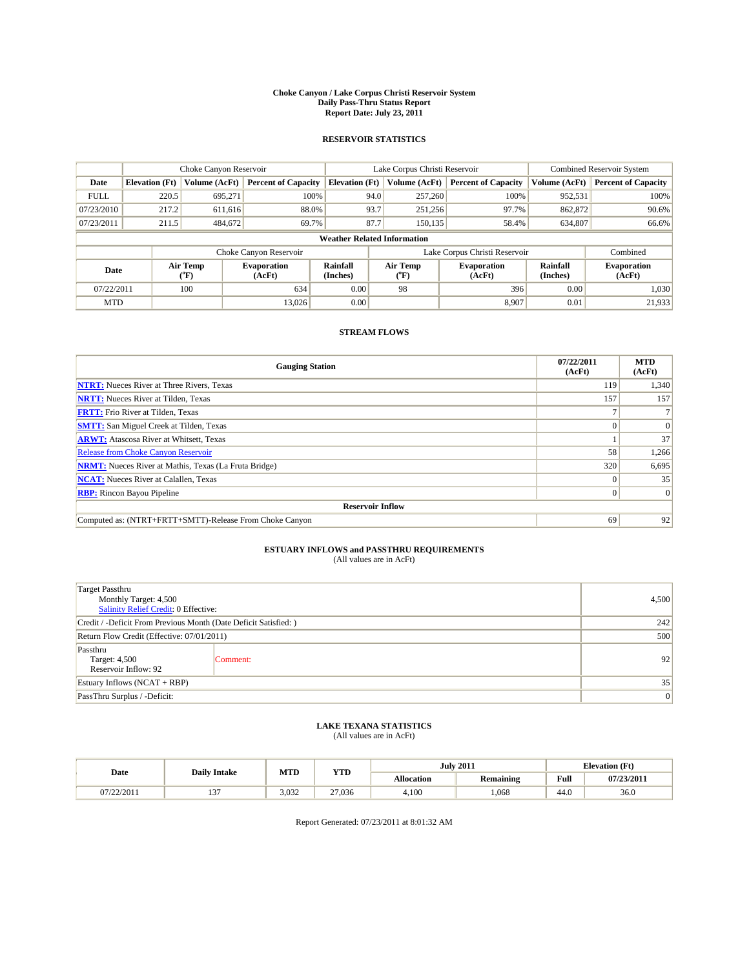#### **Choke Canyon / Lake Corpus Christi Reservoir System Daily Pass-Thru Status Report Report Date: July 23, 2011**

### **RESERVOIR STATISTICS**

|             | Choke Canyon Reservoir |                             |                              |                                    | Lake Corpus Christi Reservoir |                          |                               |                      | <b>Combined Reservoir System</b> |  |  |
|-------------|------------------------|-----------------------------|------------------------------|------------------------------------|-------------------------------|--------------------------|-------------------------------|----------------------|----------------------------------|--|--|
| Date        | <b>Elevation</b> (Ft)  | Volume (AcFt)               | <b>Percent of Capacity</b>   | <b>Elevation</b> (Ft)              |                               | Volume (AcFt)            | <b>Percent of Capacity</b>    | Volume (AcFt)        | <b>Percent of Capacity</b>       |  |  |
| <b>FULL</b> | 220.5                  | 695,271                     | 100%                         |                                    | 94.0                          | 257,260                  | 100%                          | 952,531              | 100%                             |  |  |
| 07/23/2010  | 217.2                  | 611,616                     | 88.0%                        |                                    | 93.7                          | 251,256                  | 97.7%                         | 862,872              | 90.6%                            |  |  |
| 07/23/2011  | 211.5                  | 484,672                     | 69.7%                        |                                    | 87.7                          | 150.135                  | 58.4%                         | 634,807              | 66.6%                            |  |  |
|             |                        |                             |                              | <b>Weather Related Information</b> |                               |                          |                               |                      |                                  |  |  |
|             |                        |                             | Choke Canyon Reservoir       |                                    |                               |                          | Lake Corpus Christi Reservoir |                      | Combined                         |  |  |
| Date        |                        | Air Temp<br>${}^{\circ}$ F) | <b>Evaporation</b><br>(AcFt) | Rainfall<br>(Inches)               |                               | Air Temp<br>$\rm ^{o}F)$ | <b>Evaporation</b><br>(AcFt)  | Rainfall<br>(Inches) | <b>Evaporation</b><br>(AcFt)     |  |  |
| 07/22/2011  |                        | 100                         | 634                          | 0.00                               |                               | 98                       | 396                           | 0.00                 | 1,030                            |  |  |
| <b>MTD</b>  |                        |                             | 13.026                       | 0.00                               |                               |                          | 8,907                         | 0.01                 | 21,933                           |  |  |

## **STREAM FLOWS**

| <b>Gauging Station</b>                                       | 07/22/2011<br>(AcFt) | <b>MTD</b><br>(AcFt) |
|--------------------------------------------------------------|----------------------|----------------------|
| <b>NTRT:</b> Nueces River at Three Rivers, Texas             | 119                  | 1,340                |
| <b>NRTT:</b> Nueces River at Tilden, Texas                   | 157                  | 157                  |
| <b>FRTT:</b> Frio River at Tilden, Texas                     |                      |                      |
| <b>SMTT:</b> San Miguel Creek at Tilden, Texas               |                      | $\Omega$             |
| <b>ARWT:</b> Atascosa River at Whitsett, Texas               |                      | 37                   |
| <b>Release from Choke Canyon Reservoir</b>                   | 58                   | 1,266                |
| <b>NRMT:</b> Nueces River at Mathis, Texas (La Fruta Bridge) | 320                  | 6,695                |
| <b>NCAT:</b> Nueces River at Calallen, Texas                 | $^{\circ}$           | 35                   |
| <b>RBP:</b> Rincon Bayou Pipeline                            | $\overline{0}$       | $\Omega$             |
| <b>Reservoir Inflow</b>                                      |                      |                      |
| Computed as: (NTRT+FRTT+SMTT)-Release From Choke Canyon      | 69                   | 92                   |

# **ESTUARY INFLOWS and PASSTHRU REQUIREMENTS**<br>(All values are in AcFt)

| <b>Target Passthru</b><br>Monthly Target: 4,500<br>Salinity Relief Credit: 0 Effective: |          |    |  |  |
|-----------------------------------------------------------------------------------------|----------|----|--|--|
| Credit / -Deficit From Previous Month (Date Deficit Satisfied: )                        | 242      |    |  |  |
| Return Flow Credit (Effective: 07/01/2011)                                              | 500      |    |  |  |
| Passthru<br>Target: 4,500<br>Reservoir Inflow: 92                                       | Comment: | 92 |  |  |
| Estuary Inflows $(NCAT + RBP)$                                                          | 35       |    |  |  |
| PassThru Surplus / -Deficit:                                                            |          | 0  |  |  |

## **LAKE TEXANA STATISTICS** (All values are in AcFt)

|            | <b>Daily Intake</b> | MTD   | <b>YTD</b> |                   | <b>July 2011</b> |      | <b>Elevation</b> (Ft) |
|------------|---------------------|-------|------------|-------------------|------------------|------|-----------------------|
| Date       |                     |       |            | <b>Allocation</b> | Remaining        | Full | 07/23/2011            |
| 07/22/2011 | $\sim$<br>1 J       | 3.032 | 27.036     | 4,100             | .068             | 44.0 | 36.0                  |

Report Generated: 07/23/2011 at 8:01:32 AM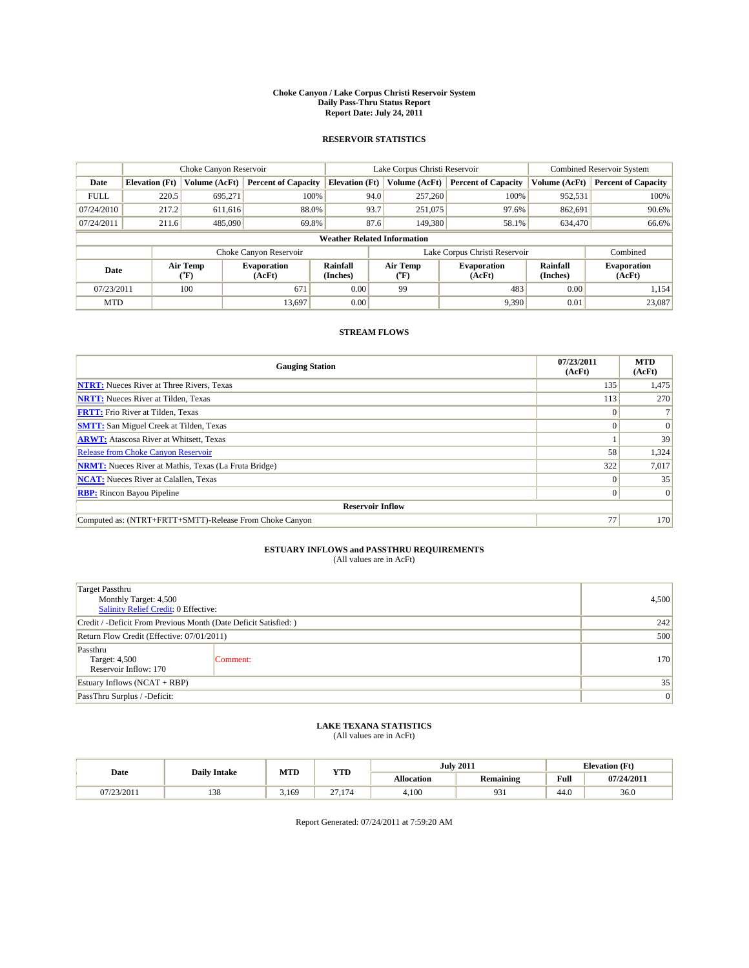#### **Choke Canyon / Lake Corpus Christi Reservoir System Daily Pass-Thru Status Report Report Date: July 24, 2011**

### **RESERVOIR STATISTICS**

|             | Choke Canyon Reservoir |                             |                              |                                    | Lake Corpus Christi Reservoir |                          |                               |                      | <b>Combined Reservoir System</b> |  |  |
|-------------|------------------------|-----------------------------|------------------------------|------------------------------------|-------------------------------|--------------------------|-------------------------------|----------------------|----------------------------------|--|--|
| Date        | <b>Elevation</b> (Ft)  | Volume (AcFt)               | <b>Percent of Capacity</b>   | <b>Elevation</b> (Ft)              |                               | Volume (AcFt)            | <b>Percent of Capacity</b>    | Volume (AcFt)        | <b>Percent of Capacity</b>       |  |  |
| <b>FULL</b> | 220.5                  | 695,271                     | 100%                         |                                    | 94.0                          | 257,260                  | 100%                          | 952,531              | 100%                             |  |  |
| 07/24/2010  | 217.2                  | 611,616                     | 88.0%                        |                                    | 93.7                          | 251,075                  | 97.6%                         | 862,691              | 90.6%                            |  |  |
| 07/24/2011  | 211.6                  | 485,090                     | 69.8%                        |                                    | 87.6                          | 149,380                  | 58.1%                         | 634,470              | 66.6%                            |  |  |
|             |                        |                             |                              | <b>Weather Related Information</b> |                               |                          |                               |                      |                                  |  |  |
|             |                        |                             | Choke Canyon Reservoir       |                                    |                               |                          | Lake Corpus Christi Reservoir |                      | Combined                         |  |  |
| Date        |                        | Air Temp<br>${}^{\circ}$ F) | <b>Evaporation</b><br>(AcFt) | Rainfall<br>(Inches)               |                               | Air Temp<br>$\rm ^{o}F)$ | <b>Evaporation</b><br>(AcFt)  | Rainfall<br>(Inches) | <b>Evaporation</b><br>(AcFt)     |  |  |
| 07/23/2011  |                        | 100                         | 671                          | 0.00                               |                               | 99                       | 483                           | 0.00                 | 1,154                            |  |  |
| <b>MTD</b>  |                        |                             | 13,697                       | 0.00                               |                               |                          | 9,390                         | 0.01                 | 23,087                           |  |  |

## **STREAM FLOWS**

| <b>Gauging Station</b>                                       | 07/23/2011<br>(AcFt) | <b>MTD</b><br>(AcFt) |
|--------------------------------------------------------------|----------------------|----------------------|
| <b>NTRT:</b> Nueces River at Three Rivers, Texas             | 135                  | 1,475                |
| <b>NRTT:</b> Nueces River at Tilden, Texas                   | 113                  | 270                  |
| <b>FRTT:</b> Frio River at Tilden, Texas                     |                      |                      |
| <b>SMTT:</b> San Miguel Creek at Tilden, Texas               |                      | $\Omega$             |
| <b>ARWT:</b> Atascosa River at Whitsett, Texas               |                      | 39                   |
| <b>Release from Choke Canyon Reservoir</b>                   | 58                   | 1,324                |
| <b>NRMT:</b> Nueces River at Mathis, Texas (La Fruta Bridge) | 322                  | 7,017                |
| <b>NCAT:</b> Nueces River at Calallen, Texas                 | $\Omega$             | 35                   |
| <b>RBP:</b> Rincon Bayou Pipeline                            | $\overline{0}$       | $\Omega$             |
| <b>Reservoir Inflow</b>                                      |                      |                      |
| Computed as: (NTRT+FRTT+SMTT)-Release From Choke Canyon      | 77                   | 170                  |

# **ESTUARY INFLOWS and PASSTHRU REQUIREMENTS**<br>(All values are in AcFt)

| <b>Target Passthru</b><br>Monthly Target: 4,500<br>Salinity Relief Credit: 0 Effective: | 4,500    |     |
|-----------------------------------------------------------------------------------------|----------|-----|
| Credit / -Deficit From Previous Month (Date Deficit Satisfied: )                        | 242      |     |
| Return Flow Credit (Effective: 07/01/2011)                                              | 500      |     |
| Passthru<br>Target: 4,500<br>Reservoir Inflow: 170                                      | Comment: | 170 |
| Estuary Inflows $(NCAT + RBP)$                                                          | 35       |     |
| PassThru Surplus / -Deficit:                                                            |          | 0   |

## **LAKE TEXANA STATISTICS** (All values are in AcFt)

|            | MTD<br><b>YTD</b><br><b>Daily Intake</b> |       |                            |                   | <b>July 2011</b> | <b>Elevation</b> (Ft)                       |            |
|------------|------------------------------------------|-------|----------------------------|-------------------|------------------|---------------------------------------------|------------|
| Date       |                                          |       |                            | <b>Allocation</b> | <b>Remaining</b> | Full<br>the contract of the contract of the | 07/24/2011 |
| 07/23/2011 | 138                                      | 3.169 | $\sim$<br>$\sim$<br>71.119 | 4.100             | 931              | 44.0                                        | 36.0       |

Report Generated: 07/24/2011 at 7:59:20 AM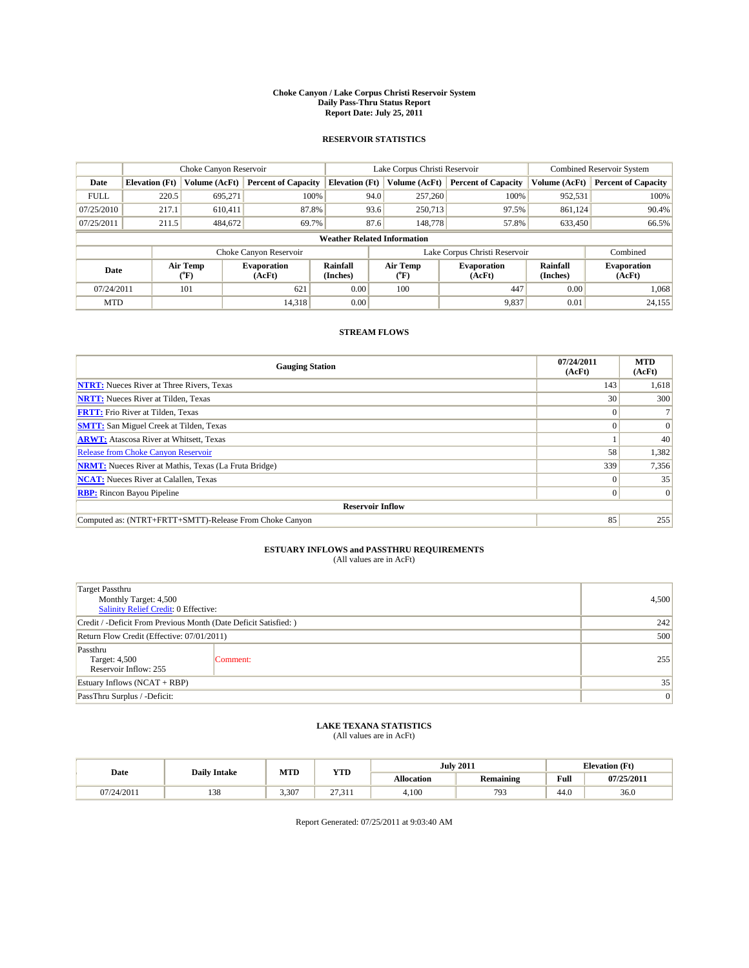#### **Choke Canyon / Lake Corpus Christi Reservoir System Daily Pass-Thru Status Report Report Date: July 25, 2011**

### **RESERVOIR STATISTICS**

|             |                       | Choke Canyon Reservoir |                              |                                    | Lake Corpus Christi Reservoir | <b>Combined Reservoir System</b> |                      |                              |
|-------------|-----------------------|------------------------|------------------------------|------------------------------------|-------------------------------|----------------------------------|----------------------|------------------------------|
| Date        | <b>Elevation</b> (Ft) | Volume (AcFt)          | <b>Percent of Capacity</b>   | <b>Elevation</b> (Ft)              | Volume (AcFt)                 | <b>Percent of Capacity</b>       | Volume (AcFt)        | <b>Percent of Capacity</b>   |
| <b>FULL</b> | 220.5                 | 695,271                | 100%                         | 94.0                               | 257,260                       | 100%                             | 952,531              | 100%                         |
| 07/25/2010  | 217.1                 | 610.411                | 87.8%                        | 93.6                               | 250,713                       | 97.5%                            | 861,124              | 90.4%                        |
| 07/25/2011  | 211.5                 | 484,672                | 69.7%                        | 87.6                               | 148,778                       | 57.8%                            | 633,450              | 66.5%                        |
|             |                       |                        |                              | <b>Weather Related Information</b> |                               |                                  |                      |                              |
|             |                       |                        | Choke Canyon Reservoir       |                                    | Lake Corpus Christi Reservoir |                                  |                      | Combined                     |
| Date        |                       | Air Temp<br>(°F)       | <b>Evaporation</b><br>(AcFt) | Rainfall<br>(Inches)               | Air Temp<br>("F)              | <b>Evaporation</b><br>(AcFt)     | Rainfall<br>(Inches) | <b>Evaporation</b><br>(AcFt) |
| 07/24/2011  |                       | 101                    | 621                          | 0.00                               | 100                           | 447                              | 0.00                 | 1.068                        |
| <b>MTD</b>  |                       |                        | 14,318                       | 0.00                               |                               | 9,837                            | 0.01                 | 24,155                       |

## **STREAM FLOWS**

| <b>Gauging Station</b>                                       | 07/24/2011<br>(AcFt) | <b>MTD</b><br>(AcFt) |
|--------------------------------------------------------------|----------------------|----------------------|
| <b>NTRT:</b> Nueces River at Three Rivers, Texas             | 143                  | 1,618                |
| <b>NRTT:</b> Nueces River at Tilden, Texas                   | 30                   | 300                  |
| <b>FRTT:</b> Frio River at Tilden, Texas                     |                      |                      |
| <b>SMTT:</b> San Miguel Creek at Tilden, Texas               |                      | $\Omega$             |
| <b>ARWT:</b> Atascosa River at Whitsett, Texas               |                      | 40                   |
| <b>Release from Choke Canyon Reservoir</b>                   | 58                   | 1,382                |
| <b>NRMT:</b> Nueces River at Mathis, Texas (La Fruta Bridge) | 339                  | 7,356                |
| <b>NCAT:</b> Nueces River at Calallen, Texas                 | $\Omega$             | 35                   |
| <b>RBP:</b> Rincon Bayou Pipeline                            | $\overline{0}$       | $\Omega$             |
| <b>Reservoir Inflow</b>                                      |                      |                      |
| Computed as: (NTRT+FRTT+SMTT)-Release From Choke Canyon      | 85                   | 255                  |

# **ESTUARY INFLOWS and PASSTHRU REQUIREMENTS**<br>(All values are in AcFt)

| <b>Target Passthru</b><br>Monthly Target: 4,500<br>Salinity Relief Credit: 0 Effective: |          |     |  |  |  |
|-----------------------------------------------------------------------------------------|----------|-----|--|--|--|
| Credit / -Deficit From Previous Month (Date Deficit Satisfied: )                        |          |     |  |  |  |
| Return Flow Credit (Effective: 07/01/2011)                                              | 500      |     |  |  |  |
| Passthru<br>Target: 4,500<br>Reservoir Inflow: 255                                      | Comment: | 255 |  |  |  |
| Estuary Inflows $(NCAT + RBP)$                                                          | 35       |     |  |  |  |
| PassThru Surplus / -Deficit:                                                            |          | 0   |  |  |  |

## **LAKE TEXANA STATISTICS** (All values are in AcFt)

|            | MTD<br><b>YTD</b><br><b>Daily Intake</b> |       |                 | <b>July 2011</b>  | <b>Elevation</b> (Ft) |                                                    |            |
|------------|------------------------------------------|-------|-----------------|-------------------|-----------------------|----------------------------------------------------|------------|
| Date       |                                          |       |                 | <b>Allocation</b> | Remaining             | <b>Full</b><br>the contract of the contract of the | 07/25/2011 |
| 07/24/2011 | 129<br>120                               | 3.307 | $\sim$<br>21.71 | 4,100             | 793                   | 44.0                                               | 36.0       |

Report Generated: 07/25/2011 at 9:03:40 AM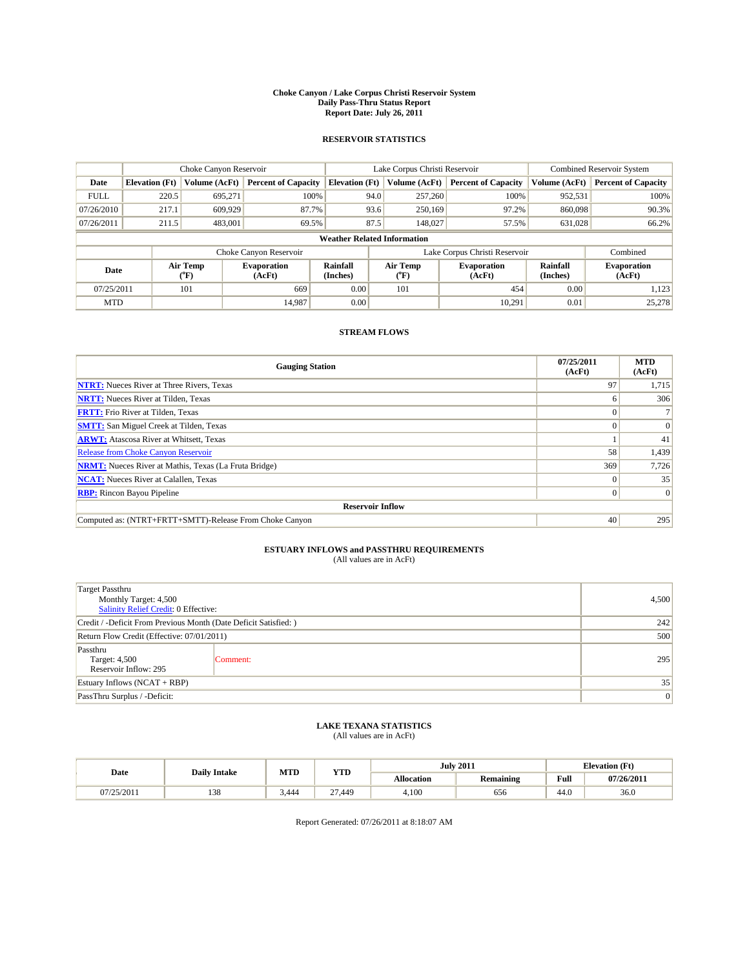#### **Choke Canyon / Lake Corpus Christi Reservoir System Daily Pass-Thru Status Report Report Date: July 26, 2011**

### **RESERVOIR STATISTICS**

|             | Choke Canyon Reservoir |                                           |                              |                                    | Lake Corpus Christi Reservoir | <b>Combined Reservoir System</b> |                             |                              |
|-------------|------------------------|-------------------------------------------|------------------------------|------------------------------------|-------------------------------|----------------------------------|-----------------------------|------------------------------|
| Date        | <b>Elevation</b> (Ft)  | Volume (AcFt)                             | <b>Percent of Capacity</b>   | <b>Elevation</b> (Ft)              | Volume (AcFt)                 | <b>Percent of Capacity</b>       | Volume (AcFt)               | <b>Percent of Capacity</b>   |
| <b>FULL</b> | 220.5                  | 695,271                                   | 100%                         | 94.0                               | 257,260                       | 100%                             | 952,531                     | 100%                         |
| 07/26/2010  | 217.1                  | 609,929                                   | 87.7%                        | 93.6                               | 250,169                       | 97.2%                            | 860,098                     | 90.3%                        |
| 07/26/2011  | 211.5                  | 483,001                                   | 69.5%                        | 87.5                               | 148,027                       | 57.5%                            | 631,028                     | 66.2%                        |
|             |                        |                                           |                              | <b>Weather Related Information</b> |                               |                                  |                             |                              |
|             |                        |                                           | Choke Canyon Reservoir       |                                    | Lake Corpus Christi Reservoir |                                  |                             | Combined                     |
| Date        |                        | Air Temp<br>$({}^{\mathrm{o}}\mathrm{F})$ | <b>Evaporation</b><br>(AcFt) | <b>Rainfall</b><br>(Inches)        | Air Temp<br>("F)              | <b>Evaporation</b><br>(AcFt)     | <b>Rainfall</b><br>(Inches) | <b>Evaporation</b><br>(AcFt) |
| 07/25/2011  |                        | 101                                       | 669                          | 0.00                               | 101                           | 454                              | 0.00                        | 1,123                        |
| <b>MTD</b>  |                        |                                           | 14.987                       | 0.00                               |                               | 10.291                           | 0.01                        | 25,278                       |

### **STREAM FLOWS**

| <b>Gauging Station</b>                                       | 07/25/2011<br>(AcFt) | <b>MTD</b><br>(AcFt) |
|--------------------------------------------------------------|----------------------|----------------------|
| <b>NTRT:</b> Nueces River at Three Rivers, Texas             | 97                   | 1,715                |
| <b>NRTT:</b> Nueces River at Tilden, Texas                   | n                    | 306                  |
| <b>FRTT:</b> Frio River at Tilden, Texas                     |                      |                      |
| <b>SMTT:</b> San Miguel Creek at Tilden, Texas               | $\Omega$             | $\Omega$             |
| <b>ARWT:</b> Atascosa River at Whitsett, Texas               |                      | 41                   |
| <b>Release from Choke Canyon Reservoir</b>                   | 58                   | 1,439                |
| <b>NRMT:</b> Nueces River at Mathis, Texas (La Fruta Bridge) | 369                  | 7,726                |
| <b>NCAT:</b> Nueces River at Calallen, Texas                 | $\Omega$             | 35                   |
| <b>RBP:</b> Rincon Bayou Pipeline                            | $\overline{0}$       | $\Omega$             |
| <b>Reservoir Inflow</b>                                      |                      |                      |
| Computed as: (NTRT+FRTT+SMTT)-Release From Choke Canyon      | 40                   | 295                  |

# **ESTUARY INFLOWS and PASSTHRU REQUIREMENTS**<br>(All values are in AcFt)

| <b>Target Passthru</b><br>Monthly Target: 4,500<br>Salinity Relief Credit: 0 Effective: | 4,500    |                 |  |  |  |
|-----------------------------------------------------------------------------------------|----------|-----------------|--|--|--|
| Credit / -Deficit From Previous Month (Date Deficit Satisfied: )                        |          |                 |  |  |  |
| Return Flow Credit (Effective: 07/01/2011)                                              | 500      |                 |  |  |  |
| Passthru<br>Target: 4,500<br>Reservoir Inflow: 295                                      | Comment: | 295             |  |  |  |
| Estuary Inflows $(NCAT + RBP)$                                                          | 35       |                 |  |  |  |
| PassThru Surplus / -Deficit:                                                            |          | $\vert 0 \vert$ |  |  |  |

## **LAKE TEXANA STATISTICS** (All values are in AcFt)

|            |                     | MTD   | <b>YTD</b> |            | <b>July 2011</b> | <b>Elevation</b> (Ft)                              |            |
|------------|---------------------|-------|------------|------------|------------------|----------------------------------------------------|------------|
| Date       | <b>Daily Intake</b> |       |            | Allocation | Remaining        | <b>Full</b><br>the contract of the contract of the | 07/26/2011 |
| 07/25/2011 | 120<br>120          | 3.444 | 27.449     | 4,100      | 656              | 44.0                                               | 36.0       |

Report Generated: 07/26/2011 at 8:18:07 AM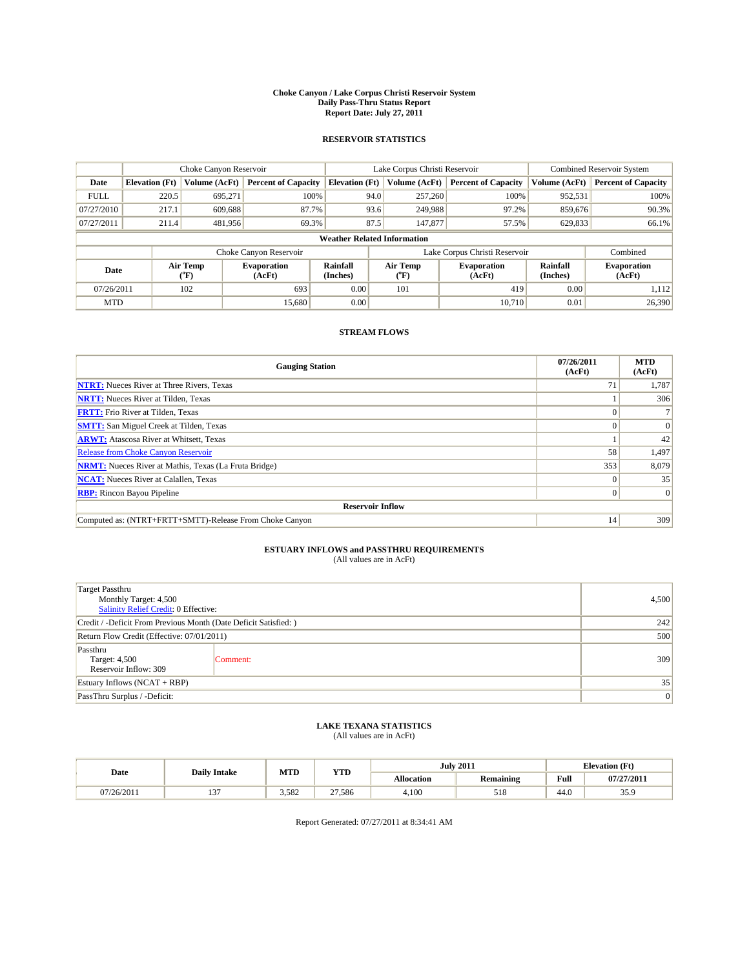#### **Choke Canyon / Lake Corpus Christi Reservoir System Daily Pass-Thru Status Report Report Date: July 27, 2011**

### **RESERVOIR STATISTICS**

|             |                       | Choke Canyon Reservoir |                              |                                    | Lake Corpus Christi Reservoir | <b>Combined Reservoir System</b> |                      |                              |
|-------------|-----------------------|------------------------|------------------------------|------------------------------------|-------------------------------|----------------------------------|----------------------|------------------------------|
| Date        | <b>Elevation</b> (Ft) | Volume (AcFt)          | <b>Percent of Capacity</b>   | <b>Elevation</b> (Ft)              | Volume (AcFt)                 | <b>Percent of Capacity</b>       | Volume (AcFt)        | <b>Percent of Capacity</b>   |
| <b>FULL</b> | 220.5                 | 695,271                | 100%                         | 94.0                               | 257,260                       | 100%                             | 952,531              | 100%                         |
| 07/27/2010  | 217.1                 | 609,688                | 87.7%                        | 93.6                               | 249,988                       | 97.2%                            | 859,676              | 90.3%                        |
| 07/27/2011  | 211.4                 | 481,956                | 69.3%                        | 87.5                               | 147,877                       | 57.5%                            | 629,833              | 66.1%                        |
|             |                       |                        |                              | <b>Weather Related Information</b> |                               |                                  |                      |                              |
|             |                       |                        | Choke Canyon Reservoir       |                                    | Lake Corpus Christi Reservoir |                                  |                      | Combined                     |
| Date        |                       | Air Temp<br>(°F)       | <b>Evaporation</b><br>(AcFt) | Rainfall<br>(Inches)               | Air Temp<br>("F)              | <b>Evaporation</b><br>(AcFt)     | Rainfall<br>(Inches) | <b>Evaporation</b><br>(AcFt) |
| 07/26/2011  |                       | 102                    | 693                          | 0.00                               | 101                           | 419                              | 0.00                 | 1,112                        |
| <b>MTD</b>  |                       |                        | 15,680                       | 0.00                               |                               | 10.710                           | 0.01                 | 26,390                       |

## **STREAM FLOWS**

| <b>Gauging Station</b>                                       | 07/26/2011<br>(AcFt) | <b>MTD</b><br>(AcFt) |
|--------------------------------------------------------------|----------------------|----------------------|
| <b>NTRT:</b> Nueces River at Three Rivers, Texas             | 71                   | 1,787                |
| <b>NRTT:</b> Nueces River at Tilden, Texas                   |                      | 306                  |
| <b>FRTT:</b> Frio River at Tilden, Texas                     |                      |                      |
| <b>SMTT:</b> San Miguel Creek at Tilden, Texas               |                      | $\Omega$             |
| <b>ARWT:</b> Atascosa River at Whitsett, Texas               |                      | 42                   |
| <b>Release from Choke Canyon Reservoir</b>                   | 58                   | 1,497                |
| <b>NRMT:</b> Nueces River at Mathis, Texas (La Fruta Bridge) | 353                  | 8,079                |
| <b>NCAT:</b> Nueces River at Calallen, Texas                 | $\Omega$             | 35                   |
| <b>RBP:</b> Rincon Bayou Pipeline                            | $\overline{0}$       | $\Omega$             |
| <b>Reservoir Inflow</b>                                      |                      |                      |
| Computed as: (NTRT+FRTT+SMTT)-Release From Choke Canyon      | 14                   | 309                  |

# **ESTUARY INFLOWS and PASSTHRU REQUIREMENTS**<br>(All values are in AcFt)

| <b>Target Passthru</b><br>Monthly Target: 4,500<br>Salinity Relief Credit: 0 Effective: |          |     |  |  |  |
|-----------------------------------------------------------------------------------------|----------|-----|--|--|--|
| Credit / -Deficit From Previous Month (Date Deficit Satisfied: )                        |          |     |  |  |  |
| Return Flow Credit (Effective: 07/01/2011)                                              | 500      |     |  |  |  |
| Passthru<br>Target: 4,500<br>Reservoir Inflow: 309                                      | Comment: | 309 |  |  |  |
| Estuary Inflows $(NCAT + RBP)$                                                          | 35       |     |  |  |  |
| PassThru Surplus / -Deficit:                                                            |          | 0   |  |  |  |

## **LAKE TEXANA STATISTICS** (All values are in AcFt)

|            | <b>Daily Intake</b> | MTD   |        | <b>YTD</b>        |                  | <b>July 2011</b>                            |            | <b>Elevation</b> (Ft) |
|------------|---------------------|-------|--------|-------------------|------------------|---------------------------------------------|------------|-----------------------|
| Date       |                     |       |        | <b>Allocation</b> | <b>Remaining</b> | Full<br>the contract of the contract of the | 07/27/2011 |                       |
| 07/26/2011 | $\sim$<br>. .       | 3.582 | 27.586 | 4.100             | 518              | 44.0                                        | 35.9       |                       |

Report Generated: 07/27/2011 at 8:34:41 AM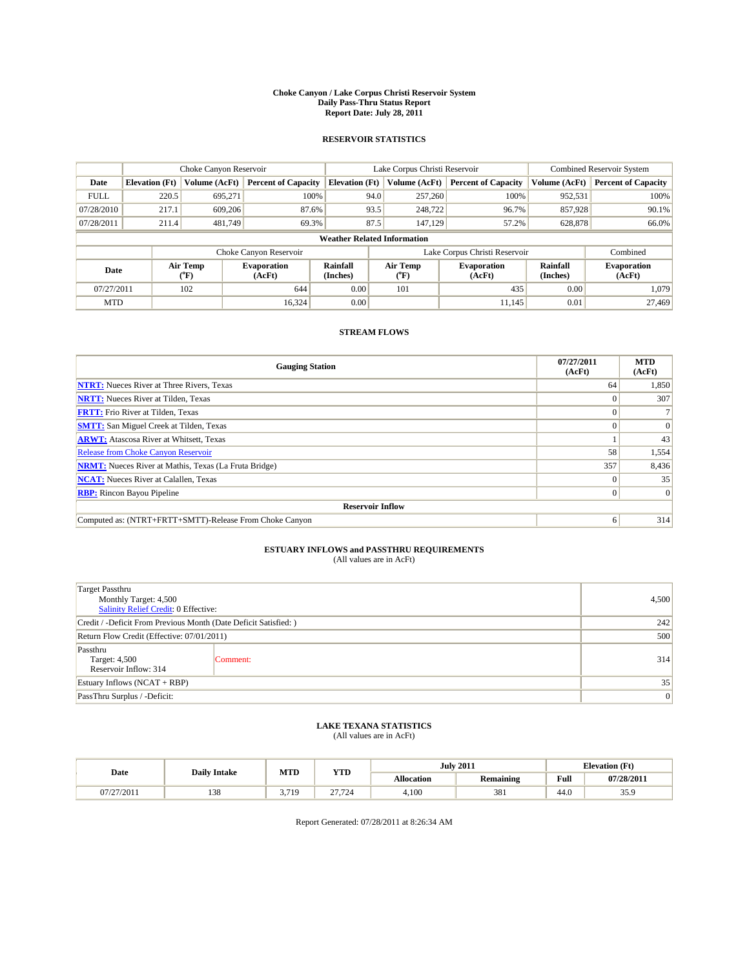#### **Choke Canyon / Lake Corpus Christi Reservoir System Daily Pass-Thru Status Report Report Date: July 28, 2011**

### **RESERVOIR STATISTICS**

|             | Choke Canyon Reservoir |                             |                              |                                    | Lake Corpus Christi Reservoir |                  |                              |                      | <b>Combined Reservoir System</b> |  |
|-------------|------------------------|-----------------------------|------------------------------|------------------------------------|-------------------------------|------------------|------------------------------|----------------------|----------------------------------|--|
| Date        | <b>Elevation</b> (Ft)  | Volume (AcFt)               | <b>Percent of Capacity</b>   | <b>Elevation</b> (Ft)              |                               | Volume (AcFt)    | <b>Percent of Capacity</b>   | Volume (AcFt)        | <b>Percent of Capacity</b>       |  |
| <b>FULL</b> | 220.5                  | 695,271                     | 100%                         |                                    | 94.0                          | 257,260          | 100%                         | 952,531              | 100%                             |  |
| 07/28/2010  | 217.1                  | 609,206                     | 87.6%                        |                                    | 93.5                          | 248,722          | 96.7%                        | 857,928              | 90.1%                            |  |
| 07/28/2011  | 211.4                  | 481.749                     | 69.3%                        |                                    | 87.5                          | 147.129          | 57.2%                        | 628,878              | 66.0%                            |  |
|             |                        |                             |                              | <b>Weather Related Information</b> |                               |                  |                              |                      |                                  |  |
|             |                        |                             | Choke Canyon Reservoir       |                                    | Lake Corpus Christi Reservoir |                  |                              | Combined             |                                  |  |
| Date        |                        | Air Temp<br>${}^{\circ}$ F) | <b>Evaporation</b><br>(AcFt) | <b>Rainfall</b><br>(Inches)        |                               | Air Temp<br>(°F) | <b>Evaporation</b><br>(AcFt) | Rainfall<br>(Inches) | <b>Evaporation</b><br>(AcFt)     |  |
| 07/27/2011  |                        | 102                         | 644                          | 0.00                               |                               | 101              | 435                          | 0.00                 | 1.079                            |  |
| <b>MTD</b>  |                        |                             | 16.324                       | 0.00                               |                               |                  | 11,145                       | 0.01                 | 27,469                           |  |

## **STREAM FLOWS**

| <b>Gauging Station</b>                                       | 07/27/2011<br>(AcFt) | <b>MTD</b><br>(AcFt) |
|--------------------------------------------------------------|----------------------|----------------------|
| <b>NTRT:</b> Nueces River at Three Rivers, Texas             | 64                   | 1,850                |
| <b>NRTT:</b> Nueces River at Tilden, Texas                   |                      | 307                  |
| <b>FRTT:</b> Frio River at Tilden, Texas                     |                      |                      |
| <b>SMTT:</b> San Miguel Creek at Tilden, Texas               |                      | $\Omega$             |
| <b>ARWT:</b> Atascosa River at Whitsett, Texas               |                      | 43                   |
| <b>Release from Choke Canyon Reservoir</b>                   | 58                   | 1,554                |
| <b>NRMT:</b> Nueces River at Mathis, Texas (La Fruta Bridge) | 357                  | 8,436                |
| <b>NCAT:</b> Nueces River at Calallen, Texas                 | $\Omega$             | 35                   |
| <b>RBP:</b> Rincon Bayou Pipeline                            | $\overline{0}$       | $\Omega$             |
| <b>Reservoir Inflow</b>                                      |                      |                      |
| Computed as: (NTRT+FRTT+SMTT)-Release From Choke Canyon      | 6                    | 314                  |

# **ESTUARY INFLOWS and PASSTHRU REQUIREMENTS**<br>(All values are in AcFt)

| <b>Target Passthru</b><br>Monthly Target: 4,500<br>Salinity Relief Credit: 0 Effective: |          |     |  |  |  |
|-----------------------------------------------------------------------------------------|----------|-----|--|--|--|
| Credit / -Deficit From Previous Month (Date Deficit Satisfied: )                        |          |     |  |  |  |
| Return Flow Credit (Effective: 07/01/2011)                                              | 500      |     |  |  |  |
| Passthru<br>Target: 4,500<br>Reservoir Inflow: 314                                      | Comment: | 314 |  |  |  |
| Estuary Inflows $(NCAT + RBP)$                                                          | 35       |     |  |  |  |
| PassThru Surplus / -Deficit:                                                            |          | 0   |  |  |  |

## **LAKE TEXANA STATISTICS** (All values are in AcFt)

| <b>Daily Intake</b> |     | MTD<br><b>YTD</b>   |                            |                   | <b>July 2011</b> |                                             | <b>Elevation</b> (Ft) |  |
|---------------------|-----|---------------------|----------------------------|-------------------|------------------|---------------------------------------------|-----------------------|--|
| Date                |     |                     |                            | <b>Allocation</b> | <b>Remaining</b> | Full<br>the contract of the contract of the | 07/28/2011            |  |
| 07/27/2011          | 138 | 3.719<br>3.1<br>. . | $\sim$<br>.724<br>$\sim\,$ | 4.100             | 381              | 44.0                                        | 35.9                  |  |

Report Generated: 07/28/2011 at 8:26:34 AM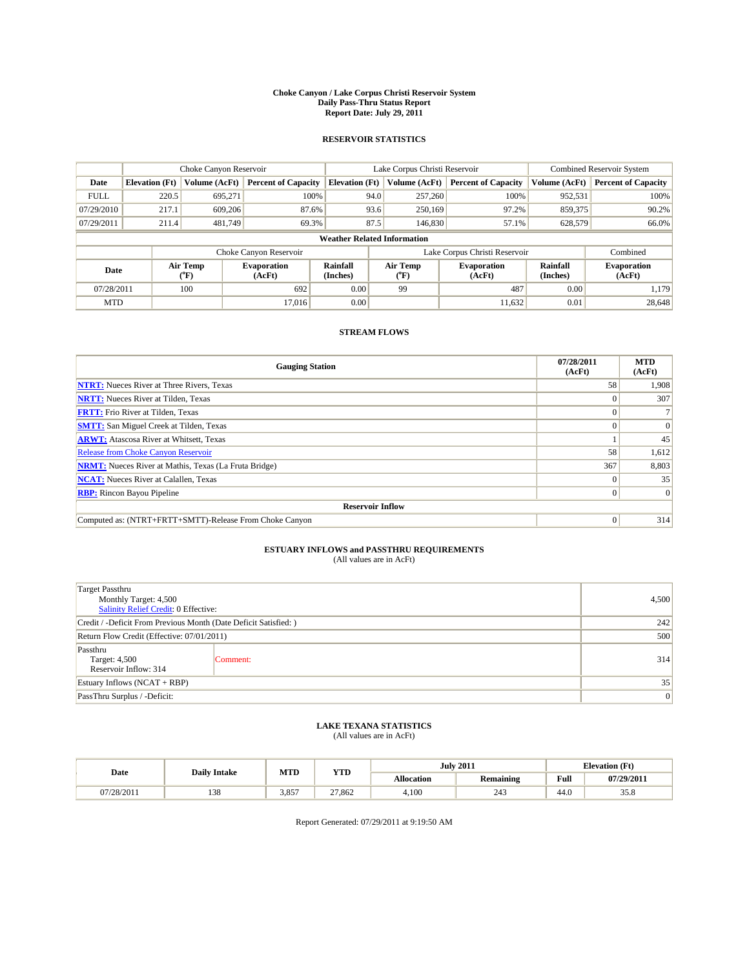#### **Choke Canyon / Lake Corpus Christi Reservoir System Daily Pass-Thru Status Report Report Date: July 29, 2011**

### **RESERVOIR STATISTICS**

|             | Choke Canyon Reservoir |                  |                              |                       | Lake Corpus Christi Reservoir      | <b>Combined Reservoir System</b> |                      |                              |
|-------------|------------------------|------------------|------------------------------|-----------------------|------------------------------------|----------------------------------|----------------------|------------------------------|
| Date        | <b>Elevation</b> (Ft)  | Volume (AcFt)    | <b>Percent of Capacity</b>   | <b>Elevation</b> (Ft) | Volume (AcFt)                      | <b>Percent of Capacity</b>       | Volume (AcFt)        | <b>Percent of Capacity</b>   |
| <b>FULL</b> | 220.5                  | 695,271          | 100%                         |                       | 94.0<br>257,260                    | 100%                             | 952,531              | 100%                         |
| 07/29/2010  | 217.1                  | 609,206          | 87.6%                        |                       | 93.6<br>250,169                    | 97.2%                            | 859,375              | 90.2%                        |
| 07/29/2011  | 211.4                  | 481.749          | 69.3%                        |                       | 87.5<br>146,830                    | 57.1%                            | 628,579              | 66.0%                        |
|             |                        |                  |                              |                       | <b>Weather Related Information</b> |                                  |                      |                              |
|             |                        |                  | Choke Canyon Reservoir       |                       | Lake Corpus Christi Reservoir      |                                  |                      | Combined                     |
| Date        |                        | Air Temp<br>(°F) | <b>Evaporation</b><br>(AcFt) | Rainfall<br>(Inches)  | Air Temp<br>("F)                   | <b>Evaporation</b><br>(AcFt)     | Rainfall<br>(Inches) | <b>Evaporation</b><br>(AcFt) |
| 07/28/2011  |                        | 100              | 692                          | 0.00                  | 99                                 | 487                              | 0.00                 | 1.179                        |
| <b>MTD</b>  |                        |                  | 17.016                       | 0.00                  |                                    | 11,632                           | 0.01                 | 28,648                       |

## **STREAM FLOWS**

| <b>Gauging Station</b>                                       | 07/28/2011<br>(AcFt) | <b>MTD</b><br>(AcFt) |
|--------------------------------------------------------------|----------------------|----------------------|
| <b>NTRT:</b> Nueces River at Three Rivers, Texas             | 58                   | 1,908                |
| <b>NRTT:</b> Nueces River at Tilden, Texas                   |                      | 307                  |
| <b>FRTT:</b> Frio River at Tilden, Texas                     |                      |                      |
| <b>SMTT:</b> San Miguel Creek at Tilden, Texas               |                      | $\Omega$             |
| <b>ARWT:</b> Atascosa River at Whitsett, Texas               |                      | 45                   |
| <b>Release from Choke Canyon Reservoir</b>                   | 58                   | 1,612                |
| <b>NRMT:</b> Nueces River at Mathis, Texas (La Fruta Bridge) | 367                  | 8,803                |
| <b>NCAT:</b> Nueces River at Calallen, Texas                 | $\Omega$             | 35                   |
| <b>RBP:</b> Rincon Bayou Pipeline                            | $\overline{0}$       | $\Omega$             |
| <b>Reservoir Inflow</b>                                      |                      |                      |
| Computed as: (NTRT+FRTT+SMTT)-Release From Choke Canyon      | $\Omega$             | 314                  |

# **ESTUARY INFLOWS and PASSTHRU REQUIREMENTS**<br>(All values are in AcFt)

| <b>Target Passthru</b><br>Monthly Target: 4,500<br>Salinity Relief Credit: 0 Effective: |          |     |  |  |
|-----------------------------------------------------------------------------------------|----------|-----|--|--|
| Credit / -Deficit From Previous Month (Date Deficit Satisfied: )                        | 242      |     |  |  |
| Return Flow Credit (Effective: 07/01/2011)                                              | 500      |     |  |  |
| Passthru<br>Target: 4,500<br>Reservoir Inflow: 314                                      | Comment: | 314 |  |  |
| Estuary Inflows $(NCAT + RBP)$                                                          | 35       |     |  |  |
| PassThru Surplus / -Deficit:                                                            |          | 0   |  |  |

## **LAKE TEXANA STATISTICS** (All values are in AcFt)

|            |                     | MTD   |            |                   | <b>July 2011</b>       | <b>Elevation</b> (Ft) |            |
|------------|---------------------|-------|------------|-------------------|------------------------|-----------------------|------------|
| Date       | <b>Daily Intake</b> |       | <b>YTD</b> | <b>Allocation</b> | Remaining              | Full                  | 07/29/2011 |
| 07/28/2011 | 129<br>120          | 3.857 | 27.862     | 4.100             | 24 <sup>o</sup><br>Z43 | 44.0                  | 35.8       |

Report Generated: 07/29/2011 at 9:19:50 AM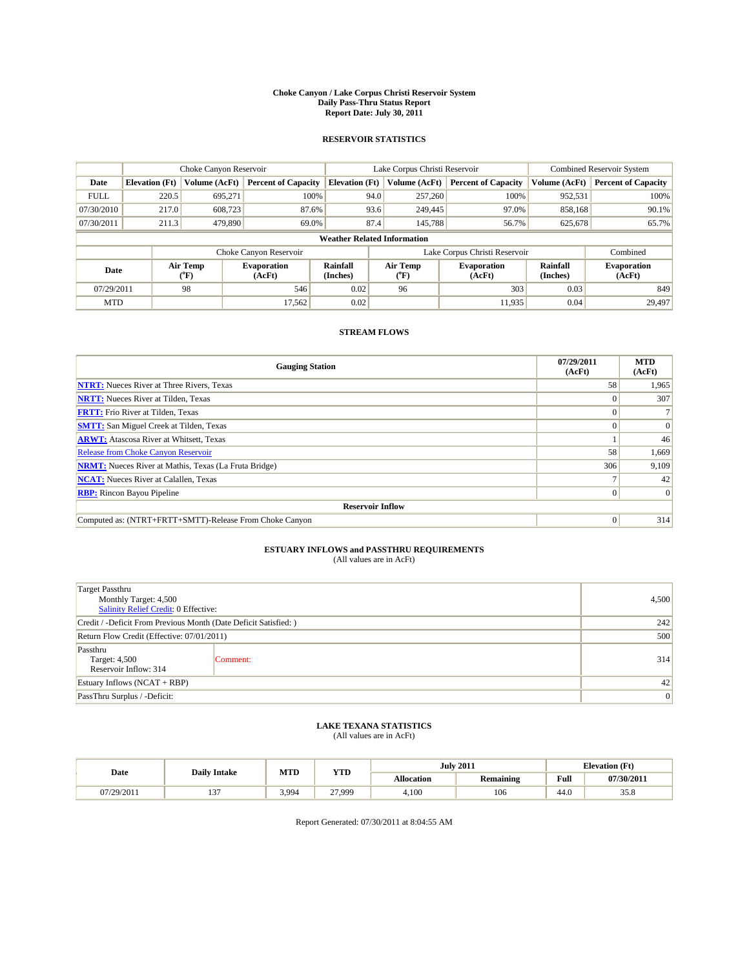#### **Choke Canyon / Lake Corpus Christi Reservoir System Daily Pass-Thru Status Report Report Date: July 30, 2011**

### **RESERVOIR STATISTICS**

|             |                       | Choke Canyon Reservoir |                              |                                    | Lake Corpus Christi Reservoir | <b>Combined Reservoir System</b> |                      |                              |
|-------------|-----------------------|------------------------|------------------------------|------------------------------------|-------------------------------|----------------------------------|----------------------|------------------------------|
| Date        | <b>Elevation</b> (Ft) | Volume (AcFt)          | <b>Percent of Capacity</b>   | <b>Elevation</b> (Ft)              | Volume (AcFt)                 | <b>Percent of Capacity</b>       | Volume (AcFt)        | <b>Percent of Capacity</b>   |
| <b>FULL</b> | 220.5                 | 695,271                | 100%                         | 94.0                               | 257,260                       | 100%                             | 952,531              | 100%                         |
| 07/30/2010  | 217.0                 | 608.723                | 87.6%                        | 93.6                               | 249,445                       | 97.0%                            | 858,168              | 90.1%                        |
| 07/30/2011  | 211.3                 | 479,890                | 69.0%                        | 87.4                               | 145,788                       | 56.7%                            | 625,678              | 65.7%                        |
|             |                       |                        |                              | <b>Weather Related Information</b> |                               |                                  |                      |                              |
|             |                       |                        | Choke Canyon Reservoir       |                                    | Lake Corpus Christi Reservoir |                                  |                      | Combined                     |
| Date        |                       | Air Temp<br>(°F)       | <b>Evaporation</b><br>(AcFt) | Rainfall<br>(Inches)               | Air Temp<br>("F)              | <b>Evaporation</b><br>(AcFt)     | Rainfall<br>(Inches) | <b>Evaporation</b><br>(AcFt) |
| 07/29/2011  |                       | 98                     | 546                          | 0.02                               | 96                            | 303                              | 0.03                 | 849                          |
| <b>MTD</b>  |                       |                        | 17.562                       | 0.02                               |                               | 11,935                           | 0.04                 | 29.497                       |

## **STREAM FLOWS**

| <b>Gauging Station</b>                                       | 07/29/2011<br>(AcFt) | <b>MTD</b><br>(AcFt) |  |  |  |  |  |
|--------------------------------------------------------------|----------------------|----------------------|--|--|--|--|--|
| <b>NTRT:</b> Nueces River at Three Rivers, Texas             | 58                   | 1,965                |  |  |  |  |  |
| <b>NRTT:</b> Nueces River at Tilden, Texas                   |                      | 307                  |  |  |  |  |  |
| <b>FRTT:</b> Frio River at Tilden, Texas                     |                      |                      |  |  |  |  |  |
| <b>SMTT:</b> San Miguel Creek at Tilden, Texas               |                      | $\Omega$             |  |  |  |  |  |
| <b>ARWT:</b> Atascosa River at Whitsett, Texas               |                      | 46                   |  |  |  |  |  |
| <b>Release from Choke Canyon Reservoir</b>                   | 58                   | 1,669                |  |  |  |  |  |
| <b>NRMT:</b> Nueces River at Mathis, Texas (La Fruta Bridge) | 306                  | 9,109                |  |  |  |  |  |
| <b>NCAT:</b> Nueces River at Calallen, Texas                 |                      | 42                   |  |  |  |  |  |
| <b>RBP:</b> Rincon Bayou Pipeline                            | 0                    | $\Omega$             |  |  |  |  |  |
| <b>Reservoir Inflow</b>                                      |                      |                      |  |  |  |  |  |
| Computed as: (NTRT+FRTT+SMTT)-Release From Choke Canyon      | $\Omega$             | 314                  |  |  |  |  |  |

## **ESTUARY INFLOWS and PASSTHRU REQUIREMENTS**<br>(All values are in AcFt)

| <b>Target Passthru</b><br>Monthly Target: 4,500<br><b>Salinity Relief Credit: 0 Effective:</b> | 4,500    |     |
|------------------------------------------------------------------------------------------------|----------|-----|
| Credit / -Deficit From Previous Month (Date Deficit Satisfied: )                               | 242      |     |
| Return Flow Credit (Effective: 07/01/2011)                                                     | 500      |     |
| Passthru<br>Target: 4,500<br>Reservoir Inflow: 314                                             | Comment: | 314 |
| Estuary Inflows $(NCAT + RBP)$                                                                 | 42       |     |
| PassThru Surplus / -Deficit:                                                                   | 0        |     |

## **LAKE TEXANA STATISTICS** (All values are in AcFt)

| MTD<br><b>Daily Intake</b> |              | <b>YTD</b> |        | <b>July 2011</b> | <b>Elevation</b> (Ft) |                                                    |            |
|----------------------------|--------------|------------|--------|------------------|-----------------------|----------------------------------------------------|------------|
| Date                       |              |            |        | Allocation       | Remaining             | <b>Full</b><br>the contract of the contract of the | 07/30/2011 |
| 07/29/2011                 | $\sim$<br>ιJ | 3.994      | 27.999 | 4.100            | 106                   | 44.0                                               | 35.8       |

Report Generated: 07/30/2011 at 8:04:55 AM